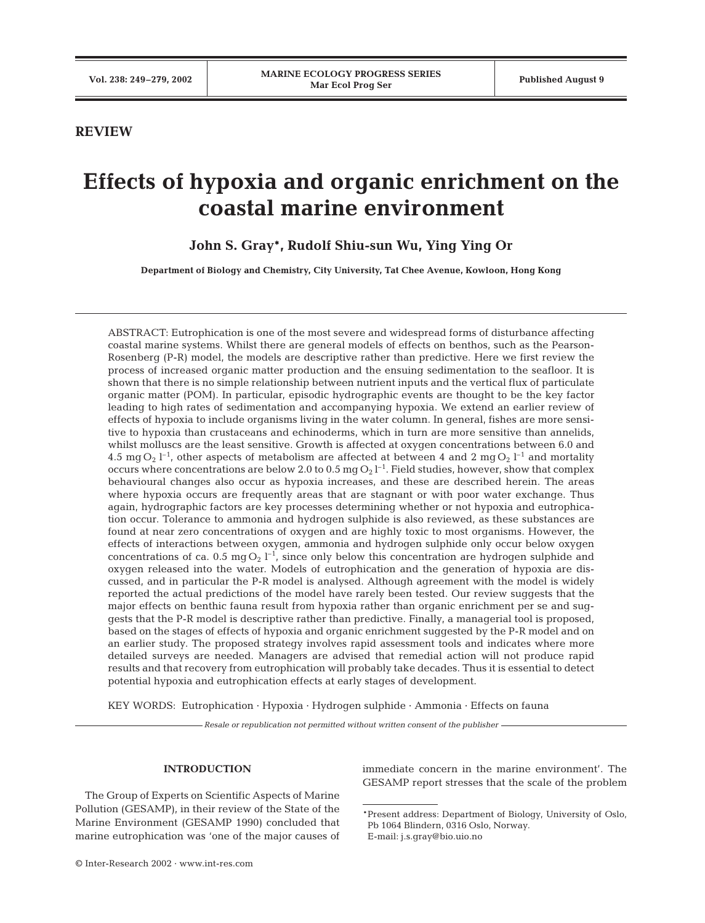## **REVIEW**

# **Effects of hypoxia and organic enrichment on the coastal marine environment**

**John S. Gray\*, Rudolf Shiu-sun Wu, Ying Ying Or**

**Department of Biology and Chemistry, City University, Tat Chee Avenue, Kowloon, Hong Kong**

ABSTRACT: Eutrophication is one of the most severe and widespread forms of disturbance affecting coastal marine systems. Whilst there are general models of effects on benthos, such as the Pearson-Rosenberg (P-R) model, the models are descriptive rather than predictive. Here we first review the process of increased organic matter production and the ensuing sedimentation to the seafloor. It is shown that there is no simple relationship between nutrient inputs and the vertical flux of particulate organic matter (POM). In particular, episodic hydrographic events are thought to be the key factor leading to high rates of sedimentation and accompanying hypoxia. We extend an earlier review of effects of hypoxia to include organisms living in the water column. In general, fishes are more sensitive to hypoxia than crustaceans and echinoderms, which in turn are more sensitive than annelids, whilst molluscs are the least sensitive. Growth is affected at oxygen concentrations between 6.0 and  $4.5~{\rm mg}\, {\rm O_2}$  l<sup>-1</sup>, other aspects of metabolism are affected at between 4 and 2 mg  ${\rm O_2}$  l<sup>-1</sup> and mortality occurs where concentrations are below 2.0 to 0.5 mg  $O_2$  l<sup>-1</sup>. Field studies, however, show that complex behavioural changes also occur as hypoxia increases, and these are described herein. The areas where hypoxia occurs are frequently areas that are stagnant or with poor water exchange. Thus again, hydrographic factors are key processes determining whether or not hypoxia and eutrophication occur. Tolerance to ammonia and hydrogen sulphide is also reviewed, as these substances are found at near zero concentrations of oxygen and are highly toxic to most organisms. However, the effects of interactions between oxygen, ammonia and hydrogen sulphide only occur below oxygen concentrations of ca. 0.5 mg  $O_2$   $I^{-1}$ , since only below this concentration are hydrogen sulphide and oxygen released into the water. Models of eutrophication and the generation of hypoxia are discussed, and in particular the P-R model is analysed. Although agreement with the model is widely reported the actual predictions of the model have rarely been tested. Our review suggests that the major effects on benthic fauna result from hypoxia rather than organic enrichment per se and suggests that the P-R model is descriptive rather than predictive. Finally, a managerial tool is proposed, based on the stages of effects of hypoxia and organic enrichment suggested by the P-R model and on an earlier study. The proposed strategy involves rapid assessment tools and indicates where more detailed surveys are needed. Managers are advised that remedial action will not produce rapid results and that recovery from eutrophication will probably take decades. Thus it is essential to detect potential hypoxia and eutrophication effects at early stages of development.

KEY WORDS: Eutrophication · Hypoxia · Hydrogen sulphide · Ammonia · Effects on fauna

*Resale or republication not permitted without written consent of the publisher*

#### **INTRODUCTION**

The Group of Experts on Scientific Aspects of Marine Pollution (GESAMP), in their review of the State of the Marine Environment (GESAMP 1990) concluded that marine eutrophication was 'one of the major causes of immediate concern in the marine environment'. The GESAMP report stresses that the scale of the problem

<sup>\*</sup>Present address: Department of Biology, University of Oslo, Pb 1064 Blindern, 0316 Oslo, Norway. E-mail: j.s.gray@bio.uio.no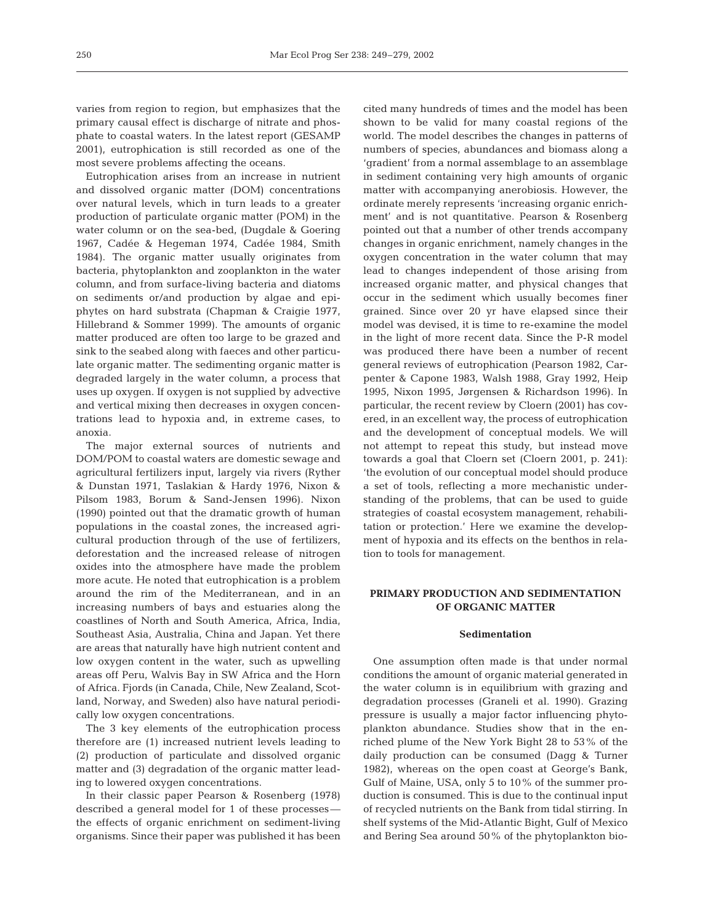varies from region to region, but emphasizes that the primary causal effect is discharge of nitrate and phosphate to coastal waters. In the latest report (GESAMP 2001), eutrophication is still recorded as one of the most severe problems affecting the oceans.

Eutrophication arises from an increase in nutrient and dissolved organic matter (DOM) concentrations over natural levels, which in turn leads to a greater production of particulate organic matter (POM) in the water column or on the sea-bed, (Dugdale & Goering 1967, Cadée & Hegeman 1974, Cadée 1984, Smith 1984). The organic matter usually originates from bacteria, phytoplankton and zooplankton in the water column, and from surface-living bacteria and diatoms on sediments or/and production by algae and epiphytes on hard substrata (Chapman & Craigie 1977, Hillebrand & Sommer 1999). The amounts of organic matter produced are often too large to be grazed and sink to the seabed along with faeces and other particulate organic matter. The sedimenting organic matter is degraded largely in the water column, a process that uses up oxygen. If oxygen is not supplied by advective and vertical mixing then decreases in oxygen concentrations lead to hypoxia and, in extreme cases, to anoxia.

The major external sources of nutrients and DOM/POM to coastal waters are domestic sewage and agricultural fertilizers input, largely via rivers (Ryther & Dunstan 1971, Taslakian & Hardy 1976, Nixon & Pilsom 1983, Borum & Sand-Jensen 1996). Nixon (1990) pointed out that the dramatic growth of human populations in the coastal zones, the increased agricultural production through of the use of fertilizers, deforestation and the increased release of nitrogen oxides into the atmosphere have made the problem more acute. He noted that eutrophication is a problem around the rim of the Mediterranean, and in an increasing numbers of bays and estuaries along the coastlines of North and South America, Africa, India, Southeast Asia, Australia, China and Japan. Yet there are areas that naturally have high nutrient content and low oxygen content in the water, such as upwelling areas off Peru, Walvis Bay in SW Africa and the Horn of Africa. Fjords (in Canada, Chile, New Zealand, Scotland, Norway, and Sweden) also have natural periodically low oxygen concentrations.

The 3 key elements of the eutrophication process therefore are (1) increased nutrient levels leading to (2) production of particulate and dissolved organic matter and (3) degradation of the organic matter leading to lowered oxygen concentrations.

In their classic paper Pearson & Rosenberg (1978) described a general model for 1 of these processes the effects of organic enrichment on sediment-living organisms. Since their paper was published it has been

cited many hundreds of times and the model has been shown to be valid for many coastal regions of the world. The model describes the changes in patterns of numbers of species, abundances and biomass along a 'gradient' from a normal assemblage to an assemblage in sediment containing very high amounts of organic matter with accompanying anerobiosis. However, the ordinate merely represents 'increasing organic enrichment' and is not quantitative. Pearson & Rosenberg pointed out that a number of other trends accompany changes in organic enrichment, namely changes in the oxygen concentration in the water column that may lead to changes independent of those arising from increased organic matter, and physical changes that occur in the sediment which usually becomes finer grained. Since over 20 yr have elapsed since their model was devised, it is time to re-examine the model in the light of more recent data. Since the P-R model was produced there have been a number of recent general reviews of eutrophication (Pearson 1982, Carpenter & Capone 1983, Walsh 1988, Gray 1992, Heip 1995, Nixon 1995, Jørgensen & Richardson 1996). In particular, the recent review by Cloern (2001) has covered, in an excellent way, the process of eutrophication and the development of conceptual models. We will not attempt to repeat this study, but instead move towards a goal that Cloern set (Cloern 2001, p. 241): 'the evolution of our conceptual model should produce a set of tools, reflecting a more mechanistic understanding of the problems, that can be used to guide strategies of coastal ecosystem management, rehabilitation or protection.' Here we examine the development of hypoxia and its effects on the benthos in relation to tools for management.

## **PRIMARY PRODUCTION AND SEDIMENTATION OF ORGANIC MATTER**

#### **Sedimentation**

One assumption often made is that under normal conditions the amount of organic material generated in the water column is in equilibrium with grazing and degradation processes (Graneli et al. 1990). Grazing pressure is usually a major factor influencing phytoplankton abundance. Studies show that in the enriched plume of the New York Bight 28 to 53% of the daily production can be consumed (Dagg & Turner 1982), whereas on the open coast at George's Bank, Gulf of Maine, USA, only 5 to 10% of the summer production is consumed. This is due to the continual input of recycled nutrients on the Bank from tidal stirring. In shelf systems of the Mid-Atlantic Bight, Gulf of Mexico and Bering Sea around 50% of the phytoplankton bio-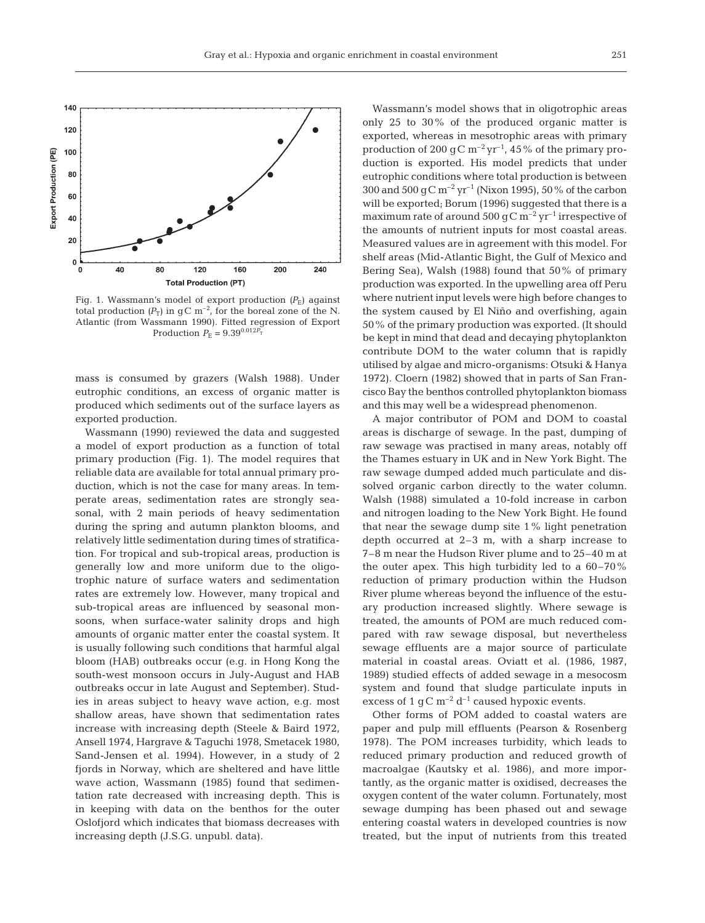

Fig. 1. Wassmann's model of export production  $(P_{\rm E})$  against total production  $(P_T)$  in gC m<sup>-2</sup>, for the boreal zone of the N. Atlantic (from Wassmann 1990). Fitted regression of Export Production  $P_{\rm E} = 9.39^{0.012 \vec{P_{\rm T}}}$ 

mass is consumed by grazers (Walsh 1988). Under eutrophic conditions, an excess of organic matter is produced which sediments out of the surface layers as exported production.

Wassmann (1990) reviewed the data and suggested a model of export production as a function of total primary production (Fig. 1). The model requires that reliable data are available for total annual primary production, which is not the case for many areas. In temperate areas, sedimentation rates are strongly seasonal, with 2 main periods of heavy sedimentation during the spring and autumn plankton blooms, and relatively little sedimentation during times of stratification. For tropical and sub-tropical areas, production is generally low and more uniform due to the oligotrophic nature of surface waters and sedimentation rates are extremely low. However, many tropical and sub-tropical areas are influenced by seasonal monsoons, when surface-water salinity drops and high amounts of organic matter enter the coastal system. It is usually following such conditions that harmful algal bloom (HAB) outbreaks occur (e.g. in Hong Kong the south-west monsoon occurs in July-August and HAB outbreaks occur in late August and September). Studies in areas subject to heavy wave action, e.g. most shallow areas, have shown that sedimentation rates increase with increasing depth (Steele & Baird 1972, Ansell 1974, Hargrave & Taguchi 1978, Smetacek 1980, Sand-Jensen et al. 1994). However, in a study of 2 fjords in Norway, which are sheltered and have little wave action, Wassmann (1985) found that sedimentation rate decreased with increasing depth. This is in keeping with data on the benthos for the outer Oslofjord which indicates that biomass decreases with increasing depth (J.S.G. unpubl. data).

Wassmann's model shows that in oligotrophic areas only 25 to 30% of the produced organic matter is exported, whereas in mesotrophic areas with primary production of 200 gC  $m^{-2}$  yr<sup>-1</sup>, 45% of the primary production is exported. His model predicts that under eutrophic conditions where total production is between 300 and 500 g C  $\rm m^{-2}$  yr<sup>-1</sup> (Nixon 1995), 50% of the carbon will be exported; Borum (1996) suggested that there is a maximum rate of around 500 gC  $\rm m^{-2}$  yr<sup>-1</sup> irrespective of the amounts of nutrient inputs for most coastal areas. Measured values are in agreement with this model. For shelf areas (Mid-Atlantic Bight, the Gulf of Mexico and Bering Sea), Walsh (1988) found that 50% of primary production was exported. In the upwelling area off Peru where nutrient input levels were high before changes to the system caused by El Niño and overfishing, again 50% of the primary production was exported. (It should be kept in mind that dead and decaying phytoplankton contribute DOM to the water column that is rapidly utilised by algae and micro-organisms: Otsuki & Hanya 1972). Cloern (1982) showed that in parts of San Francisco Bay the benthos controlled phytoplankton biomass and this may well be a widespread phenomenon.

A major contributor of POM and DOM to coastal areas is discharge of sewage. In the past, dumping of raw sewage was practised in many areas, notably off the Thames estuary in UK and in New York Bight. The raw sewage dumped added much particulate and dissolved organic carbon directly to the water column. Walsh (1988) simulated a 10-fold increase in carbon and nitrogen loading to the New York Bight. He found that near the sewage dump site 1% light penetration depth occurred at 2–3 m, with a sharp increase to 7–8 m near the Hudson River plume and to 25–40 m at the outer apex. This high turbidity led to a 60–70% reduction of primary production within the Hudson River plume whereas beyond the influence of the estuary production increased slightly. Where sewage is treated, the amounts of POM are much reduced compared with raw sewage disposal, but nevertheless sewage effluents are a major source of particulate material in coastal areas. Oviatt et al. (1986, 1987, 1989) studied effects of added sewage in a mesocosm system and found that sludge particulate inputs in excess of 1 gC  $m^{-2}$  d<sup>-1</sup> caused hypoxic events.

Other forms of POM added to coastal waters are paper and pulp mill effluents (Pearson & Rosenberg 1978). The POM increases turbidity, which leads to reduced primary production and reduced growth of macroalgae (Kautsky et al. 1986), and more importantly, as the organic matter is oxidised, decreases the oxygen content of the water column. Fortunately, most sewage dumping has been phased out and sewage entering coastal waters in developed countries is now treated, but the input of nutrients from this treated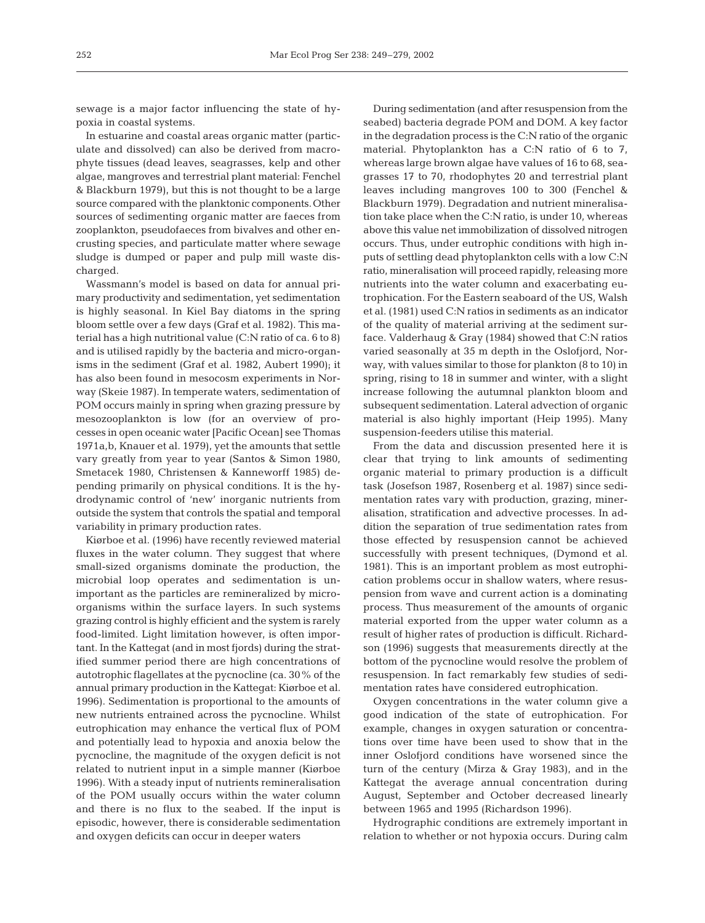sewage is a major factor influencing the state of hypoxia in coastal systems.

In estuarine and coastal areas organic matter (particulate and dissolved) can also be derived from macrophyte tissues (dead leaves, seagrasses, kelp and other algae, mangroves and terrestrial plant material: Fenchel & Blackburn 1979), but this is not thought to be a large source compared with the planktonic components. Other sources of sedimenting organic matter are faeces from zooplankton, pseudofaeces from bivalves and other encrusting species, and particulate matter where sewage sludge is dumped or paper and pulp mill waste discharged.

Wassmann's model is based on data for annual primary productivity and sedimentation, yet sedimentation is highly seasonal. In Kiel Bay diatoms in the spring bloom settle over a few days (Graf et al. 1982). This material has a high nutritional value (C:N ratio of ca. 6 to 8) and is utilised rapidly by the bacteria and micro-organisms in the sediment (Graf et al. 1982, Aubert 1990); it has also been found in mesocosm experiments in Norway (Skeie 1987). In temperate waters, sedimentation of POM occurs mainly in spring when grazing pressure by mesozooplankton is low (for an overview of processes in open oceanic water [Pacific Ocean] see Thomas 1971a,b, Knauer et al. 1979), yet the amounts that settle vary greatly from year to year (Santos & Simon 1980, Smetacek 1980, Christensen & Kanneworff 1985) depending primarily on physical conditions. It is the hydrodynamic control of 'new' inorganic nutrients from outside the system that controls the spatial and temporal variability in primary production rates.

Kiørboe et al. (1996) have recently reviewed material fluxes in the water column. They suggest that where small-sized organisms dominate the production, the microbial loop operates and sedimentation is unimportant as the particles are remineralized by microorganisms within the surface layers. In such systems grazing control is highly efficient and the system is rarely food-limited. Light limitation however, is often important. In the Kattegat (and in most fjords) during the stratified summer period there are high concentrations of autotrophic flagellates at the pycnocline (ca. 30% of the annual primary production in the Kattegat: Kiørboe et al. 1996). Sedimentation is proportional to the amounts of new nutrients entrained across the pycnocline. Whilst eutrophication may enhance the vertical flux of POM and potentially lead to hypoxia and anoxia below the pycnocline, the magnitude of the oxygen deficit is not related to nutrient input in a simple manner (Kiørboe 1996). With a steady input of nutrients remineralisation of the POM usually occurs within the water column and there is no flux to the seabed. If the input is episodic, however, there is considerable sedimentation and oxygen deficits can occur in deeper waters

During sedimentation (and after resuspension from the seabed) bacteria degrade POM and DOM. A key factor in the degradation process is the C:N ratio of the organic material. Phytoplankton has a C:N ratio of 6 to 7, whereas large brown algae have values of 16 to 68, seagrasses 17 to 70, rhodophytes 20 and terrestrial plant leaves including mangroves 100 to 300 (Fenchel & Blackburn 1979). Degradation and nutrient mineralisation take place when the C:N ratio, is under 10, whereas above this value net immobilization of dissolved nitrogen occurs. Thus, under eutrophic conditions with high inputs of settling dead phytoplankton cells with a low C:N ratio, mineralisation will proceed rapidly, releasing more nutrients into the water column and exacerbating eutrophication. For the Eastern seaboard of the US, Walsh et al. (1981) used C:N ratios in sediments as an indicator of the quality of material arriving at the sediment surface. Valderhaug & Gray (1984) showed that C:N ratios varied seasonally at 35 m depth in the Oslofjord, Norway, with values similar to those for plankton (8 to 10) in spring, rising to 18 in summer and winter, with a slight increase following the autumnal plankton bloom and subsequent sedimentation. Lateral advection of organic material is also highly important (Heip 1995). Many suspension-feeders utilise this material.

From the data and discussion presented here it is clear that trying to link amounts of sedimenting organic material to primary production is a difficult task (Josefson 1987, Rosenberg et al. 1987) since sedimentation rates vary with production, grazing, mineralisation, stratification and advective processes. In addition the separation of true sedimentation rates from those effected by resuspension cannot be achieved successfully with present techniques, (Dymond et al. 1981). This is an important problem as most eutrophication problems occur in shallow waters, where resuspension from wave and current action is a dominating process. Thus measurement of the amounts of organic material exported from the upper water column as a result of higher rates of production is difficult. Richardson (1996) suggests that measurements directly at the bottom of the pycnocline would resolve the problem of resuspension. In fact remarkably few studies of sedimentation rates have considered eutrophication.

Oxygen concentrations in the water column give a good indication of the state of eutrophication. For example, changes in oxygen saturation or concentrations over time have been used to show that in the inner Oslofjord conditions have worsened since the turn of the century (Mirza & Gray 1983), and in the Kattegat the average annual concentration during August, September and October decreased linearly between 1965 and 1995 (Richardson 1996).

Hydrographic conditions are extremely important in relation to whether or not hypoxia occurs. During calm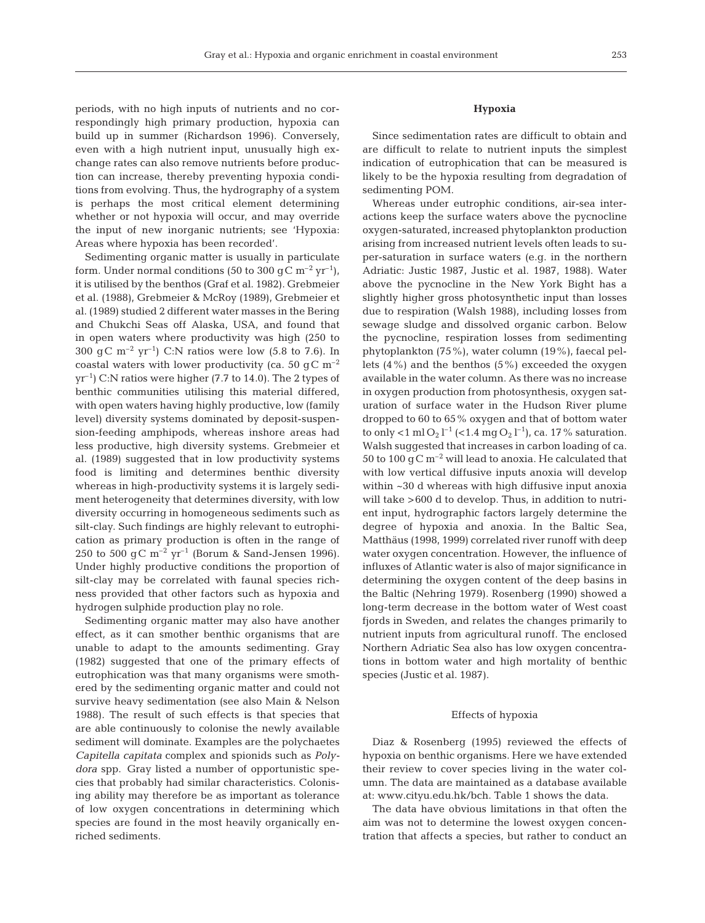periods, with no high inputs of nutrients and no correspondingly high primary production, hypoxia can build up in summer (Richardson 1996). Conversely, even with a high nutrient input, unusually high exchange rates can also remove nutrients before production can increase, thereby preventing hypoxia conditions from evolving. Thus, the hydrography of a system is perhaps the most critical element determining whether or not hypoxia will occur, and may override the input of new inorganic nutrients; see 'Hypoxia: Areas where hypoxia has been recorded'.

Sedimenting organic matter is usually in particulate form. Under normal conditions (50 to 300 gC  $\rm m^{-2}$  yr<sup>-1</sup>), it is utilised by the benthos (Graf et al. 1982). Grebmeier et al. (1988), Grebmeier & McRoy (1989), Grebmeier et al. (1989) studied 2 different water masses in the Bering and Chukchi Seas off Alaska, USA, and found that in open waters where productivity was high (250 to 300 gC  $m^{-2}$  yr<sup>-1</sup>) C:N ratios were low (5.8 to 7.6). In coastal waters with lower productivity (ca. 50 gC  $\rm m^{-2}$ )  $yr^{-1}$ ) C:N ratios were higher (7.7 to 14.0). The 2 types of benthic communities utilising this material differed, with open waters having highly productive, low (family level) diversity systems dominated by deposit-suspension-feeding amphipods, whereas inshore areas had less productive, high diversity systems. Grebmeier et al. (1989) suggested that in low productivity systems food is limiting and determines benthic diversity whereas in high-productivity systems it is largely sediment heterogeneity that determines diversity, with low diversity occurring in homogeneous sediments such as silt-clay. Such findings are highly relevant to eutrophication as primary production is often in the range of 250 to 500 gC  $m^{-2}$  yr<sup>-1</sup> (Borum & Sand-Jensen 1996). Under highly productive conditions the proportion of silt-clay may be correlated with faunal species richness provided that other factors such as hypoxia and hydrogen sulphide production play no role.

Sedimenting organic matter may also have another effect, as it can smother benthic organisms that are unable to adapt to the amounts sedimenting. Gray (1982) suggested that one of the primary effects of eutrophication was that many organisms were smothered by the sedimenting organic matter and could not survive heavy sedimentation (see also Main & Nelson 1988). The result of such effects is that species that are able continuously to colonise the newly available sediment will dominate. Examples are the polychaetes *Capitella capitata* complex and spionids such as *Polydora* spp. Gray listed a number of opportunistic species that probably had similar characteristics. Colonising ability may therefore be as important as tolerance of low oxygen concentrations in determining which species are found in the most heavily organically enriched sediments.

### **Hypoxia**

Since sedimentation rates are difficult to obtain and are difficult to relate to nutrient inputs the simplest indication of eutrophication that can be measured is likely to be the hypoxia resulting from degradation of sedimenting POM.

Whereas under eutrophic conditions, air-sea interactions keep the surface waters above the pycnocline oxygen-saturated, increased phytoplankton production arising from increased nutrient levels often leads to super-saturation in surface waters (e.g. in the northern Adriatic: Justic 1987, Justic et al. 1987, 1988). Water above the pycnocline in the New York Bight has a slightly higher gross photosynthetic input than losses due to respiration (Walsh 1988), including losses from sewage sludge and dissolved organic carbon. Below the pycnocline, respiration losses from sedimenting phytoplankton (75%), water column (19%), faecal pellets  $(4\%)$  and the benthos  $(5\%)$  exceeded the oxygen available in the water column. As there was no increase in oxygen production from photosynthesis, oxygen saturation of surface water in the Hudson River plume dropped to 60 to 65% oxygen and that of bottom water to only <1 ml O<sub>2</sub> l<sup>-1</sup> (<1.4 mg O<sub>2</sub> l<sup>-1</sup>), ca. 17% saturation. Walsh suggested that increases in carbon loading of ca. 50 to 100  $\rm g$  C m<sup>-2</sup> will lead to anoxia. He calculated that with low vertical diffusive inputs anoxia will develop within ~30 d whereas with high diffusive input anoxia will take >600 d to develop. Thus, in addition to nutrient input, hydrographic factors largely determine the degree of hypoxia and anoxia. In the Baltic Sea, Matthäus (1998, 1999) correlated river runoff with deep water oxygen concentration. However, the influence of influxes of Atlantic water is also of major significance in determining the oxygen content of the deep basins in the Baltic (Nehring 1979). Rosenberg (1990) showed a long-term decrease in the bottom water of West coast fjords in Sweden, and relates the changes primarily to nutrient inputs from agricultural runoff. The enclosed Northern Adriatic Sea also has low oxygen concentrations in bottom water and high mortality of benthic species (Justic et al. 1987).

#### Effects of hypoxia

Diaz & Rosenberg (1995) reviewed the effects of hypoxia on benthic organisms. Here we have extended their review to cover species living in the water column. The data are maintained as a database available at: www.cityu.edu.hk/bch. Table 1 shows the data.

The data have obvious limitations in that often the aim was not to determine the lowest oxygen concentration that affects a species, but rather to conduct an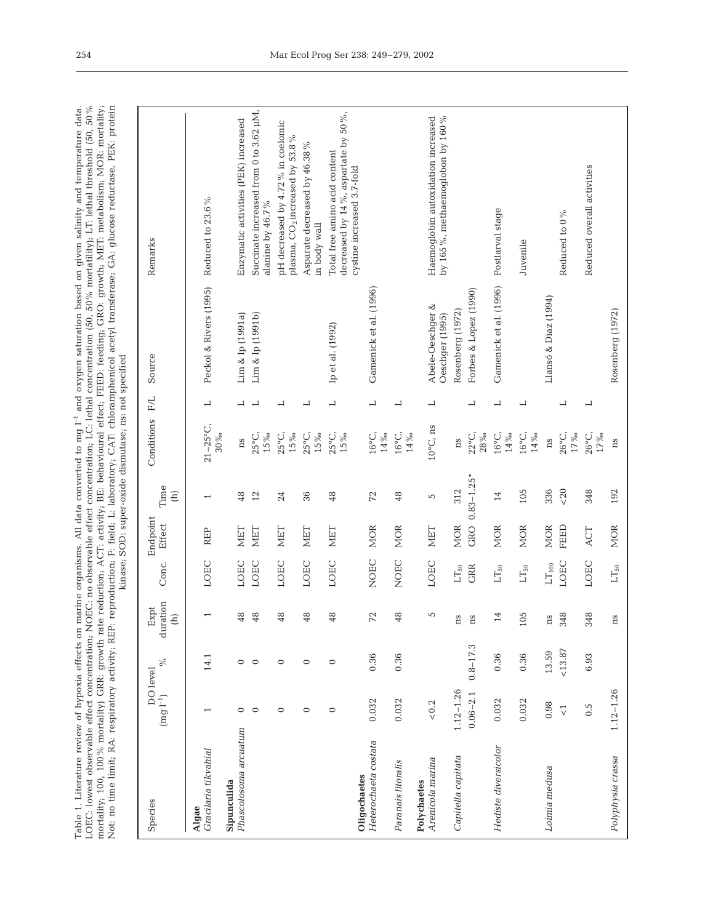Table 1. Literature review of hypoxia effects on marine organisms. All data converted to mg  $I^{-1}$  and oxygen saturation based on given salinity and temperature data.<br>LOEC: lowest observable effect concentration; NOEC: no mortality; 100, 100% mortality) GRR: growth rate reduction; ACT: activity; BE: behavioural effect; FEED: feeding; GRO: growth; NET: metabolism; MOR: mortality;<br>Not: no time limit; RA: respiratory activity; REP: reproductio Not: no time limit; RA: respiratory activity; REP: reproduction; F: field; L: laboratory; CAT: chloramphenicol acetyl transferase; GA: glucose reductase, PEK: protein Table 1. Literature review of hypoxia effects on marine organisms. All data converted to mg l–1 and oxygen saturation based on given salinity and temperature data. LOEC: lowest observable effect concentration; NOEC: no observable effect concentration; LC: lethal concentration (50, 50% mortatility); LT: lethal threshold (50, 50% mortality; 100, 100% mortality) GRR: growth rate reduction; ACT: activity; BE: behavioural effect; FEED: feeding; GRO: growth; MET: metabolism; MOR: mortality; kinase; SOD: super-oxide dismutase; ns: not specified

| Species                              | DO level<br>$(\rm{m}g\,l^{-1})$ | $\%$         | duration<br>Expt<br>$\widehat{\Xi}$ | Conc.                           | Endpoint<br>Effect | Time<br>$\widehat{E}$    | Conditions                      | F/L                      | Source                              | Remarks                                                                                            |
|--------------------------------------|---------------------------------|--------------|-------------------------------------|---------------------------------|--------------------|--------------------------|---------------------------------|--------------------------|-------------------------------------|----------------------------------------------------------------------------------------------------|
| Gracilaria tikvahial<br>Algae        | $\overline{\phantom{0}}$        | 14.1         |                                     | LOEC                            | REP                | $\overline{\phantom{0}}$ | $21 - 25^{\circ}C$ ,<br>$30\%$  | $\overline{\phantom{0}}$ | Peckol & Rivers (1995)              | Reduced to 23.6%                                                                                   |
| Phascolosoma arcuatum<br>Sipunculida | $\circ$                         | $\circ$      | 48                                  | LOEC                            | MET                | 48                       | ns                              | 凵                        | Lim & Ip (1991a)                    | Enzymatic activities (PEK) increased                                                               |
|                                      | $\circ$                         | $\circ$      | 48                                  | LOEC                            | <b>NIET</b>        | 12                       | 25°C,<br>$15\%$                 | $\overline{\phantom{0}}$ | Lim & Ip (1991b)                    | Succinate increased from 0 to 3.62 µM,<br>alanine by 46.7%                                         |
|                                      | $\circ$                         | $\circ$      | 48                                  | LOEC                            | MET                | 24                       | $25^{\circ}$ C<br>$15\%$        | $\overline{\phantom{0}}$ |                                     | pH decreased by 4.72% in coelomic<br>plasma, $CO2$ increased by 53.8%                              |
|                                      | $\circ$                         | $\circ$      | 48                                  | LOEC                            | MET                | 36                       | $25^{\circ}$ C, $15\%$          | 凵                        |                                     | Asparate decreased by 46.38%<br>in body wall                                                       |
|                                      | $\circ$                         | $\circ$      | 48                                  | LOEC                            | <b>NIET</b>        | 48                       | $25^{\circ}$ C,<br>$15\%$       | $\overline{\phantom{0}}$ | Ip et al. (1992)                    | decreased by 14%, aspartate by 50%,<br>Total free amino acid content<br>cystine increased 3.7-fold |
| Heterochaeta costata<br>Oligochaetes | 0.032                           | 0.36         | $72$                                | NOEC                            | <b>MOR</b>         | 72                       | $16^{\circ}$ C, $14\%$          | $\overline{\phantom{0}}$ | Gamenick et al. (1996)              |                                                                                                    |
| Paranais litoralis                   | 0.032                           | 0.36         | 48                                  | <b>NOEC</b>                     | <b>MOR</b>         | 48                       | $16^{\circ} \text{C}$ , 14 %    | 凵                        |                                     |                                                                                                    |
| Arenicola marina<br>Polychaetes      | ${}_{<0.2}$                     |              | 5                                   | LOEC                            | <b>NET</b>         | 5                        | $10^{\circ}$ C, ns              | 凵                        | Abele-Oeschger &<br>Oeschger (1995) | Haemoglobin autoxidation increased<br>by 165%, methaemoglobon by 160%                              |
| Capitella capitata                   | $1.12 - 1.26$                   |              | ns                                  | $LT_{50}$                       | <b>MOR</b>         | 312                      | ns                              |                          | Rosenberg (1972)                    |                                                                                                    |
|                                      | $0.06 - 2.1$                    | $0.8 - 17.3$ | ns                                  | GRR                             | GRO                | $0.83 - 1.25*$           | $22^{\circ}\mathrm{C}$ , $28\%$ | $\overline{\phantom{0}}$ | Forbes & Lopez (1990)               |                                                                                                    |
| Hediste diversicolor                 | 0.032                           | 0.36         | 14                                  | $LT_{50}$                       | <b>MOR</b>         | 14                       | $16^{\circ}$ C<br>$14\,\%$      | $\overline{\phantom{0}}$ | Gamenick et al. (1996)              | Postlarval stage                                                                                   |
|                                      | 0.032                           | 0.36         | 105                                 | $\mathop{\rm LT}\nolimits_{50}$ | <b>MOR</b>         | 105                      | $16^{\circ}$ C,<br>$14\,\%$     | ᅴ                        |                                     | Juvenile                                                                                           |
| Loimia medusa                        | 0.98                            | 13.59        | ns                                  | $\text{LT}_{100}$               | <b>MOR</b>         | 336                      | ns                              |                          | Llansó & Diaz (1994)                |                                                                                                    |
|                                      | $\overline{\vee}$               | ${<}13.87$   | 348                                 | LOEC                            | FEED               | < 20                     | $26^{\circ} \text{C}$ , 17%     | 凵                        |                                     | Reduced to 0%                                                                                      |
|                                      | 0.5                             | 6.93         | 348                                 | LOEC                            | ACT                | 348                      | $26^{\circ}$ C, $17\%$          | $\overline{\phantom{0}}$ |                                     | Reduced overall activities                                                                         |
| Polyphysia crassa                    | $1.12 - 1.26$                   |              | ns                                  | $LT_{50}$                       | <b>MOR</b>         | 192                      | ns                              |                          | Rosenberg (1972)                    |                                                                                                    |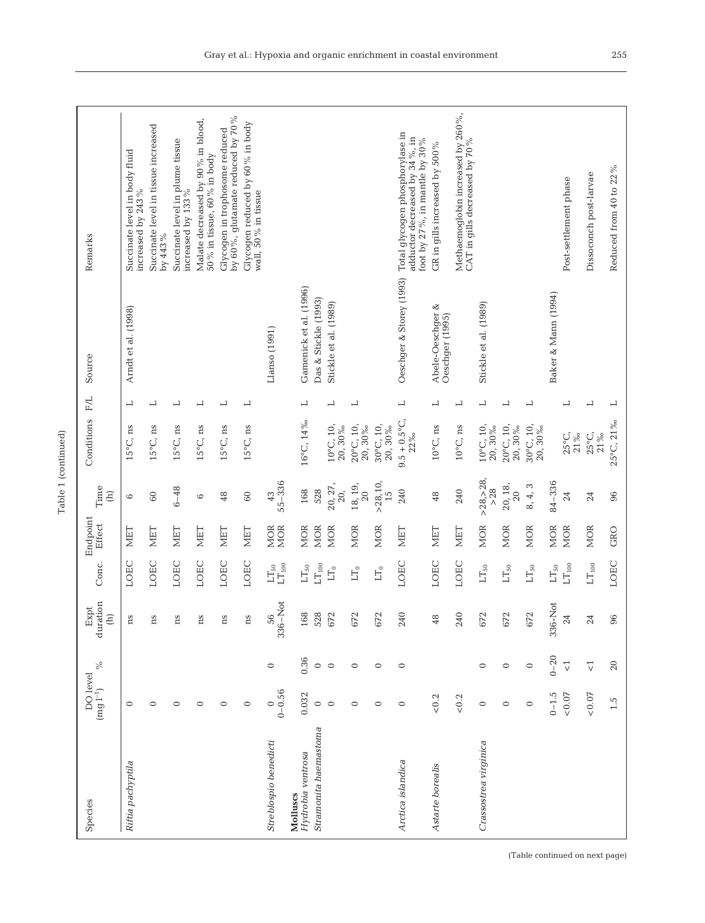| Remarks                                                                                                                                                                                                                                                                                                                                                                                                                                        | Succinate level in body fluid<br>increased by 243% | Succinate level in tissue increased<br>by 443% | Succinate level in plume tissue<br>increased by 133% | Malate decreased by 90% in blood,<br>50 % in tissue, 60 % in body | by 60%, glutamate reduced by 70%<br>Glycogen in trophosome reduced | Glycogen reduced by 60% in body<br>wall, 50% in tissue |                                  |                                 |                                  |                                   |                               |                     | Oeschger & Storey (1993) Total glycogen phosphorylase in<br>adductor decreased by 34 %, in<br>foot by 27 %, in mantle by 30 % | GR in gills increased by 500 $\%$   | Methaemoglobin increased by 260%,<br>CAT in gills decreased by 70 % |                                   |                                 |                                 |                                 | Post-settlement phase            | Dissoconch post-larvae           | Reduced from 40 to 22% |
|------------------------------------------------------------------------------------------------------------------------------------------------------------------------------------------------------------------------------------------------------------------------------------------------------------------------------------------------------------------------------------------------------------------------------------------------|----------------------------------------------------|------------------------------------------------|------------------------------------------------------|-------------------------------------------------------------------|--------------------------------------------------------------------|--------------------------------------------------------|----------------------------------|---------------------------------|----------------------------------|-----------------------------------|-------------------------------|---------------------|-------------------------------------------------------------------------------------------------------------------------------|-------------------------------------|---------------------------------------------------------------------|-----------------------------------|---------------------------------|---------------------------------|---------------------------------|----------------------------------|----------------------------------|------------------------|
| Source                                                                                                                                                                                                                                                                                                                                                                                                                                         | Amdt et al. (1998)                                 |                                                |                                                      |                                                                   |                                                                    |                                                        | Llanso (1991)                    | Gamenick et al. (1996)          | Das & Stickle (1993)             | Stickle et al. (1989)             |                               |                     |                                                                                                                               | Abele-Oeschger &<br>Oeschger (1995) |                                                                     | Stickle et al. (1989)             |                                 |                                 | Baker & Mann (1994)             |                                  |                                  |                        |
| F/L                                                                                                                                                                                                                                                                                                                                                                                                                                            | 凵                                                  | 凵                                              | 凵                                                    | ᆜ                                                                 | 凵                                                                  | ᅴ                                                      |                                  | 凵                               |                                  | 凵                                 | $\overline{\phantom{0}}$      |                     | $\overline{\phantom{0}}$                                                                                                      | ᅴ                                   | $\overline{\phantom{0}}$                                            | ᆜ                                 | 凵                               | 凵                               |                                 | 凵                                | 凵                                | $\overline{a}$         |
| Conditions                                                                                                                                                                                                                                                                                                                                                                                                                                     | $15^{\circ}$ C, ns                                 | $15^{\circ}$ C, ns                             | $15^{\circ}$ C, ns                                   | $15^{\circ}$ C, ns                                                | $15^{\circ}$ C, ns                                                 | $15^{\circ}$ C, ns                                     |                                  | 16°C, 14%                       |                                  | $10^{\circ}$ C, $10$ ,<br>20, 30% | $20^{\circ}$ C, 10,<br>20,30% | 30°C, 10,<br>20,30% | $9.5 + 0.5^{\circ}$ C<br>22%                                                                                                  | $10^{\circ}$ C, ns                  | $10^{\circ}$ C, ns                                                  | $10^{\circ}$ C, $10$ ,<br>20, 30% | $20^{\circ}$ C, 10,<br>20,30%   | 30°C, 10,<br>20,30%             |                                 | $25^{\circ}$ C,<br>$21\,\%$      | $25^{\circ}$ C,<br>21%           | 25°C, 21%              |
| Time<br>$\begin{array}{c} \begin{array}{c} \begin{array}{c} \end{array}\\ \end{array} \end{array}$                                                                                                                                                                                                                                                                                                                                             | 6                                                  | 60                                             | $6 - 48$                                             | $\circ$                                                           | 48                                                                 | $60\,$                                                 | $55 - 336$<br>43                 | 168                             | 528                              | 20, 27,<br>20,                    | 18, 19,<br>20                 | > 28, 10<br>15      | 240                                                                                                                           | 48                                  | 240                                                                 | > 28, > 28,<br>$>28$              | 20, 18,<br>20                   | 8, 4, 3                         | 84-336                          | 24                               | 24                               | 96                     |
| Endpoint<br>Effect                                                                                                                                                                                                                                                                                                                                                                                                                             | <b>NIET</b>                                        | MET                                            | MET                                                  | <b>NIET</b>                                                       | <b>NIET</b>                                                        | <b>MET</b>                                             | <b>MOR</b><br><b>MOR</b>         | <b>MOR</b>                      | <b>MOR</b>                       | <b>MOR</b>                        | <b>MOR</b>                    | <b>MOR</b>          | NET                                                                                                                           | NET                                 | NIET                                                                | <b>MOR</b>                        | <b>MOR</b>                      | <b>MOR</b>                      | <b>MOR</b>                      | <b>MOR</b>                       | <b>MOR</b>                       | GRO                    |
| Conc.                                                                                                                                                                                                                                                                                                                                                                                                                                          | LOEC                                               | LOEC                                           | LOEC                                                 | LOEC                                                              | LOEC                                                               | LOEC                                                   | $\mathop{\rm LT}\nolimits_{100}$ | $\mathop{\rm LT}\nolimits_{50}$ | $\mathop{\rm LT}\nolimits_{100}$ | $\mathop{\rm LT}\nolimits_0$      | $LT_0$                        | $LT_0$              | LOEC                                                                                                                          | LOEC                                | LOEC                                                                | $\mathop{\rm LT}\nolimits_{50}$   | $\mathop{\rm LT}\nolimits_{50}$ | $\mathop{\rm LT}\nolimits_{50}$ | $\mathop{\rm LT}\nolimits_{50}$ | $\mathop{\rm LT}\nolimits_{100}$ | $\mathop{\rm LT}\nolimits_{100}$ | LOEC                   |
| duration<br>Expt<br>$\begin{array}{c}\n\text{ }\\ \text{ }\\ \text{ }\\ \text{ }\\ \text{ }\\ \text{ }\\ \text{ }\\ \text{ }\\ \text{ }\\ \text{ }\\ \text{ }\\ \text{ }\\ \text{ }\\ \text{ }\\ \text{ }\\ \text{ }\\ \text{ }\\ \text{ }\\ \text{ }\\ \text{ }\\ \text{ }\\ \text{ }\\ \text{ }\\ \text{ }\\ \text{ }\\ \text{ }\\ \text{ }\\ \text{ }\\ \text{ }\\ \text{ }\\ \text{ }\\ \text{ }\\ \text{ }\\ \text{ }\\ \text{ }\\ \text$ | ă                                                  | ă                                              | ns                                                   | ă                                                                 | ã                                                                  | ns                                                     | 56<br>336-Not                    | $\infty$<br>$\overline{16}$     | 528                              | 672                               | 672                           | 672                 | 240                                                                                                                           | 48                                  | 240                                                                 | 672                               | 672                             | 672                             | 336-Not                         | $\overline{c}$                   | $\mathbb{Z}^4$                   | $\frac{6}{6}$          |
| $\%$                                                                                                                                                                                                                                                                                                                                                                                                                                           |                                                    |                                                |                                                      |                                                                   |                                                                    |                                                        | $\circ$                          | 0.36                            | $\circ$                          | $\circ$                           | $\circ$                       | $\circ$             | $\circ$                                                                                                                       |                                     |                                                                     | $\circ$                           | $\circ$                         | $\circ$                         | $0 - 20$                        | $\overline{\vee}$                | $\vec{\nabla}$                   | $20\,$                 |
| $DO level$<br>$(mg l^{-1})$                                                                                                                                                                                                                                                                                                                                                                                                                    | $\circ$                                            | $\circ$                                        | 0                                                    | 0                                                                 | 0                                                                  | $\circ$                                                | $0 - 0.56$<br>$\circ$            | 0.032                           | $\circ$                          | $\circ$                           | $\circ$                       | $\circ$             | $\circ$                                                                                                                       | $< 0.2$                             | ${}_{<0.2}$                                                         | $\circ$                           | $\circ$                         | $\circ$                         | $0 - 1.5$                       | $<\!0.07$                        | $<\!0.07$                        | $1.\overline{5}$       |
| Species                                                                                                                                                                                                                                                                                                                                                                                                                                        | Riftia pachyptila                                  |                                                |                                                      |                                                                   |                                                                    |                                                        | Streblospio benedicti            | Hydrobia ventrosa<br>Molluscs   | Stramonita haemastoma            |                                   |                               |                     | Arctica islandica                                                                                                             | Astarte borealis                    |                                                                     | Crassostrea virginica             |                                 |                                 |                                 |                                  |                                  |                        |

Table 1 (continued)

Table 1 (continued)

(Table continued on next page)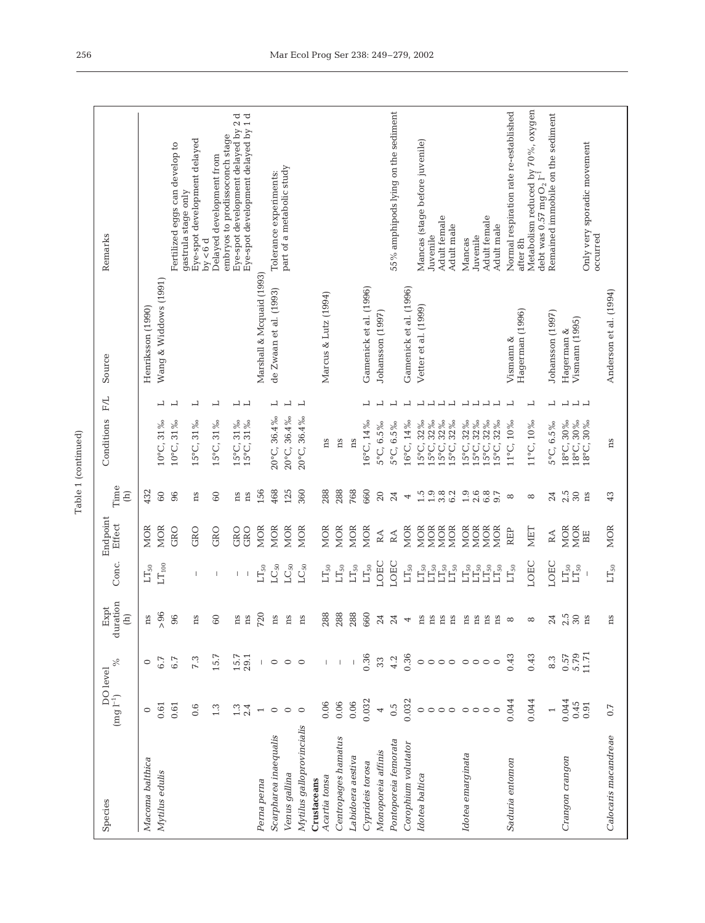| í |
|---|
| ۹ |
|   |

| Species                              | $\begin{array}{c} \text{DO level} \\ (\text{mg l}^{-1}) \end{array}_{o}$ | $\%$                      | duration<br>Expt<br>$\widehat{E}$ | Conc.                                                              | Endpoint<br>Effect       | Time<br>$\begin{array}{c} \widehat{E} \end{array}$ | Conditions             | F/L                                                  | Source                       | Remarks                                                                     |
|--------------------------------------|--------------------------------------------------------------------------|---------------------------|-----------------------------------|--------------------------------------------------------------------|--------------------------|----------------------------------------------------|------------------------|------------------------------------------------------|------------------------------|-----------------------------------------------------------------------------|
| Macoma balthica                      | $\circ$                                                                  | $\circ$                   | ns                                | $\mathop{\rm LT}\nolimits_{50}$                                    | <b>MOR</b>               | 432                                                |                        |                                                      | Henriksson (1990)            |                                                                             |
| Mytilus edulis                       | 0.61                                                                     | 6.7                       | > 96                              | $LT_{100}$                                                         | <b>MOR</b>               | 60                                                 | 10°C, 31%              | 凵                                                    | Wang & Widdows (1991)        |                                                                             |
|                                      | 0.61                                                                     | 6.7                       | 96                                |                                                                    | GRO                      | 96                                                 | 10°C, 31%              | 凵                                                    |                              | Fertilized eggs can develop to<br>gastrula stage only                       |
|                                      | 0.6                                                                      | 7.3                       | ns                                |                                                                    | GRO                      | ns                                                 | 15°C, 31%              | ᅴ                                                    |                              | Eye-spot development delayed<br>by $< 6d$                                   |
|                                      | 1.3                                                                      | 15.7                      | 60                                | $\mathbf{I}$                                                       | GRO                      | 60                                                 | 15°C, 31%              | 凵                                                    |                              | embryos to prodissoconch stage<br>Delayed development from                  |
|                                      | $1.\overline{3}$<br>$2.\overline{4}$                                     | $15.7$<br>29.1            | ns                                | L                                                                  | GRO                      | ns                                                 | 15°C, 31%<br>15°C, 31% | ⊣ ⊣                                                  |                              | ರ ರ<br>Eye-spot development delayed by 2                                    |
| Perna perna                          |                                                                          |                           | ns<br>720                         | $\mathop{\rm LT}\nolimits_{50}$<br>$\overline{\phantom{a}}$        | GRO<br><b>MOR</b>        | 156<br>ns                                          |                        |                                                      | Marshall & Mcquaid (1993)    | Eye-spot development delayed by 1                                           |
| Scarpharea inaequalis                | $\circ$                                                                  | $\circ$                   | ns                                | $_{\rm LC_{50}}$                                                   | MOR                      | 468                                                | 20°C, 36.4%            | 凵                                                    | de Zwaan et al. (1993)       | Tolerance experiments:                                                      |
| Venus gallina                        | $\circ$                                                                  | $\circ$ $\circ$           | ns                                | $LC_{50}$                                                          | <b>MOR</b>               | 125                                                | 20°C, 36.4%            | $\overline{\phantom{0}}$                             |                              | part of a metabolic study                                                   |
| Mytilus galloprovincialis            | $\circ$                                                                  |                           | ns                                | $LC_{50}$                                                          | <b>MOR</b>               | 360                                                | 20°C, 36.4%            | $\overline{\phantom{0}}$                             |                              |                                                                             |
| Crustaceans                          |                                                                          |                           |                                   |                                                                    |                          |                                                    |                        |                                                      |                              |                                                                             |
| Centropages hamatus<br>Acartia tonsa | 0.06<br>0.06                                                             |                           | 288<br>288                        | $\mathop{\rm LT}\nolimits_{50}$<br>$\mathop{\rm LT}\nolimits_{50}$ | <b>MOR</b><br><b>MOR</b> | 288<br>288                                         | ns<br>ns               |                                                      | Marcus & Lutz (1994)         |                                                                             |
| Labidoera aestiva                    | 0.06                                                                     |                           | 288                               | $\mathop{\rm LT}\nolimits_{50}$                                    | <b>MOR</b>               | 768                                                | ns                     |                                                      |                              |                                                                             |
| Cyprideis torosa                     | 0.032                                                                    | 0.36                      | 660                               | $\mathop{\rm LT}\nolimits_{50}$                                    | <b>MOR</b>               | 660                                                | 16°C, 14%              | 凵                                                    | Gamenick et al. (1996)       |                                                                             |
| Monoporeia affinis                   | $\overline{\phantom{a}}$                                                 | $33\,$                    | 24                                | LOEC                                                               | $\mathbb{R}\mathbb{A}$   | 20                                                 | 5°C, 6.5%              | 凵                                                    | Johansson (1997)             |                                                                             |
| Pontoporeia femorata                 | 0.5                                                                      | 4.2                       | 24                                | LOEC                                                               | $\mathbb{R}\mathbb{A}$   | 24                                                 | 5°C, 6.5%              | 凵                                                    |                              | 55% amphipods lying on the sediment                                         |
| Corophium volutator                  | 0.032                                                                    | 0.36                      | $\overline{a}$                    | $\mathop{\rm LT}\nolimits_{50}$                                    | <b>MOR</b>               | 4                                                  | 16°C, 14%              | $\overline{\phantom{0}}$                             | Gamenick et al. (1996)       |                                                                             |
| Idotea baltica                       | $\circ$                                                                  |                           | ns                                | $\mathop{\rm LT}\nolimits_{50}^{\mathstrut}$                       | <b>MOR</b>               | 1.5                                                | 15°C, 32%              | $\overline{\phantom{a}}$                             | Vetter et al. (1999)         | Mancas (stage before juvenile)                                              |
|                                      | $\circ$                                                                  | $\circ \circ \circ \circ$ | ns<br>$_{\rm ns}$                 | $\mathop{\rm LT}\nolimits_{50}$                                    | <b>MOR</b><br><b>MOR</b> | 1.9                                                | .5°C, 32%<br>15°C, 32‰ | $\overline{\phantom{a}}$<br>$\overline{\phantom{0}}$ |                              | Adult female<br>Juvenile                                                    |
|                                      | $\circ$                                                                  |                           | $_{\rm ns}$                       | $\mathop{\rm LT}\nolimits_{50}$                                    | <b>MOR</b>               | $3.\overline{8}$<br>6.2                            | 15°C, 32%              | $\overline{\phantom{0}}$                             |                              | Adult male                                                                  |
| Idotea emarginata                    | $\circ \circ \circ$                                                      | $\circ$                   | ns                                | $\mathop{\rm LT}\nolimits_{50}$                                    | <b>MOR</b>               | 1.9                                                | 15°C, 32%              | $\overline{\phantom{a}}$                             |                              | Mancas                                                                      |
|                                      |                                                                          | $\circ$<br>$\circ$        | ns<br>ns                          | $1130$<br>$1150$<br>$1150$                                         | <b>MOR</b><br><b>MOR</b> | $0.87$<br>$0.87$                                   | 15°C, 32%<br>15°C, 32% | $\begin{array}{c} \square \end{array}$               |                              | Adult female<br>Juvenile                                                    |
|                                      | $\circ$                                                                  | $\circ$                   | ns                                |                                                                    | <b>MOR</b>               |                                                    | 15°C, 32%              | $\overline{\phantom{0}}$                             |                              | Adult male                                                                  |
| Saduria entomon                      | 0.044                                                                    | 0.43                      | $\infty$                          | $LT_{50}$                                                          | REP                      | $\infty$                                           | $11^{\circ}$ C, $10\%$ | ᅴ                                                    | Hagerman (1996)<br>Vismann & | Normal respiration rate re-established<br>after 8h                          |
|                                      | 0.044                                                                    | 0.43                      | ${}^{\infty}$                     | LOEC                                                               | NET                      | ${}^{\circ}$                                       | $11^{\circ}$ C, $10\%$ | 凵                                                    |                              | Metabolism reduced by 70%, oxygen<br>debt was $0.57$ mg $O2$ I <sup>-</sup> |
|                                      | $\overline{a}$                                                           | 8.3                       | 24                                | LOEC                                                               | $\mathbb{R}\mathbb{A}$   | 24                                                 | 5°C, 6.5%              | 凵                                                    | Johansson (1997)             | Remained immobile on the sediment                                           |
| Crangon crangon                      | 0.044                                                                    | 0.57                      | 2.5                               | $\rm LT_{50}$                                                      | <b>MOR</b>               | 2.5                                                | 18°C, 30%              | $\overline{\phantom{a}}$                             | Hagerman &                   |                                                                             |
|                                      | 0.45<br>0.91                                                             | 5.79<br>11.71             | $30\,$<br>ns                      | $\mathop{\rm LT}\nolimits_{50}$                                    | <b>MOR</b><br>BE         | $30\,$<br>ns                                       | 18°C, 30%<br>18°C, 30% | $\overline{a}$                                       | Vismann (1995)               | Only very sporadic movement                                                 |
| Calocaris macandreae                 | 0.7                                                                      |                           | ns                                | $LT_{50}$                                                          | <b>MOR</b>               | 43                                                 | ns                     |                                                      | Anderson et al. (1994)       | occurred                                                                    |
|                                      |                                                                          |                           |                                   |                                                                    |                          |                                                    |                        |                                                      |                              |                                                                             |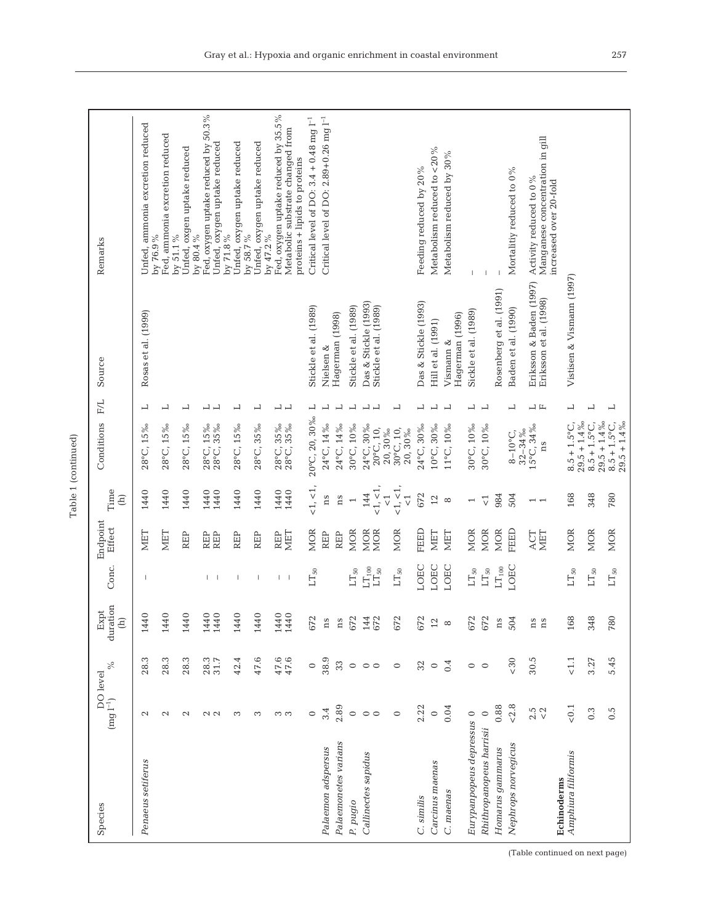| é |  |
|---|--|
| ۰ |  |
|   |  |

| Species                            |                                           | $\%$               | duration<br>Expt<br>$\widehat{E}$ | Conc.                                                               | Endpoint<br>Effect | Time<br>$\widehat{E}$                                   | Conditions                                                 | F/L                                                  | Source                                            | Remarks                                                                                                  |
|------------------------------------|-------------------------------------------|--------------------|-----------------------------------|---------------------------------------------------------------------|--------------------|---------------------------------------------------------|------------------------------------------------------------|------------------------------------------------------|---------------------------------------------------|----------------------------------------------------------------------------------------------------------|
| Penaeus setiferus                  | $\mathcal{C}$                             | 28.3               | $\circ$<br>144                    |                                                                     | <b>NIET</b>        | 1440                                                    | 28°C, 15%                                                  | ᅴ                                                    | Rosas et al. (1999)                               | Unfed, ammonia excretion reduced                                                                         |
|                                    | $\mathbf{c}$                              | 28.3               | $\circ$<br>144                    |                                                                     | NIET               | 1440                                                    | 28°C, 15‰                                                  | ᅴ                                                    |                                                   | Fed, ammonia excretion reduced<br>by 51.1%<br>by 76.9%                                                   |
|                                    | $\mathbf{\Omega}$                         | 28.3               | $\circ$<br>144                    |                                                                     | REP                | 1440                                                    | 28°C, 15%                                                  | ᅴ                                                    |                                                   | Unfed, oxgen uptake reduced<br>by 80.4%                                                                  |
|                                    | $\sim$ $\sim$                             | 28.3<br>31.7       | $\circ$<br>$\circ$<br>144<br>144  | $\mathbf{I}$ $\mathbf{I}$                                           | REP<br>REP         | 1440<br>1440                                            | 28°C, 15%<br>28°C, 35%                                     | ᆸᆸ                                                   |                                                   | Fed, oxygen uptake reduced by 50.3%<br>Unfed, oxygen uptake reduced<br>by 71.8%                          |
|                                    | S                                         | 42.4               | $\circ$<br>144                    | -1                                                                  | REP                | 1440                                                    | 28°C, 15%                                                  | ᅴ                                                    |                                                   | Unfed, oxygen uptake reduced<br>by 58.7%                                                                 |
|                                    | S                                         | 47.6               | $\circ$<br>144                    | $\mathbf{I}$                                                        | REP                | 1440                                                    | 28°C, 35‰                                                  | 凵                                                    |                                                   | Unfed, oxygen uptake reduced<br>by 47.2%                                                                 |
|                                    | က က                                       | $47.6$<br>$47.6$   | $\circ$<br>1440<br>144            | $1 - 1$                                                             | MET<br><b>REP</b>  | 1440<br>1440                                            | 28°C, 35%<br>28°C, 35%                                     | ᆜᆜ                                                   |                                                   | Fed, oxygen uptake reduced by 35.5%<br>Metabolic substrate changed from<br>proteins + lipids to proteins |
|                                    | $\circ$                                   | $\circ$            | 672                               | $LT_{50}$                                                           | <b>MOR</b>         | <1, <1,                                                 | 20°C, 20, 30%                                              | 凵                                                    | Stickle et al. (1989)                             | Critical level of DO: $3.4 + 0.48$ mg $l^{-1}$                                                           |
| Palaemon adspersus                 | 3.4                                       | 38.9               | $\rm ns$                          |                                                                     | REP                | ns                                                      | 24°C, 14%                                                  | L                                                    | Nielsen &                                         | Critical level of DO: $2.89+0.26$ mg $l^{-1}$                                                            |
| Palaemonetes varians               | 2.89                                      | 33                 | n s                               |                                                                     | <b>REP</b>         | ns                                                      | 24°C, 14%                                                  | 凵                                                    | Hagerman (1998)                                   |                                                                                                          |
| P. pugio                           | $\circ$                                   | $\circ$            | 672                               | $\mathop{\rm LT}\nolimits_{50}$                                     | MOR                | $\overline{a}$                                          | 30°C, 10‰                                                  | $\overline{\phantom{0}}$                             | Stickle et al. (1989)                             |                                                                                                          |
| Callinectes sapidus                | $\circ$<br>$\circ$                        | $\circ$<br>$\circ$ | 144<br>672                        | $\mathop{\rm LT}\nolimits_{100}$<br>$\mathop{\rm LT}\nolimits_{50}$ | MOR<br>MOR         | $<\!1,\,<\!1,$<br>144                                   | 24°C, 30‰<br>$20^{\circ}$ C, 10,                           | $\overline{\phantom{0}}$<br>$\overline{\phantom{0}}$ | Das & Stickle (1993)<br>Stickle et al. (1989)     |                                                                                                          |
|                                    | $\circ$                                   | $\circ$            | 672                               | $\mathop{\rm LT}\nolimits_{50}$                                     | MOR                | $<\!1, <\!1,$<br>$\overline{\vee}$<br>$\overline{\vee}$ | 30°C, 10,<br>20, 30%<br>20,30%                             | 凵                                                    |                                                   |                                                                                                          |
| C. similis                         | 2.22                                      | 32                 | 672                               | LOEC                                                                | FEED               | 672                                                     | 24°C, 30‰                                                  | 凵                                                    | Das & Stickle (1993)                              | Feeding reduced by 20%                                                                                   |
| Carcinus maenas                    | $\circ$                                   | $\circ$            | 12                                | LOEC                                                                | MET                | $\overline{2}$                                          | $10^{\circ}$ C, $30\%$                                     | 凵                                                    | Hill et al. (1991)                                | Metabolism reduced to <20%                                                                               |
| C. maenas                          | 0.04                                      | 0.4                | $\infty$                          | LOEC                                                                | MET                | $\infty$                                                | 11°C, 10%                                                  | ᅴ                                                    | Hagerman (1996)<br>Vismann &                      | Metabolism reduced by 30%                                                                                |
| Eurypanpopeus depressus 0          |                                           | $\circ$            | 672                               | $LT_{50}$                                                           | MOR                | $\overline{\phantom{0}}$                                | 30°C, 10‰                                                  | $\overline{\phantom{0}}$                             | Sickle et al. (1989)                              |                                                                                                          |
| Rhithropanopeus harrisii           | $\circ$                                   | $\circ$            | 672                               | $\mathop{\rm LT}\nolimits_{50}$                                     | MOR                | $\vec{\nabla}$                                          | 30°C, 10%                                                  | 凵                                                    |                                                   |                                                                                                          |
| Homarus gammarus                   | 0.88                                      |                    | ns                                | $\rm LT_{100}$                                                      | MOR                | 984                                                     |                                                            |                                                      | Rosenberg et al. (1991)                           |                                                                                                          |
| Nephrops norvegicus                | ${}_{< 2.8}$                              | $< 30$             | 504                               | LOEC                                                                | FEED               | 504                                                     | $32 - 34\%$<br>$8 - 10^{\circ}$ C,                         | 凵                                                    | Baden et al. (1990)                               | Mortalitiy reduced to 0%                                                                                 |
|                                    | $\begin{array}{c} 2.5 \\ 7.2 \end{array}$ | 30.5               | ns<br>ns                          |                                                                     | MET<br>ACT         | $\overline{1}$                                          | 15°C, 34%<br>ns                                            | ᆸᄔ                                                   | Eriksson & Baden (1997)<br>Eriksson et al. (1998) | Manganese concentration in gill<br>Activity reduced to 0%<br>increased over 20-fold                      |
| Amphiura filiformis<br>Echinoderms | $<\!0.1$                                  | < 1.1              | 168                               | $LT_{50}$                                                           | <b>MOR</b>         | 168                                                     | $8.5 + 1.5^{\circ}$ C,                                     | L                                                    | Vistisen & Vismann (1997)                         |                                                                                                          |
|                                    | 0.3                                       | 3.27               | 348                               | $\mathop{\rm LT}\nolimits_{50}$                                     | <b>MOR</b>         | 348                                                     | $29.5 + 1.4\%$<br>$8.5 + 1.5^{\circ}C$                     | 凵                                                    |                                                   |                                                                                                          |
|                                    | $0.\overline{5}$                          | 5.45               | 780                               | $\mathop{\rm LT}\nolimits_{50}$                                     | <b>MOR</b>         | 780                                                     | $29.5 + 1.4\%$<br>$8.5 + 1.5^{\circ}C$ ,<br>$29.5 + 1.4\%$ | ᅴ                                                    |                                                   |                                                                                                          |

Gray et al.: Hypoxia and organic enrichment in coastal environment 257

(Table continued on next page)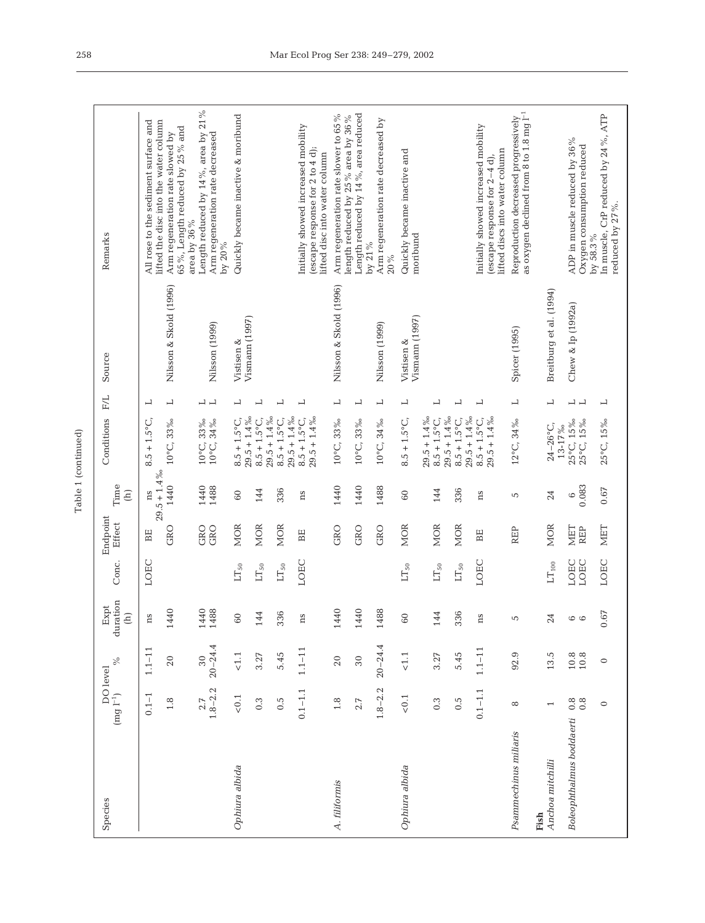| ۳ |
|---|
|   |

| Species                  | DO level<br>$\left(\text{mg}\; \mathbf{l}^{-1}\right)$ | $\%$                                        | duration<br>Expt<br>$\begin{array}{c} \square \end{array}$ | Conc.                           | Endpoint<br>Effect | Time<br>$\widehat{\Xi}$ | Conditions                                                 | F/L                      | Source                            | Remarks                                                                                                 |
|--------------------------|--------------------------------------------------------|---------------------------------------------|------------------------------------------------------------|---------------------------------|--------------------|-------------------------|------------------------------------------------------------|--------------------------|-----------------------------------|---------------------------------------------------------------------------------------------------------|
|                          | $0.1 - 1$                                              | $1.1 - 11$                                  | ns                                                         | LOEC                            | BE                 | $29.5 + 1.4\%$<br>ns    | $8.5 + 1.5^{\circ}C$                                       | ᅴ                        |                                   | All rose to the sediment surface and<br>lifted the disc into the water column                           |
|                          | 1.8                                                    | 20                                          | 144                                                        |                                 | GRO                | 1440                    | 10°C, 33‰                                                  | $\overline{\phantom{0}}$ | Nilsson & Skold (1996)            | 65%, Length reduced by 25% and<br>Arm regeneration rate slowed by<br>area by 36 $\%$                    |
|                          | $1.8 - 2.2$<br>2.7                                     | $20 - 24.4$<br>30                           | 1440<br>1488                                               |                                 | GRO<br>GRO         | 1440<br>1488            | 10°C, 33%<br>10°C, 34%                                     | $\overline{1}$           | Nilsson (1999)                    | Length reduced by 14 %, area by 21 %<br>Arm regeneration rate decreased<br>by 20%                       |
| Ophiura albida           | $< 0.1$                                                | $<\!1.1$                                    | 60                                                         | $LT_{50}$                       | <b>MOR</b>         | 60                      | $29.5 + 1.4\%$<br>$8.5 + 1.5^{\circ}$ C                    | L                        | $V$ ismann $(1997)$<br>Vistisen & | Quickly became inactive & moribund                                                                      |
|                          | $0.\overline{3}$                                       | 3.27                                        | 144                                                        | $\mathop{\rm LT}\nolimits_{50}$ | <b>MOR</b>         | 144                     | $29.5 + 1.4\%$<br>$8.5 + 1.5^{\circ}$ C,                   | ᆜ                        |                                   |                                                                                                         |
|                          | $0.\overline{5}$                                       | 5.45                                        | 336                                                        | $\mathop{\rm LT}\nolimits_{50}$ | <b>MOR</b>         | 336                     | $29.5 + 1.4\%$<br>$8.5 + 1.5^{\circ}$ C,                   | $\overline{\phantom{0}}$ |                                   |                                                                                                         |
|                          | $0.1 - 1.1$                                            | $1.1 - 11$                                  | ns                                                         | LOEC                            | BE                 | ns                      | $29.5 + 1.4\%$<br>$8.5 + 1.5^{\circ}C$ ,                   | $\overline{\phantom{0}}$ |                                   | Initially showed increased mobility<br>(escape response for 2 to 4 d);<br>lifted disc into water column |
| A. filifornis            | 1.8                                                    | 20                                          | 1440                                                       |                                 | GRO                | 1440                    | 10°C, 33%                                                  | $\overline{\phantom{0}}$ | Nilsson & Skold (1996)            | Arm regeneration rate slower to 65 %<br>length reduced by 25% area by 36%                               |
|                          | 2.7                                                    | $30\,$                                      | 144                                                        |                                 | GRO                | 1440                    | $10^{\circ}$ C, 33%                                        | 凵                        |                                   | Length reduced by 14%, area reduced<br>by 21%                                                           |
|                          | $1.8 - 2.2$                                            | $20 - 24.4$                                 | 1488                                                       |                                 | GRO                | 1488                    | 10°C, 34%                                                  | 凵                        | Nilsson (1999)                    | Arm regeneration rate decreased by<br>20%                                                               |
| Ophiura albida           | $< 0.1$                                                | $<1.1$                                      | 60                                                         | $LT_{50}$                       | <b>MOR</b>         | 60                      | $8.5 + 1.5^{\circ}$ C,                                     | 凵                        | $V$ ismann $(1997)$<br>Vistisen & | Quickly became inactive and<br>moribund                                                                 |
|                          | 0.3                                                    | 3.27                                        | 144                                                        | $LT_{50}$                       | <b>MOR</b>         | 144                     | $29.5 + 1.4\%$<br>$29.5 + 1.4\%$<br>$8.5 + 1.5^{\circ}C$ , | 凵                        |                                   |                                                                                                         |
|                          | 0.5                                                    | 5.45                                        | 336                                                        | $\mathop{\rm LT}\nolimits_{50}$ | <b>MOR</b>         | 336                     | $29.5 + 1.4\%$<br>$8.5 + 1.5^{\circ}$ C,                   | $\overline{\phantom{0}}$ |                                   |                                                                                                         |
|                          | $0.1 - 1.1$                                            | $1.1 - 11$                                  | ns                                                         | LOEC                            | BE                 | ns                      | $8.5 + 1.5^{\circ}C$ ,<br>$29.5 + 1.4\%$                   | ᅴ                        |                                   | Initially showed increased mobility<br>lifted discs into water column<br>(escape response for 2-4 d),   |
| Psammechinus miliaris    | $^{\circ}$                                             | 92.9                                        | 5                                                          |                                 | <b>REP</b>         | 5                       | $12^{\circ}$ C <sub>1</sub> 34%                            | 凵                        | Spicer (1995)                     | as oxygen declined from 8 to 1.8 mg $\mathring{\Gamma}^1$<br>Reproduction decreased progressively       |
| Anchoa mitchilli<br>Fish |                                                        | 13.5                                        | 24                                                         | LT <sub>100</sub>               | <b>MOR</b>         | 24                      | $24 - 26^{\circ}$ C,<br>$13 - 17\%$                        | 凵                        | Breitburg et al. (1994)           |                                                                                                         |
| Boleophthalmus boddaerti | $0.\overline{8}$<br>0.8                                | $\begin{array}{c} 10.8 \\ 10.8 \end{array}$ | $\circ$                                                    | LOEC<br>LOEC                    | <b>MET</b><br>REP  | 0.083<br>$\circ$        | 25°C, 15‰<br>25°C, 15%                                     | $\overline{1}$           | Chew & Ip (1992a)                 | ADP in muscle reduced by 36 %<br>Oxygen consumption reduced<br>by 58.3%                                 |
|                          | $\circ$                                                | $\circ$                                     | 0.67                                                       | LOEC                            | <b>NIET</b>        | 0.67                    | 25°C, 15%                                                  | $\overline{a}$           |                                   | In muscle, CrP reduced by 24 %, ATP<br>reduced by 27 %.                                                 |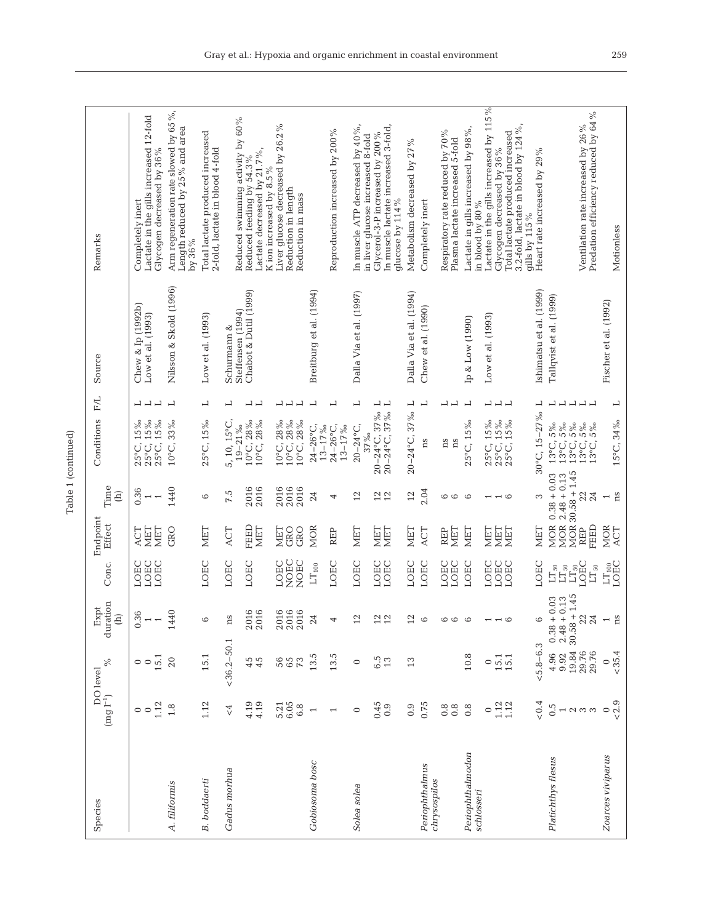| ł<br>۰<br>۰ |
|-------------|
|             |

| Species                        | $\rm (mg\ l^{-1})$                     | $\%$<br>DO level                         | duration<br>Expt<br>$\begin{array}{c}\n\end{array}$                | Conc.                                                                                             | Endpoint<br>Effect                      | Time<br>$\widehat{E}$                                            | F/L<br>Conditions                                                                                                                                                          | Source                                 | Remarks                                                                                                                     |
|--------------------------------|----------------------------------------|------------------------------------------|--------------------------------------------------------------------|---------------------------------------------------------------------------------------------------|-----------------------------------------|------------------------------------------------------------------|----------------------------------------------------------------------------------------------------------------------------------------------------------------------------|----------------------------------------|-----------------------------------------------------------------------------------------------------------------------------|
|                                | 1.12<br>$\circ$                        | 15.1<br>$\circ$                          | 0.36<br>$\overline{\phantom{0}}$<br>$\overline{\phantom{0}}$       | LOEC<br>LOEC<br>LOEC                                                                              | MET<br>NET<br>ACT                       | 0.36<br>$\overline{ }$<br>$\overline{\phantom{0}}$               | ᆜᆜᆜ<br>25°C, 15%<br>25°C, 15%<br>25°C, 15%                                                                                                                                 | Chew & Ip (1992b)<br>Low et al. (1993) | Lactate in the gills increased 12-fold<br>Glycogen decreased by 36%<br>Completely inert                                     |
| A. filiformis                  | 1.8                                    | 20                                       | 1440                                                               |                                                                                                   | GRO                                     | 1440                                                             | $\overline{\phantom{0}}$<br>10°C, 33%                                                                                                                                      | Nilsson & Skold (1996)                 | Arm regeneration rate slowed by 65%,<br>Length reduced by 25% and area<br>by 36%                                            |
| <b>B.</b> boddaerti            | 1.12                                   | 15.1                                     | 6                                                                  | LOEC                                                                                              | <b>NET</b>                              | 6                                                                | 凵<br>25°C, 15%                                                                                                                                                             | Low et al. (1993)                      | Total lactate produced increased<br>2-fold, lactate in blood 4-fold                                                         |
| Gadus morhua                   | $\overline{\zeta}$                     | $<$ 36.2-50.1                            | ns                                                                 | LOEC                                                                                              | ACT                                     | 7.5                                                              | 凵<br>5, 10, 15°C,<br>$19 - 21\%$                                                                                                                                           | Steffensen (1994)<br>Schurmann &       | Reduced swimming activity by 60%                                                                                            |
|                                | 4.19<br>4.19                           | 45                                       | 2016<br>2016                                                       | LOEC                                                                                              | FEED<br><b>MET</b>                      | 2016<br>2016                                                     | ᆜᆜ<br>$10^{\circ}$ C, $28\%$<br>$10^{\circ}$ C, 28%                                                                                                                        | Chabot & Dutil (1999)                  | Lactate decreased by 21.7%<br>Reduced feeding by 54.3%<br>K ion increased by 8.5%                                           |
|                                | 5.21<br>6.05<br>6.8                    | 56<br>65<br>$\mathcal{F}^2$              | 2016<br>2016<br>2016                                               | NOEC<br>NOEC<br>LOEC                                                                              | GRO<br>GRO<br>MET                       | 2016<br>2016<br>2016                                             | $\sqcup$<br>凵<br>10°C, 28‰<br>10°C, 28‰<br>$10^{\circ}$ C, 28%                                                                                                             |                                        | Liver glucose decreased by 26.2%<br>Reduction in length<br>Reduction in mass                                                |
| Gobiosoma bosc                 | $\overline{ }$                         | 13.5                                     | 24                                                                 | $\mathop{\rm LT}\nolimits_{100}$                                                                  | MOR                                     | 24                                                               | 凵<br>$24 - 26$ °C,<br>$13 - 17\%$                                                                                                                                          | Breitburg et al. (1994)                |                                                                                                                             |
|                                |                                        | 13.5                                     | 4                                                                  | LOEC                                                                                              | REP                                     | 4                                                                | 凵<br>$24 - 26^{\circ}C$ ,<br>$13 - 17\%$                                                                                                                                   |                                        | Reproduction increased by 200%                                                                                              |
| Solea solea                    | $\circ$                                | $\circ$                                  | 12                                                                 | LOEC                                                                                              | <b>NIET</b>                             | 12                                                               | $\overline{\phantom{0}}$<br>$20 - 24$ °C,<br>37%                                                                                                                           | Dalla Via et al. (1997)                | In muscle ATP decreased by 40%,<br>in liver glucose increased 8-fold                                                        |
|                                | 0.45<br>0.9                            | $\begin{array}{c} 6.5 \\ 13 \end{array}$ | $12 \overline{1}$                                                  | LOEC<br>LOEC                                                                                      | MET<br>MET                              | $12$                                                             | $\overline{\phantom{0}}$<br>20-24°C, 37%<br>20-24°C, 37%                                                                                                                   |                                        | In muscle lactate increased 3-fold,<br>Glycerol-3-P increased by 200%<br>glucose by 114 %                                   |
|                                | 0.9                                    | 13                                       | 12                                                                 | LOEC                                                                                              | MET                                     | 12                                                               | $\overline{\phantom{0}}$<br>$20 - 24$ °C, 37%                                                                                                                              | Dalla Via et al. (1994)                | Metabolism decreased by 27 %                                                                                                |
| Periophthalmus<br>chrysospilos | 0.75                                   |                                          | $\circ$                                                            | LOEC                                                                                              | ACT                                     | 2.04                                                             | L<br>ns                                                                                                                                                                    | Chew et al. (1990)                     | Completely inert                                                                                                            |
|                                | $0.\overline{8}$<br>$0.\overline{8}$   |                                          | 6<br>$\circ$                                                       | LOEC<br>LOEC                                                                                      | NET<br>REP                              | 6<br>$\circ$                                                     | 凵<br>$\overline{\phantom{0}}$<br>ns<br>ns                                                                                                                                  |                                        | Respiratory rate reduced by 70 %<br>Plasma lactate increased 5-fold                                                         |
| Periophthalmodon<br>schlosseri | $0.\overline{8}$                       | 10.8                                     | $\circ$                                                            | LOEC                                                                                              | MET                                     | $\circ$                                                          | 凵<br>25°C, 15%                                                                                                                                                             | Ip & Low (1990)                        | Lactate in gills increased by 98 %,<br>in blood by 80 %                                                                     |
|                                | $\circ$                                | $\circ$                                  |                                                                    | LOEC                                                                                              | MET                                     | 1                                                                |                                                                                                                                                                            | Low et al. (1993)                      | Lactate in the gills increased by 115%                                                                                      |
|                                | $1.12$<br>$1.12$                       | 15.1                                     | $\overline{a}$                                                     | LOEC<br>LOEC                                                                                      | MET<br>NET                              | $\overline{a}$                                                   | コココ<br>$25^{\circ}$ C, 15%<br>$25^{\circ}$ C, 15%<br>$25^{\circ}$ C, 15%                                                                                                   |                                        | 3.2-fold, lactate in blood by $124\,\%$ ,<br>Total lactate produced increased<br>Glycogen decreased by 36%<br>gills by 115% |
|                                | 0.4                                    | $&5.8 - 6.3$                             | $\circ$                                                            | LOEC                                                                                              | MET                                     | 3                                                                | $\sqcup$<br>$30^{\circ}$ C, $15 - 27\%$                                                                                                                                    | Ishimatsu et al. (1999)                | Heart rate increased by 29%                                                                                                 |
| Platichthys flesus             | $0.\overline{5}$<br>$\sim$ $\sim$<br>3 | 19.84<br>29.76<br>29.76<br>4.96<br>9.92  | 1.45<br>$2.48 + 0.13$<br>0.03<br>24<br>$30.58 +$<br>22<br>$0.38 +$ | $\begin{array}{l} \rm LT_{50} \\ \rm LT_{50} \\ \rm LT_{50} \\ \rm LOEC \end{array}$<br>$LT_{50}$ | <b>MOR</b><br><b>MOR</b><br>FEED<br>REP | $MOR$ 30.58 + 1.45<br>$0.38 + 0.03$<br>$2.48 + 0.13$<br>24<br>22 | $\begin{array}{c} \square \end{array}$<br>$\overline{\phantom{0}}$<br>$\overline{a}$<br>13°C, 5%<br>13°C, 5%<br>13°C, 5%<br>$13^{\circ}$ C, $5\%$<br>$13^{\circ}$ C, $5\%$ | Tallqvist et al. (1999)                | Predation efficiency reduced by 64 %<br>Ventilation rate increased by 26 %                                                  |
| Zoarces viviparus              | < 2.9<br>$\circ$                       | ${}_{<}35.4$<br>$\circ$                  | $_{\rm ns}$<br>$\overline{\phantom{0}}$                            | LT <sub>100</sub><br>LOEC                                                                         | <b>MOR</b><br>ACT                       | ns<br>$\overline{ }$                                             | $\overline{\phantom{0}}$<br>15°C, 34%                                                                                                                                      | Fischer et al. (1992)                  | Motionless                                                                                                                  |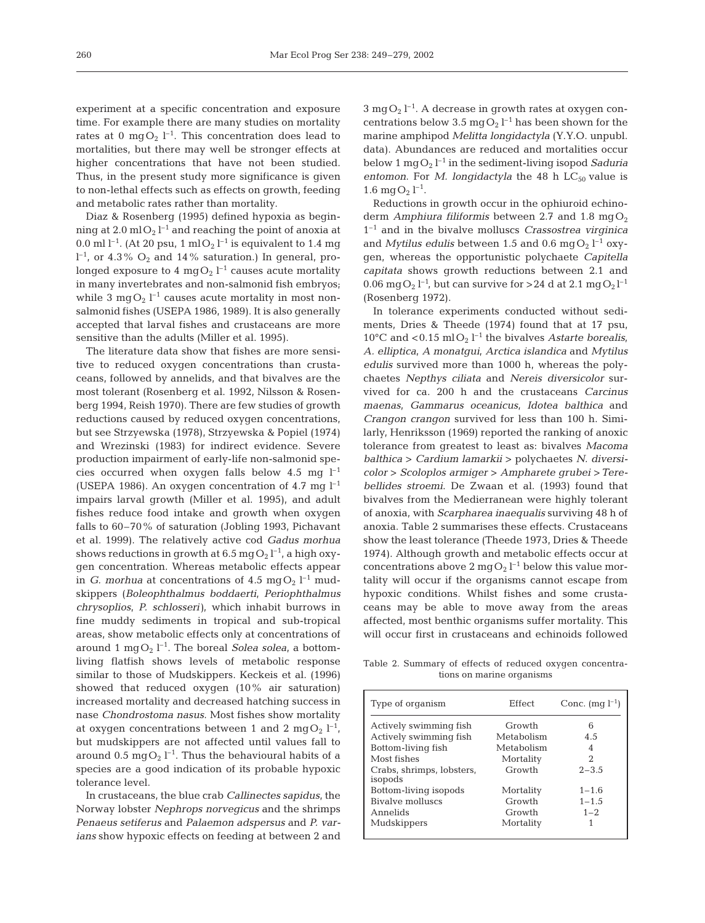experiment at a specific concentration and exposure time. For example there are many studies on mortality rates at 0 mg $O_2$  l<sup>-1</sup>. This concentration does lead to mortalities, but there may well be stronger effects at higher concentrations that have not been studied. Thus, in the present study more significance is given to non-lethal effects such as effects on growth, feeding and metabolic rates rather than mortality.

Diaz & Rosenberg (1995) defined hypoxia as beginning at 2.0 ml $O_2$   $l^{-1}$  and reaching the point of anoxia at 0.0 ml l<sup>-1</sup>. (At 20 psu, 1 ml O<sub>2</sub> l<sup>-1</sup> is equivalent to 1.4 mg  $1^{-1}$ , or 4.3%  $O_2$  and 14% saturation.) In general, prolonged exposure to 4 mg $O_2$  l $^{-1}$  causes acute mortality in many invertebrates and non-salmonid fish embryos; while 3  $mgO<sub>2</sub> l<sup>-1</sup>$  causes acute mortality in most nonsalmonid fishes (USEPA 1986, 1989). It is also generally accepted that larval fishes and crustaceans are more sensitive than the adults (Miller et al. 1995).

The literature data show that fishes are more sensitive to reduced oxygen concentrations than crustaceans, followed by annelids, and that bivalves are the most tolerant (Rosenberg et al. 1992, Nilsson & Rosenberg 1994, Reish 1970). There are few studies of growth reductions caused by reduced oxygen concentrations, but see Strzyewska (1978), Strzyewska & Popiel (1974) and Wrezinski (1983) for indirect evidence. Severe production impairment of early-life non-salmonid species occurred when oxygen falls below 4.5 mg  $l^{-1}$ (USEPA 1986). An oxygen concentration of 4.7 mg  $l^{-1}$ impairs larval growth (Miller et al. 1995), and adult fishes reduce food intake and growth when oxygen falls to 60–70% of saturation (Jobling 1993, Pichavant et al. 1999). The relatively active cod *Gadus morhua* shows reductions in growth at 6.5 mg  $O_2$   $l^{-1}$ , a high oxygen concentration. Whereas metabolic effects appear in *G. morhua* at concentrations of  $4.5 \text{ mgO}_2$   $l^{-1}$  mudskippers (*Boleophthalmus boddaerti*, *Periophthalmus chrysoplios*, *P. schlosseri)*, which inhabit burrows in fine muddy sediments in tropical and sub-tropical areas, show metabolic effects only at concentrations of around 1 mg $O_2$   $l^{-1}$ . The boreal *Solea solea*, a bottomliving flatfish shows levels of metabolic response similar to those of Mudskippers. Keckeis et al. (1996) showed that reduced oxygen (10% air saturation) increased mortality and decreased hatching success in nase *Chondrostoma nasus*. Most fishes show mortality at oxygen concentrations between 1 and 2 mgO<sub>2</sub>  $l^{-1}$ , but mudskippers are not affected until values fall to around 0.5 mg $O_2$  l<sup>-1</sup>. Thus the behavioural habits of a species are a good indication of its probable hypoxic tolerance level.

In crustaceans, the blue crab *Callinectes sapidus*, the Norway lobster *Nephrops norvegicus* and the shrimps *Penaeus setiferus* and *Palaemon adspersus* and *P. varians* show hypoxic effects on feeding at between 2 and  $3 \text{ mgO}_2$  l<sup>-1</sup>. A decrease in growth rates at oxygen concentrations below 3.5 mg $O_2$  l<sup>-1</sup> has been shown for the marine amphipod *Melitta longidactyla* (Y.Y.O. unpubl. data). Abundances are reduced and mortalities occur below  $1 \text{ mgO}_2 l^{-1}$  in the sediment-living isopod *Saduria entomon.* For *M. longidactyla* the 48 h  $LC_{50}$  value is  $1.6 \text{ mgO}_2$   $l^{-1}$ .

Reductions in growth occur in the ophiuroid echinoderm *Amphiura filiformis* between 2.7 and 1.8 mg $O_2$ 1–1 and in the bivalve molluscs *Crassostrea virginica* and *Mytilus edulis* between 1.5 and 0.6 mg $O_2$   $l^{-1}$  oxygen, whereas the opportunistic polychaete *Capitella capitata* shows growth reductions between 2.1 and 0.06 mg $O_2$  l<sup>-1</sup>, but can survive for >24 d at 2.1 mg $O_2$ l<sup>-1</sup> (Rosenberg 1972).

In tolerance experiments conducted without sediments, Dries & Theede (1974) found that at 17 psu, 10<sup>o</sup>C and <0.15 mlO<sub>2</sub>  $l^{-1}$  the bivalves *Astarte borealis*, *A. elliptica, A monatgui, Arctica islandica* and *Mytilus edulis* survived more than 1000 h, whereas the polychaetes *Nepthys ciliata* and *Nereis diversicolor* survived for ca. 200 h and the crustaceans *Carcinus maenas, Gammarus oceanicus, Idotea balthica* and *Crangon crangon* survived for less than 100 h. Similarly, Henriksson (1969) reported the ranking of anoxic tolerance from greatest to least as: bivalves *Macoma balthica* > *Cardium lamarkii* > polychaetes *N. diversicolor* > *Scoloplos armiger* > *Ampharete grubei* >*Terebellides stroemi*. De Zwaan et al. (1993) found that bivalves from the Medierranean were highly tolerant of anoxia, with *Scarpharea inaequalis* surviving 48 h of anoxia. Table 2 summarises these effects. Crustaceans show the least tolerance (Theede 1973, Dries & Theede 1974). Although growth and metabolic effects occur at concentrations above  $2 \text{ mgO}_2$   $l^{-1}$  below this value mortality will occur if the organisms cannot escape from hypoxic conditions. Whilst fishes and some crustaceans may be able to move away from the areas affected, most benthic organisms suffer mortality. This will occur first in crustaceans and echinoids followed

Table 2. Summary of effects of reduced oxygen concentrations on marine organisms

| Type of organism                     | Effect     | Conc. $(mq l^{-1})$ |
|--------------------------------------|------------|---------------------|
| Actively swimming fish               | Growth     | 6                   |
| Actively swimming fish               | Metabolism | 4.5                 |
| Bottom-living fish                   | Metabolism | 4                   |
| Most fishes                          | Mortality  | 2                   |
| Crabs, shrimps, lobsters,<br>isopods | Growth     | $2 - 3.5$           |
| Bottom-living isopods                | Mortality  | $1 - 1.6$           |
| Bivalve molluscs                     | Growth     | $1 - 1.5$           |
| Annelids                             | Growth     | $1 - 2$             |
| Mudskippers                          | Mortality  | 1                   |
|                                      |            |                     |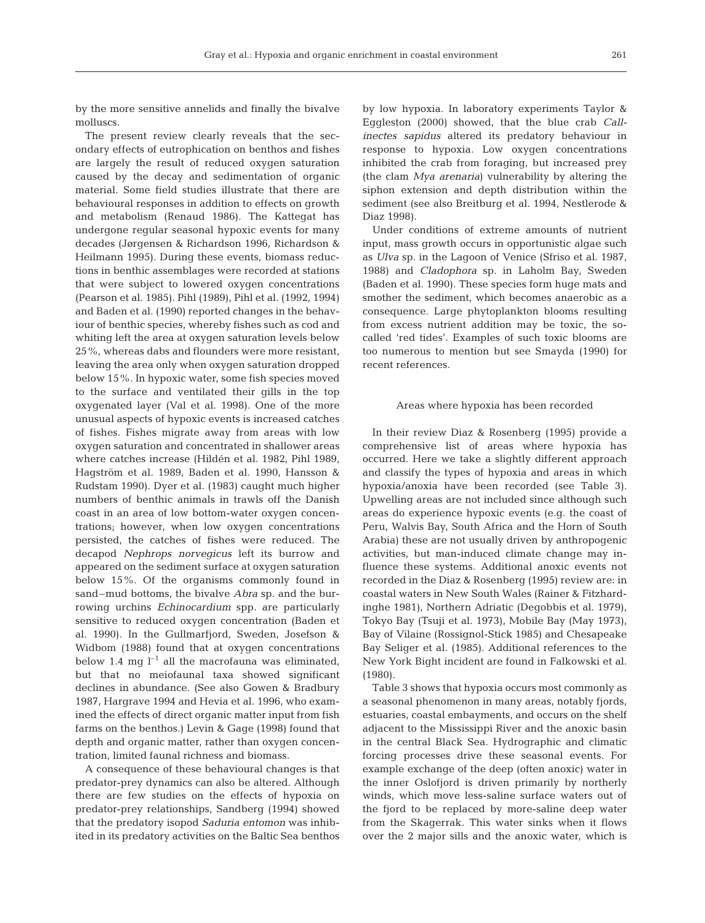by the more sensitive annelids and finally the bivalve molluscs.

The present review clearly reveals that the secondary effects of eutrophication on benthos and fishes are largely the result of reduced oxygen saturation caused by the decay and sedimentation of organic material. Some field studies illustrate that there are behavioural responses in addition to effects on growth and metabolism (Renaud 1986). The Kattegat has undergone regular seasonal hypoxic events for many decades (Jørgensen & Richardson 1996, Richardson & Heilmann 1995). During these events, biomass reductions in benthic assemblages were recorded at stations that were subject to lowered oxygen concentrations (Pearson et al. 1985). Pihl (1989), Pihl et al. (1992, 1994) and Baden et al. (1990) reported changes in the behaviour of benthic species, whereby fishes such as cod and whiting left the area at oxygen saturation levels below 25%, whereas dabs and flounders were more resistant, leaving the area only when oxygen saturation dropped below 15%. In hypoxic water, some fish species moved to the surface and ventilated their gills in the top oxygenated layer (Val et al. 1998). One of the more unusual aspects of hypoxic events is increased catches of fishes. Fishes migrate away from areas with low oxygen saturation and concentrated in shallower areas where catches increase (Hildén et al. 1982, Pihl 1989, Hagström et al. 1989, Baden et al. 1990, Hansson & Rudstam 1990). Dyer et al. (1983) caught much higher numbers of benthic animals in trawls off the Danish coast in an area of low bottom-water oxygen concentrations; however, when low oxygen concentrations persisted, the catches of fishes were reduced. The decapod *Nephrops norvegicus* left its burrow and appeared on the sediment surface at oxygen saturation below 15%. Of the organisms commonly found in sand–mud bottoms, the bivalve *Abra* sp*.* and the burrowing urchins *Echinocardium* spp*.* are particularly sensitive to reduced oxygen concentration (Baden et al. 1990). In the Gullmarfjord, Sweden, Josefson & Widbom (1988) found that at oxygen concentrations below 1.4 mg  $l^{-1}$  all the macrofauna was eliminated, but that no meiofaunal taxa showed significant declines in abundance. (See also Gowen & Bradbury 1987, Hargrave 1994 and Hevia et al. 1996, who examined the effects of direct organic matter input from fish farms on the benthos.) Levin & Gage (1998) found that depth and organic matter, rather than oxygen concentration, limited faunal richness and biomass.

A consequence of these behavioural changes is that predator-prey dynamics can also be altered. Although there are few studies on the effects of hypoxia on predator-prey relationships, Sandberg (1994) showed that the predatory isopod *Saduria entomon* was inhibited in its predatory activities on the Baltic Sea benthos

by low hypoxia. In laboratory experiments Taylor & Eggleston (2000) showed, that the blue crab *Callinectes sapidus* altered its predatory behaviour in response to hypoxia. Low oxygen concentrations inhibited the crab from foraging, but increased prey (the clam *Mya arenaria*) vulnerability by altering the siphon extension and depth distribution within the sediment (see also Breitburg et al. 1994, Nestlerode & Diaz 1998).

Under conditions of extreme amounts of nutrient input, mass growth occurs in opportunistic algae such as *Ulva* sp*.* in the Lagoon of Venice (Sfriso et al. 1987, 1988) and *Cladophora* sp. in Laholm Bay, Sweden (Baden et al. 1990). These species form huge mats and smother the sediment, which becomes anaerobic as a consequence. Large phytoplankton blooms resulting from excess nutrient addition may be toxic, the socalled 'red tides'. Examples of such toxic blooms are too numerous to mention but see Smayda (1990) for recent references.

#### Areas where hypoxia has been recorded

In their review Diaz & Rosenberg (1995) provide a comprehensive list of areas where hypoxia has occurred. Here we take a slightly different approach and classify the types of hypoxia and areas in which hypoxia/anoxia have been recorded (see Table 3). Upwelling areas are not included since although such areas do experience hypoxic events (e.g. the coast of Peru, Walvis Bay, South Africa and the Horn of South Arabia) these are not usually driven by anthropogenic activities, but man-induced climate change may influence these systems. Additional anoxic events not recorded in the Diaz & Rosenberg (1995) review are: in coastal waters in New South Wales (Rainer & Fitzhardinghe 1981), Northern Adriatic (Degobbis et al. 1979), Tokyo Bay (Tsuji et al. 1973), Mobile Bay (May 1973), Bay of Vilaine (Rossignol-Stick 1985) and Chesapeake Bay Seliger et al. (1985). Additional references to the New York Bight incident are found in Falkowski et al. (1980).

Table 3 shows that hypoxia occurs most commonly as a seasonal phenomenon in many areas, notably fjords, estuaries, coastal embayments, and occurs on the shelf adjacent to the Mississippi River and the anoxic basin in the central Black Sea. Hydrographic and climatic forcing processes drive these seasonal events. For example exchange of the deep (often anoxic) water in the inner Oslofjord is driven primarily by northerly winds, which move less-saline surface waters out of the fjord to be replaced by more-saline deep water from the Skagerrak. This water sinks when it flows over the 2 major sills and the anoxic water, which is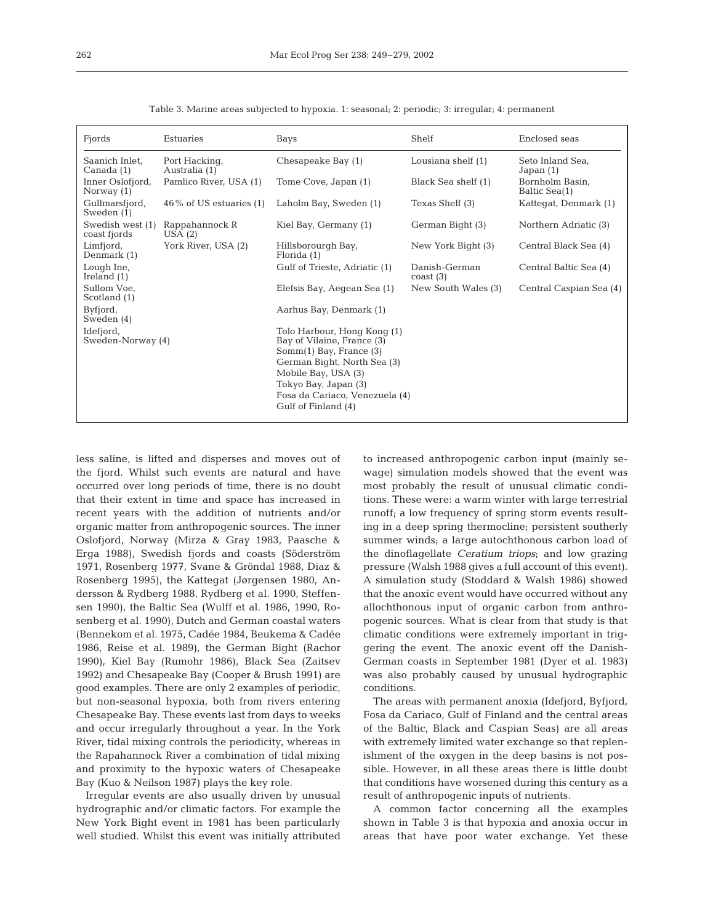| Fjords                           | Estuaries                      | Bays                                                                                                                                                                                                                            | Shelf                          | Enclosed seas                    |
|----------------------------------|--------------------------------|---------------------------------------------------------------------------------------------------------------------------------------------------------------------------------------------------------------------------------|--------------------------------|----------------------------------|
| Saanich Inlet.<br>Canada (1)     | Port Hacking,<br>Australia (1) | Chesapeake Bay (1)                                                                                                                                                                                                              | Lousiana shelf $(1)$           | Seto Inland Sea,<br>Japan $(1)$  |
| Inner Oslofjord,<br>Norway $(1)$ | Pamlico River, USA (1)         | Tome Cove, Japan (1)                                                                                                                                                                                                            | Black Sea shelf (1)            | Bornholm Basin,<br>Baltic Sea(1) |
| Gullmarsfjord,<br>Sweden (1)     | $46\%$ of US estuaries (1)     | Laholm Bay, Sweden (1)                                                                                                                                                                                                          | Texas Shelf (3)                | Kattegat, Denmark (1)            |
| Swedish west (1)<br>coast fjords | Rappahannock R<br>USA(2)       | Kiel Bay, Germany (1)                                                                                                                                                                                                           | German Bight (3)               | Northern Adriatic (3)            |
| Limfjord,<br>Denmark (1)         | York River, USA (2)            | Hillsborourgh Bay,<br>Florida (1)                                                                                                                                                                                               | New York Bight (3)             | Central Black Sea (4)            |
| Lough Ine,<br>Ireland $(1)$      |                                | Gulf of Trieste, Adriatic (1)                                                                                                                                                                                                   | Danish-German<br>$\cos(t)$ (3) | Central Baltic Sea (4)           |
| Sullom Voe.<br>Scotland (1)      |                                | Elefsis Bay, Aeqean Sea (1)                                                                                                                                                                                                     | New South Wales (3)            | Central Caspian Sea (4)          |
| Byfjord,<br>Sweden (4)           |                                | Aarhus Bay, Denmark (1)                                                                                                                                                                                                         |                                |                                  |
| Idefjord,<br>Sweden-Norway (4)   |                                | Tolo Harbour, Hong Kong (1)<br>Bay of Vilaine, France (3)<br>$Somm(1)$ Bay, France $(3)$<br>German Bight, North Sea (3)<br>Mobile Bay, USA (3)<br>Tokyo Bay, Japan (3)<br>Fosa da Cariaco, Venezuela (4)<br>Gulf of Finland (4) |                                |                                  |

Table 3. Marine areas subjected to hypoxia. 1: seasonal; 2: periodic; 3: irregular; 4: permanent

less saline, is lifted and disperses and moves out of the fjord. Whilst such events are natural and have occurred over long periods of time, there is no doubt that their extent in time and space has increased in recent years with the addition of nutrients and/or organic matter from anthropogenic sources. The inner Oslofjord, Norway (Mirza & Gray 1983, Paasche & Erga 1988), Swedish fjords and coasts (Söderström 1971, Rosenberg 1977, Svane & Gröndal 1988, Diaz & Rosenberg 1995), the Kattegat (Jørgensen 1980, Andersson & Rydberg 1988, Rydberg et al. 1990, Steffensen 1990), the Baltic Sea (Wulff et al. 1986, 1990, Rosenberg et al. 1990), Dutch and German coastal waters (Bennekom et al. 1975, Cadée 1984, Beukema & Cadée 1986, Reise et al. 1989), the German Bight (Rachor 1990), Kiel Bay (Rumohr 1986), Black Sea (Zaitsev 1992) and Chesapeake Bay (Cooper & Brush 1991) are good examples. There are only 2 examples of periodic, but non-seasonal hypoxia, both from rivers entering Chesapeake Bay. These events last from days to weeks and occur irregularly throughout a year. In the York River, tidal mixing controls the periodicity, whereas in the Rapahannock River a combination of tidal mixing and proximity to the hypoxic waters of Chesapeake Bay (Kuo & Neilson 1987) plays the key role.

Irregular events are also usually driven by unusual hydrographic and/or climatic factors. For example the New York Bight event in 1981 has been particularly well studied. Whilst this event was initially attributed to increased anthropogenic carbon input (mainly sewage) simulation models showed that the event was most probably the result of unusual climatic conditions. These were: a warm winter with large terrestrial runoff; a low frequency of spring storm events resulting in a deep spring thermocline; persistent southerly summer winds; a large autochthonous carbon load of the dinoflagellate *Ceratium triops*; and low grazing pressure (Walsh 1988 gives a full account of this event). A simulation study (Stoddard & Walsh 1986) showed that the anoxic event would have occurred without any allochthonous input of organic carbon from anthropogenic sources. What is clear from that study is that climatic conditions were extremely important in triggering the event. The anoxic event off the Danish-German coasts in September 1981 (Dyer et al. 1983) was also probably caused by unusual hydrographic conditions.

The areas with permanent anoxia (Idefjord, Byfjord, Fosa da Cariaco, Gulf of Finland and the central areas of the Baltic, Black and Caspian Seas) are all areas with extremely limited water exchange so that replenishment of the oxygen in the deep basins is not possible. However, in all these areas there is little doubt that conditions have worsened during this century as a result of anthropogenic inputs of nutrients.

A common factor concerning all the examples shown in Table 3 is that hypoxia and anoxia occur in areas that have poor water exchange. Yet these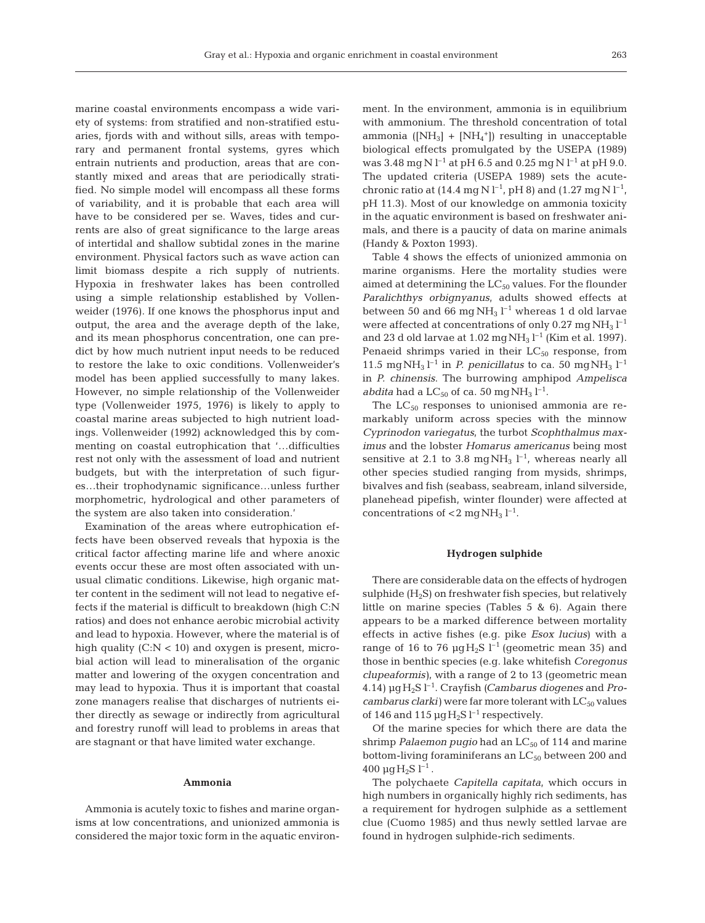marine coastal environments encompass a wide variety of systems: from stratified and non-stratified estuaries, fjords with and without sills, areas with temporary and permanent frontal systems, gyres which entrain nutrients and production, areas that are constantly mixed and areas that are periodically stratified. No simple model will encompass all these forms of variability, and it is probable that each area will have to be considered per se. Waves, tides and currents are also of great significance to the large areas of intertidal and shallow subtidal zones in the marine environment. Physical factors such as wave action can limit biomass despite a rich supply of nutrients. Hypoxia in freshwater lakes has been controlled using a simple relationship established by Vollenweider (1976). If one knows the phosphorus input and output, the area and the average depth of the lake, and its mean phosphorus concentration, one can predict by how much nutrient input needs to be reduced to restore the lake to oxic conditions. Vollenweider's model has been applied successfully to many lakes. However, no simple relationship of the Vollenweider type (Vollenweider 1975, 1976) is likely to apply to coastal marine areas subjected to high nutrient loadings. Vollenweider (1992) acknowledged this by commenting on coastal eutrophication that '…difficulties rest not only with the assessment of load and nutrient budgets, but with the interpretation of such figures…their trophodynamic significance…unless further morphometric, hydrological and other parameters of the system are also taken into consideration.'

Examination of the areas where eutrophication effects have been observed reveals that hypoxia is the critical factor affecting marine life and where anoxic events occur these are most often associated with unusual climatic conditions. Likewise, high organic matter content in the sediment will not lead to negative effects if the material is difficult to breakdown (high C:N ratios) and does not enhance aerobic microbial activity and lead to hypoxia. However, where the material is of high quality  $(C:N < 10)$  and oxygen is present, microbial action will lead to mineralisation of the organic matter and lowering of the oxygen concentration and may lead to hypoxia. Thus it is important that coastal zone managers realise that discharges of nutrients either directly as sewage or indirectly from agricultural and forestry runoff will lead to problems in areas that are stagnant or that have limited water exchange.

#### **Ammonia**

Ammonia is acutely toxic to fishes and marine organisms at low concentrations, and unionized ammonia is considered the major toxic form in the aquatic environment. In the environment, ammonia is in equilibrium with ammonium. The threshold concentration of total ammonia  $([NH_3] + [NH_4^+])$  resulting in unacceptable biological effects promulgated by the USEPA (1989) was 3.48 mg N  $l^{-1}$  at pH 6.5 and 0.25 mg N  $l^{-1}$  at pH 9.0. The updated criteria (USEPA 1989) sets the acutechronic ratio at (14.4 mg N  $l^{-1}$ , pH 8) and (1.27 mg N  $l^{-1}$ , pH 11.3). Most of our knowledge on ammonia toxicity in the aquatic environment is based on freshwater animals, and there is a paucity of data on marine animals (Handy & Poxton 1993).

Table 4 shows the effects of unionized ammonia on marine organisms. Here the mortality studies were aimed at determining the  $LC_{50}$  values. For the flounder *Paralichthys orbignyanus*, adults showed effects at between 50 and 66 mg  $NH<sub>3</sub> l<sup>-1</sup>$  whereas 1 d old larvae were affected at concentrations of only  $0.27 \text{ mg NH}_3 \text{ l}^{-1}$ and 23 d old larvae at  $1.02 \text{ mgNH}_3 \, \text{L}^{-1}$  (Kim et al. 1997). Penaeid shrimps varied in their  $LC_{50}$  response, from 11.5 mg NH<sub>3</sub>  $l^{-1}$  in *P. penicillatus* to ca. 50 mg NH<sub>3</sub>  $l^{-1}$ in *P. chinensis*. The burrowing amphipod *Ampelisca abdita* had a  $LC_{50}$  of ca. 50 mg  $NH_3$   $l^{-1}$ .

The  $LC_{50}$  responses to unionised ammonia are remarkably uniform across species with the minnow *Cyprinodon variegatus,* the turbot *Scophthalmus maximus* and the lobster *Homarus americanus* being most sensitive at 2.1 to 3.8 mg  $NH_3$   $l^{-1}$ , whereas nearly all other species studied ranging from mysids, shrimps, bivalves and fish (seabass, seabream, inland silverside, planehead pipefish, winter flounder) were affected at concentrations of  $<$  2 mg NH<sub>3</sub> l<sup>-1</sup>.

#### **Hydrogen sulphide**

There are considerable data on the effects of hydrogen sulphide  $(H_2S)$  on freshwater fish species, but relatively little on marine species (Tables 5 & 6). Again there appears to be a marked difference between mortality effects in active fishes (e.g. pike *Esox lucius*) with a range of 16 to 76  $\mu$ gH<sub>2</sub>S l<sup>-1</sup> (geometric mean 35) and those in benthic species (e.g. lake whitefish *Coregonus clupeaformis)*, with a range of 2 to 13 (geometric mean 4.14) µgH2S l–1. Crayfish (*Cambarus diogenes* and *Pro* $cambarus$  *clarki*) were far more tolerant with  $LC_{50}$  values of 146 and 115  $\mu$ g H<sub>2</sub>S l<sup>-1</sup> respectively.

Of the marine species for which there are data the shrimp *Palaemon pugio* had an LC<sub>50</sub> of 114 and marine bottom-living foraminiferans an  $LC_{50}$  between 200 and  $400 \mu g H_2 S$  l<sup>-1</sup>.

The polychaete *Capitella capitata*, which occurs in high numbers in organically highly rich sediments, has a requirement for hydrogen sulphide as a settlement clue (Cuomo 1985) and thus newly settled larvae are found in hydrogen sulphide-rich sediments.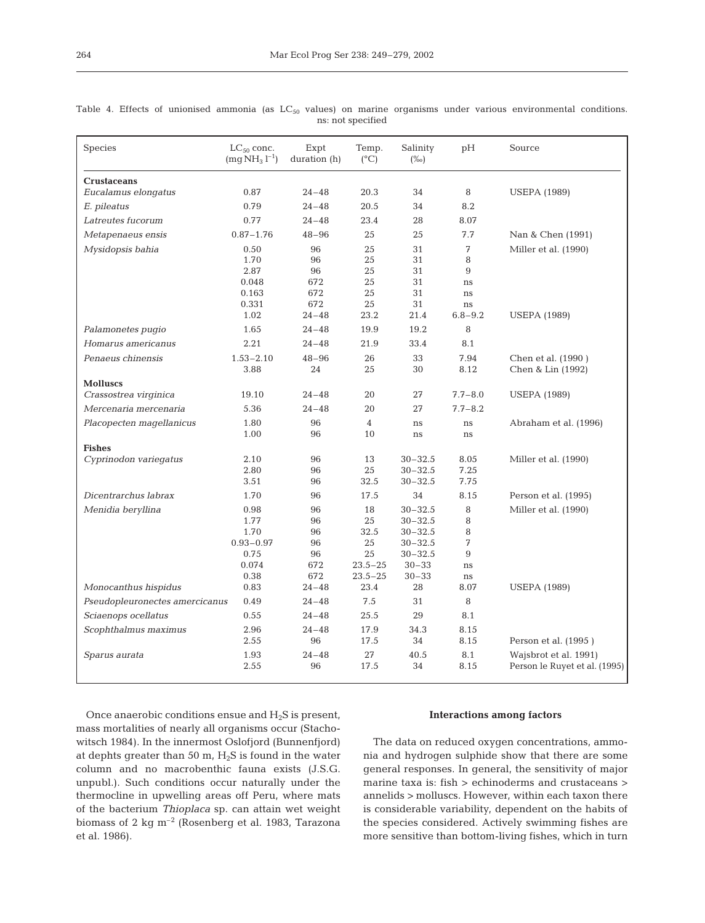| Species                        | $LC_{50}$ conc.<br>$(mq NH3 l-1)$ | Expt<br>duration (h) | Temp.<br>$(^{\circ}C)$ | Salinity<br>$(\%0)$ | pH          | Source                                                 |
|--------------------------------|-----------------------------------|----------------------|------------------------|---------------------|-------------|--------------------------------------------------------|
| <b>Crustaceans</b>             |                                   |                      |                        |                     |             |                                                        |
| Eucalamus elongatus            | 0.87                              | $24 - 48$            | 20.3                   | 34                  | 8           | <b>USEPA</b> (1989)                                    |
| E. pileatus                    | 0.79                              | $24 - 48$            | 20.5                   | 34                  | $8.2\,$     |                                                        |
| Latreutes fucorum              | 0.77                              | $24 - 48$            | 23.4                   | 28                  | 8.07        |                                                        |
| Metapenaeus ensis              | $0.87 - 1.76$                     | $48 - 96$            | 25                     | 25                  | 7.7         | Nan & Chen (1991)                                      |
| Mysidopsis bahia               | 0.50                              | 96                   | 25                     | 31                  | 7           | Miller et al. (1990)                                   |
|                                | 1.70                              | 96                   | 25                     | 31                  | 8           |                                                        |
|                                | 2.87                              | 96                   | 25                     | 31                  | 9           |                                                        |
|                                | 0.048                             | 672                  | 25                     | 31                  | ns          |                                                        |
|                                | 0.163                             | 672                  | 25                     | 31                  | ns          |                                                        |
|                                | 0.331                             | 672                  | 25                     | 31                  | ns          |                                                        |
|                                | 1.02                              | $24 - 48$            | 23.2                   | 21.4                | $6.8 - 9.2$ | <b>USEPA</b> (1989)                                    |
| Palamonetes pugio              | 1.65                              | $24 - 48$            | 19.9                   | 19.2                | 8           |                                                        |
| Homarus americanus             | 2.21                              | $24 - 48$            | 21.9                   | 33.4                | 8.1         |                                                        |
| Penaeus chinensis              | $1.53 - 2.10$                     | $48 - 96$            | 26                     | 33                  | 7.94        | Chen et al. (1990)                                     |
|                                | 3.88                              | 24                   | 25                     | 30                  | 8.12        | Chen & Lin (1992)                                      |
| <b>Molluscs</b>                |                                   |                      |                        |                     |             |                                                        |
| Crassostrea virginica          | 19.10                             | $24 - 48$            | 20                     | 27                  | $7.7 - 8.0$ | <b>USEPA (1989)</b>                                    |
| Mercenaria mercenaria          | 5.36                              | $24 - 48$            | 20                     | 27                  | $7.7 - 8.2$ |                                                        |
| Placopecten magellanicus       | 1.80                              | 96                   | $\overline{4}$         | ns                  | ns          | Abraham et al. (1996)                                  |
|                                | 1.00                              | 96                   | 10                     | ns                  | ns          |                                                        |
| <b>Fishes</b>                  |                                   |                      |                        |                     |             |                                                        |
| Cyprinodon variegatus          | 2.10                              | 96                   | 13                     | $30 - 32.5$         | 8.05        | Miller et al. (1990)                                   |
|                                | 2.80                              | 96                   | 25                     | $30 - 32.5$         | 7.25        |                                                        |
|                                | 3.51                              | 96                   | 32.5                   | $30 - 32.5$         | 7.75        |                                                        |
| Dicentrarchus labrax           | 1.70                              | 96                   | 17.5                   | 34                  | 8.15        | Person et al. (1995)                                   |
| Menidia beryllina              | 0.98                              | 96                   | 18                     | $30 - 32.5$         | 8           | Miller et al. (1990)                                   |
|                                | 1.77                              | 96                   | 25                     | $30 - 32.5$         | $\, 8$      |                                                        |
|                                | 1.70                              | 96                   | 32.5                   | $30 - 32.5$         | $\, 8$      |                                                        |
|                                | $0.93 - 0.97$                     | 96                   | 25                     | $30 - 32.5$         | 7           |                                                        |
|                                | 0.75                              | 96                   | 25                     | $30 - 32.5$         | 9           |                                                        |
|                                | 0.074                             | 672                  | $23.5 - 25$            | $30 - 33$           | ns          |                                                        |
|                                | 0.38                              | 672                  | $23.5 - 25$            | $30 - 33$           | $\rm ns$    |                                                        |
| Monocanthus hispidus           | 0.83                              | $24 - 48$            | 23.4                   | 28                  | 8.07        | <b>USEPA</b> (1989)                                    |
| Pseudopleuronectes amercicanus | 0.49                              | $24 - 48$            | 7.5                    | 31                  | $\, 8$      |                                                        |
| Sciaenops ocellatus            | 0.55                              | $24 - 48$            | 25.5                   | 29                  | 8.1         |                                                        |
| Scophthalmus maximus           | 2.96                              | $24 - 48$            | 17.9                   | 34.3                | 8.15        |                                                        |
|                                | 2.55                              | 96                   | 17.5                   | 34                  | 8.15        | Person et al. (1995)                                   |
| Sparus aurata                  | 1.93<br>2.55                      | $24 - 48$<br>96      | 27<br>17.5             | 40.5<br>34          | 8.1<br>8.15 | Wajsbrot et al. 1991)<br>Person le Ruyet et al. (1995) |

Table 4. Effects of unionised ammonia (as  $LC_{50}$  values) on marine organisms under various environmental conditions. ns: not specified

Once anaerobic conditions ensue and  $H_2S$  is present, mass mortalities of nearly all organisms occur (Stachowitsch 1984). In the innermost Oslofjord (Bunnenfjord) at dephts greater than 50 m,  $H_2S$  is found in the water column and no macrobenthic fauna exists (J.S.G. unpubl.). Such conditions occur naturally under the thermocline in upwelling areas off Peru, where mats of the bacterium *Thioplaca* sp. can attain wet weight biomass of 2 kg m–2 (Rosenberg et al. 1983, Tarazona et al. 1986).

#### **Interactions among factors**

The data on reduced oxygen concentrations, ammonia and hydrogen sulphide show that there are some general responses. In general, the sensitivity of major marine taxa is: fish > echinoderms and crustaceans > annelids > molluscs. However, within each taxon there is considerable variability, dependent on the habits of the species considered. Actively swimming fishes are more sensitive than bottom-living fishes, which in turn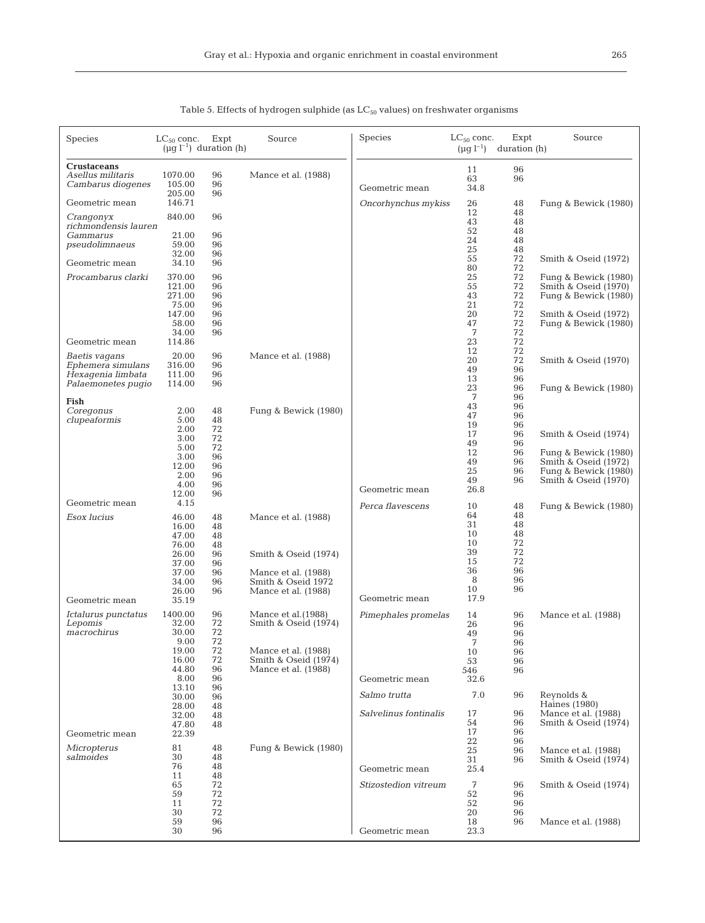| Species                                                                        | $LC_{50}$ conc.<br>$(\mu g l^{-1})$ duration (h)                                      | Expt                                               | Source                                                                                                          | <b>Species</b>                        | $LC_{50}$ conc.<br>$(\mu g \; l^{-1})$                  | Expt<br>duration (h)                                     | Source                                                                                                               |
|--------------------------------------------------------------------------------|---------------------------------------------------------------------------------------|----------------------------------------------------|-----------------------------------------------------------------------------------------------------------------|---------------------------------------|---------------------------------------------------------|----------------------------------------------------------|----------------------------------------------------------------------------------------------------------------------|
| <b>Crustaceans</b><br>Asellus militaris<br>Cambarus diogenes<br>Geometric mean | 1070.00<br>105.00<br>205.00<br>146.71                                                 | 96<br>96<br>96                                     | Mance et al. (1988)                                                                                             | Geometric mean<br>Oncorhynchus mykiss | 11<br>63<br>34.8<br>26                                  | 96<br>96<br>48                                           | Fung & Bewick (1980)                                                                                                 |
| Crangonyx                                                                      | 840.00                                                                                | 96                                                 |                                                                                                                 |                                       | 12<br>43                                                | 48<br>48                                                 |                                                                                                                      |
| richmondensis lauren<br>Gammarus<br>pseudolimnaeus                             | 21.00<br>59.00<br>32.00                                                               | 96<br>96<br>96                                     |                                                                                                                 |                                       | 52<br>24<br>25<br>55                                    | 48<br>48<br>48<br>72                                     | Smith & Oseid (1972)                                                                                                 |
| Geometric mean<br>Procambarus clarki                                           | 34.10<br>370.00<br>121.00<br>271.00<br>75.00<br>147.00<br>58.00<br>34.00              | 96<br>96<br>96<br>96<br>96<br>96<br>96<br>96       |                                                                                                                 |                                       | 80<br>25<br>55<br>43<br>21<br>20<br>47<br>7             | 72<br>72<br>72<br>72<br>72<br>72<br>72<br>72             | Fung & Bewick (1980)<br>Smith & Oseid (1970)<br>Fung & Bewick (1980)<br>Smith & Oseid (1972)<br>Fung & Bewick (1980) |
| Geometric mean                                                                 | 114.86                                                                                |                                                    |                                                                                                                 |                                       | 23<br>12                                                | 72<br>72                                                 |                                                                                                                      |
| Baetis vagans<br>Ephemera simulans<br>Hexagenia limbata<br>Palaemonetes pugio  | 20.00<br>316.00<br>111.00<br>114.00                                                   | 96<br>96<br>96<br>96                               | Mance et al. (1988)                                                                                             |                                       | 20<br>49<br>13                                          | 72<br>96<br>96                                           | Smith & Oseid (1970)                                                                                                 |
| Fish<br>Coregonus<br>clupeaformis                                              | 2.00<br>5.00<br>2.00<br>3.00<br>5.00<br>3.00                                          | 48<br>48<br>72<br>72<br>72<br>96                   | Fung & Bewick (1980)                                                                                            |                                       | 23<br>7<br>43<br>47<br>19<br>17<br>49<br>12             | 96<br>96<br>96<br>96<br>96<br>96<br>96<br>96             | Fung & Bewick (1980)<br>Smith & Oseid (1974)<br>Fung & Bewick (1980)                                                 |
|                                                                                | 12.00<br>2.00<br>4.00<br>12.00                                                        | 96<br>96<br>96<br>96                               |                                                                                                                 | Geometric mean                        | 49<br>25<br>49<br>26.8                                  | 96<br>96<br>96                                           | Smith & Oseid (1972)<br>Fung & Bewick (1980)<br>Smith & Oseid (1970)                                                 |
| Geometric mean<br>Esox lucius                                                  | 4.15<br>46.00<br>16.00<br>47.00<br>76.00<br>26.00<br>37.00<br>37.00<br>34.00<br>26.00 | 48<br>48<br>48<br>48<br>96<br>96<br>96<br>96<br>96 | Mance et al. (1988)<br>Smith & Oseid (1974)<br>Mance et al. (1988)<br>Smith & Oseid 1972<br>Mance et al. (1988) | Perca flavescens                      | 10<br>64<br>31<br>10<br>10<br>39<br>15<br>36<br>8<br>10 | 48<br>48<br>48<br>48<br>72<br>72<br>72<br>96<br>96<br>96 | Fung & Bewick (1980)                                                                                                 |
| Geometric mean<br>Ictalurus punctatus                                          | 35.19<br>1400.00                                                                      | 96                                                 | Mance et al. (1988)                                                                                             | Geometric mean<br>Pimephales promelas | 17.9                                                    |                                                          |                                                                                                                      |
| Lepomis<br>macrochirus                                                         | 32.00<br>30.00<br>9.00<br>19.00<br>16.00<br>44.80<br>8.00                             | 72<br>72<br>72<br>72<br>72<br>96<br>96<br>96       | Smith & Oseid (1974)<br>Mance et al. (1988)<br>Smith & Oseid (1974)<br>Mance et al. (1988)                      | Geometric mean                        | 14<br>26<br>49<br>7<br>10<br>53<br>546<br>32.6          | 96<br>96<br>96<br>96<br>96<br>96<br>96                   | Mance et al. (1988)                                                                                                  |
|                                                                                | 13.10<br>30.00<br>28.00                                                               | 96<br>48                                           |                                                                                                                 | Salmo trutta                          | 7.0                                                     | 96                                                       | Reynolds &<br><b>Haines</b> (1980)                                                                                   |
| Geometric mean                                                                 | 32.00<br>47.80<br>22.39                                                               | 48<br>48                                           |                                                                                                                 | Salvelinus fontinalis                 | 17<br>54<br>17                                          | 96<br>96<br>96                                           | Mance et al. (1988)<br>Smith & Oseid (1974)                                                                          |
| Micropterus<br>salmoides                                                       | 81<br>30<br>76<br>11                                                                  | 48<br>48<br>48<br>48                               | Fung & Bewick (1980)                                                                                            | Geometric mean                        | 22<br>25<br>31<br>25.4                                  | 96<br>96<br>96                                           | Mance et al. (1988)<br>Smith & Oseid (1974)                                                                          |
|                                                                                | 65<br>59<br>11<br>30                                                                  | 72<br>72<br>72<br>72                               |                                                                                                                 | Stizostedion vitreum                  | 7<br>52<br>52<br>20                                     | 96<br>96<br>96<br>96                                     | Smith & Oseid (1974)                                                                                                 |
|                                                                                | 59<br>30                                                                              | 96<br>96                                           |                                                                                                                 | Geometric mean                        | 18<br>23.3                                              | 96                                                       | Mance et al. (1988)                                                                                                  |

| Table 5. Effects of hydrogen sulphide (as $LC_{50}$ values) on freshwater organisms |  |
|-------------------------------------------------------------------------------------|--|
|-------------------------------------------------------------------------------------|--|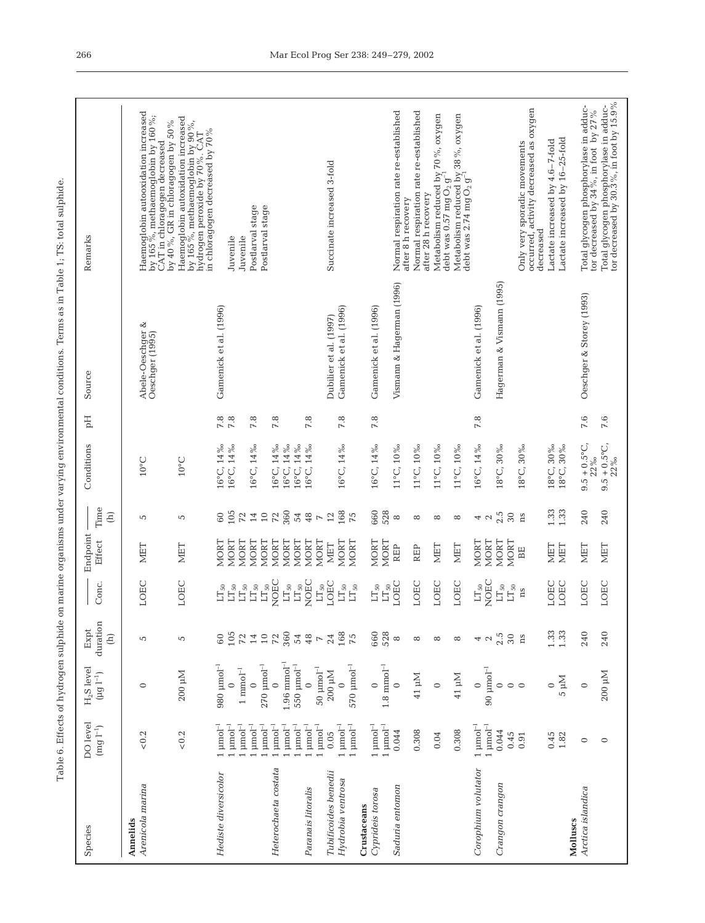| 1<br>3<br>į                   |
|-------------------------------|
| ₹<br>֠<br>ı                   |
|                               |
| 7                             |
|                               |
| l<br>į<br>i                   |
| ۱                             |
| $\ddot{\phantom{a}}$<br>ł     |
| I                             |
| i                             |
|                               |
| j                             |
| ł                             |
| i<br>ļ                        |
| $\overline{a}$                |
| ţ                             |
|                               |
|                               |
|                               |
| Ě                             |
|                               |
| ł                             |
| ļ                             |
| ı<br>7                        |
|                               |
| J<br>۱                        |
| j<br>ï                        |
|                               |
|                               |
| j<br>5                        |
|                               |
|                               |
| rld.                          |
| į                             |
| j                             |
| ı                             |
|                               |
| ۱                             |
| l                             |
| į<br>í                        |
| į                             |
| į                             |
| ī                             |
| ŗ<br>Ì.                       |
| $\overline{\phantom{a}}$<br>1 |
| $\overline{\epsilon}$<br>ì    |
| Ē                             |

| Species                                                  | DO level<br>$(mg 1^{-1})$                                                                                                      | $H_2S$ level<br>$(\mu g \,\, l^{-1})$                                                                            | duration<br>Expt<br>$\begin{array}{c}\n\text{ }\\[-2.0mm] \text{ }\end{array}$ | Conc.                                                                                                                 | Endpoint<br>Effect                                               | Time<br>$\widehat{E}$                      | Conditions                                            | Hq                  | Source                                              | Remarks                                                                                                                                                                         |
|----------------------------------------------------------|--------------------------------------------------------------------------------------------------------------------------------|------------------------------------------------------------------------------------------------------------------|--------------------------------------------------------------------------------|-----------------------------------------------------------------------------------------------------------------------|------------------------------------------------------------------|--------------------------------------------|-------------------------------------------------------|---------------------|-----------------------------------------------------|---------------------------------------------------------------------------------------------------------------------------------------------------------------------------------|
| Arenicola marina<br>Annelids                             | ${}_{<0.2}$                                                                                                                    | $\circ$                                                                                                          | 5                                                                              | LOEC                                                                                                                  | MET                                                              | 5                                          | $10^{\circ}$ C                                        |                     | Abele-Oeschger &<br>Oeschger (1995)                 | Haemoglobin autooxidation increased<br>by 165%, methaemoglobin by 160%;<br>CAT in chloragogen decreased                                                                         |
|                                                          | ${}_{<0.2}$                                                                                                                    | 200 µM                                                                                                           | 5                                                                              | LOEC                                                                                                                  | MET                                                              | 5                                          | $10^{\circ}$ C                                        |                     |                                                     | Haemoglobin autoxidation increased<br>by 165%, methaemoglobin by 90%,<br>hydrogen peroxide by 70%. CAT<br>by 40 %, GR in chloragogen by 50 %<br>in chloragogen decreased by 70% |
| Hediste diversicolor                                     | $1~\mathrm{\mu mol}^{-1}$<br>$\upmu\text{mol}^{-1}$<br>$\upmu\text{mol}^{-1}$<br>$\upmu\text{mol}^{-1}$                        | $980 \mu$ mol <sup>-1</sup><br>$1 \ \mathrm{mmol^{-1}}$<br>$\circ$                                               |                                                                                | $\mathop{\rm LT}\nolimits_{50}$<br>$\mathop{\rm LT}\nolimits_{50}$<br>$\mathop{\rm LT}\nolimits_{50}$<br>$LT_{50}$    | NORT<br><b>MORT</b><br>NORT<br>NORT                              | 105<br>$72$<br>$\overline{14}$<br>$\rm 60$ | 16°C, 14%<br>16°C, 14%<br>16°C, 14%                   | 7.8<br>$7.8$<br>7.8 | Gamenick et al. (1996)                              | Postlarval stage<br>Juvenile<br>Juvenile                                                                                                                                        |
| Heterochaeta costata<br>Paranais litoralis               | $\upmu\text{mol}^{-1}$<br>$\upmu\text{mol}^{-1}$<br>$\upmu\text{mol}^{-1}$<br>$\upmu\text{mol}^{-1}$<br>$\upmu\text{mol}^{-1}$ | $1.96 \text{ mmol}^{-1}$<br>$270$ $\mu$ mol <sup>-1</sup><br>$550 \mu \mathrm{mol}^{-1}$<br>$\circ$<br>$\subset$ | 69521228874                                                                    | NOEC<br>NOEC<br>$\mathop{\rm LT}\nolimits_{50}$<br>$\mathop{\rm LT}\nolimits_{50}$<br>$\mathop{\rm LT}\nolimits_{50}$ | NORT<br><b>MORT</b><br><b>MORT</b><br><b>MORT</b><br><b>MORT</b> | 360<br>$10$<br>72<br>48<br>54              | 16°C, 14%<br>16°C, 14%<br>16°C, 14‰<br>16°C, 14%      | 7.8<br>$7.8$        |                                                     | Postlarval stage                                                                                                                                                                |
| Tubificoides benedii<br>Hydrobia ventrosa<br>Crustaceans | $\upmu\text{mol}^{-1}$<br>$1~\mathrm{\mu mol^{-1}}$<br>$\upmu\text{mol}^{-1}$<br>0.05                                          | $570\ \mathrm{mmol^{-1}}$<br>$50 \mu$ mol <sup>-1</sup><br>$200~\mathrm{pM}$<br>$\mathbf{C}$                     | $24 \n968$                                                                     | LOEC<br>$\mathop{\rm LT}\nolimits_{50}$<br>$\mathop{\rm LT}\nolimits_{50}$<br>$\mathop{\rm LT}\nolimits_{50}$         | NORT<br>NORT<br>NORT<br><b>MET</b>                               | 168<br>12<br>75<br>$\overline{r}$          | 16°C, 14%                                             | 7.8                 | Gamenick et al. (1996)<br>Dubilier et al. (1997)    | Succinate increased 3-fold                                                                                                                                                      |
| Saduria entomon<br>Cyprideis torosa                      | $1 \ \mathrm{µmol^{-1}}$<br>$1 \mu$ mol <sup>-1</sup><br>0.044                                                                 | $1.8\;\mathrm{mm}\,\mathrm{ol}^{-1}$<br>$\circ$<br>$\circ$                                                       | 660<br>528<br>$\infty$                                                         | LOEC<br>$\mathop{\rm LT}\nolimits_{50}$<br>$\mathop{\rm LT}\nolimits_{50}$                                            | <b>MORT</b><br><b>MORT</b><br><b>REP</b>                         | 660<br>528<br>${}^{\circ}$                 | 16°C, 14%<br>$11^{\circ}$ C, $10\%$                   | 7.8                 | Vismann & Hagerman (1996)<br>Gamenick et al. (1996) | Normal respiration rate re-established                                                                                                                                          |
|                                                          | 0.308<br>0.04                                                                                                                  | $41 \mu M$<br>$\circ$                                                                                            | ${}^{\circ}$<br>${}^{\circ}$                                                   | LOEC<br>LOEC                                                                                                          | <b>NIET</b><br><b>REP</b>                                        | $^{\circ}$<br>${}^{\circ}$                 | 11°C, 10%<br>11°C, 10%                                |                     |                                                     | Normal respiration rate re-established<br>after 28 h recovery<br>after 8 h recovery                                                                                             |
|                                                          | 0.308                                                                                                                          | $41~\mathrm{\upmu M}$                                                                                            | ${}^{\circ}$                                                                   | LOEC                                                                                                                  | <b>NET</b>                                                       | ${}^{\circ}$                               | 11°C, 10%                                             |                     |                                                     | Metabolism reduced by 70%, oxygen<br>debt was 0.57 mg $\rm O_2$ g $^{-1}$<br>Metabolism reduced by 38 %, oxygen<br>debt was 2.74 mg O <sub>2</sub> g <sup>-1</sup>              |
| Corophium volutator<br>Crangon crangon                   | $1 \text{ mmol}^{-1}$<br>$1 \ \mathrm{µmol^{-1}}$<br>0.044<br>0.45                                                             | $90 \mu$ mol <sup>-1</sup><br>$\circ$<br>$\circ$                                                                 | $2.5\,$ ns<br>42                                                               | NOEC<br>$\mathop{\rm LT}\nolimits_{50}$<br>$\mathop{\rm LT}\nolimits_{50}$<br>$\mathop{\rm LT}\nolimits_{50}$         | NORT<br><b>MORT</b><br>NORT<br><b>MORT</b>                       | 2.5<br>$30\,$<br>42                        | 16°C, 14%<br>18°C, 30‰                                | 7.8                 | Hagerman & Vismann (1995)<br>Gamenick et al. (1996) |                                                                                                                                                                                 |
| Molluscs                                                 | 0.45<br>0.91<br>1.82                                                                                                           | Nu <sub>5</sub><br>$\circ$<br>$\circ$                                                                            | $1.33$<br>$1.33$                                                               | LOEC<br>LOEC<br>ns                                                                                                    | MET<br>MET<br>BE                                                 | 1.33<br>1.33<br>ns                         | 18°C, 30‰<br>18°C, 30‰<br>18°C, 30%                   |                     |                                                     | occurred, activity decreased as oxygen<br>Lactate increased by 16-25-fold<br>Lactate increased by 4.6-7-fold<br>Only very sporadic movements<br>decreased                       |
| Arctica islandica                                        | $\circ$<br>$\circ$                                                                                                             | $200 \mu M$<br>$\circ$                                                                                           | 240<br>240                                                                     | LOEC<br>LOEC                                                                                                          | MET<br>MET                                                       | 240<br>240                                 | $9.5 + 0.5$ °C,<br>$9.5 + 0.5^{\circ}C$<br>22%<br>22% | 7.6<br>7.6          | Oeschger & Storey (1993)                            | Total glycogen phosphorylase in adductor<br>tor decreased by 30.3%, in foot by 15.9%<br>Total glycogen phosphorylase in adduc-<br>tor decreased by 34 %, in foot by 27 %        |

 $\ddot{\phantom{a}}$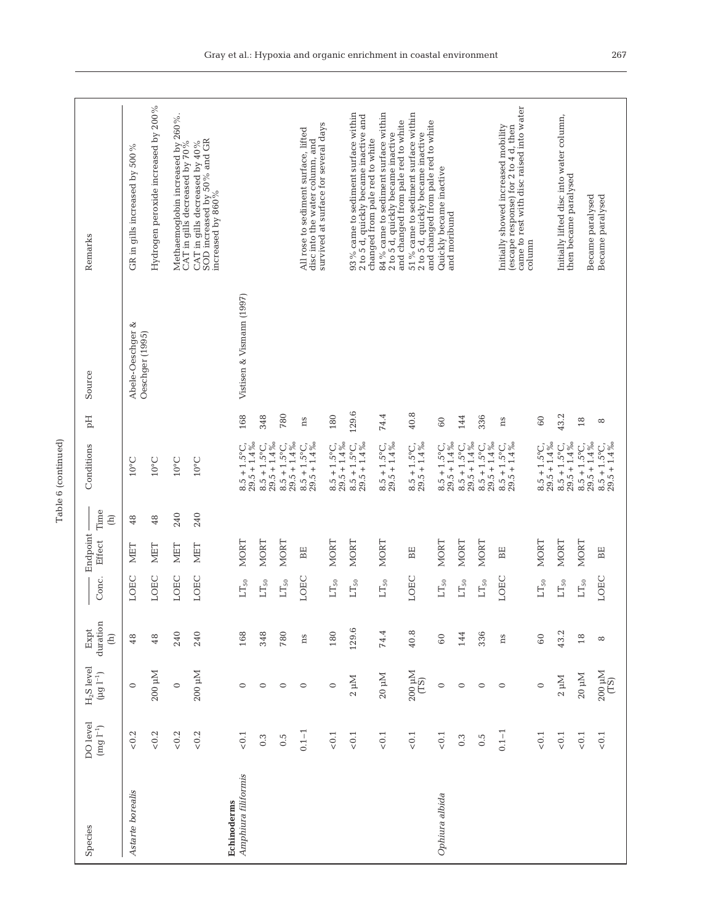| Remarks                                                | GR in gills increased by 500 $\%$   | Hydrogen peroxide increased by 200 % | Methaemoglobin increased by 260%.<br>CAT in gills decreased by 70% | SOD increased by 50% and GR<br>increased by 860%<br>CAT in gills decreased by 40 % |                                         |                                        |                                        | survived at surface for several days<br>All rose to sediment surface, lifted<br>disc into the water column, and |                                                    | 93% came to sediment surface within<br>2 to 5 d, quickly became inactive and<br>changed from pale red to white | 84% came to sediment surface within<br>and changed from pale red to white<br>2 to 5 d, quickly became inactive | 51% came to sediment surface within<br>and changed from pale red to white<br>2 to 5 d, quickly became inactive | Quickly became inactive<br>and moribund |                                        |                                        | came to rest with disc raised into water<br>Initially showed increased mobility<br>(escape response) for 2 to 4 d, then<br>column |                                          | Initially lifted disc into water column,<br>then became paralysed | Became paralysed                         | Became paralysed                         |
|--------------------------------------------------------|-------------------------------------|--------------------------------------|--------------------------------------------------------------------|------------------------------------------------------------------------------------|-----------------------------------------|----------------------------------------|----------------------------------------|-----------------------------------------------------------------------------------------------------------------|----------------------------------------------------|----------------------------------------------------------------------------------------------------------------|----------------------------------------------------------------------------------------------------------------|----------------------------------------------------------------------------------------------------------------|-----------------------------------------|----------------------------------------|----------------------------------------|-----------------------------------------------------------------------------------------------------------------------------------|------------------------------------------|-------------------------------------------------------------------|------------------------------------------|------------------------------------------|
| Source                                                 | Abele-Oeschger &<br>Oeschger (1995) |                                      |                                                                    |                                                                                    | Vistisen & Vismann (1997)               |                                        |                                        |                                                                                                                 |                                                    |                                                                                                                |                                                                                                                |                                                                                                                |                                         |                                        |                                        |                                                                                                                                   |                                          |                                                                   |                                          |                                          |
| $_{\rm pd}$                                            |                                     |                                      |                                                                    |                                                                                    | 168                                     | 348                                    | 780                                    | ns                                                                                                              | 180                                                | 129.6                                                                                                          | 74.4                                                                                                           | 40.8                                                                                                           | $\overline{60}$                         | 144                                    | 336                                    | ns                                                                                                                                | $^{60}$                                  | 43.2                                                              | $18\,$                                   | $\infty$                                 |
| Conditions                                             | $10^{\circ}$ C                      | $10^{\circ}$ C                       | $10^{\circ}$ C                                                     | $10^{\circ}$ C                                                                     | $29.5 + 1.4\%$<br>$8.5 + 1.5^{\circ}$ C | $29.5 + 1.4\%$<br>$8.5 + 1.5^{\circ}C$ | $29.5 + 1.4\%$<br>$8.5 + 1.5^{\circ}C$ | $29.5 + 1.4\%$<br>$8.5 + 1.5^{\circ}C$ ,                                                                        | $\frac{8.5 + 1.5^{\circ}\text{C}}{29.5 + 1.4\,\%}$ | $8.5 + 1.5^{\circ}C$ ,<br>$29.5 + 1.4\%$                                                                       | $8.5 + 1.5^{\circ}$ C,<br>$29.5 + 1.4\%$                                                                       | $29.5 + 1.4\%$<br>$8.5 + 1.5^{\circ}C$                                                                         | $29.5 + 1.4\%$<br>$8.5 + 1.5^{\circ}C$  | $29.5 + 1.4\%$<br>$8.5 + 1.5^{\circ}C$ | $29.5 + 1.4\%$<br>$8.5 + 1.5^{\circ}C$ | $8.5 + 1.5^{\circ}C$<br>$29.5 + 1.4\%$                                                                                            | $29.5 + 1.4\%$<br>$8.5 + 1.5^{\circ}$ C, | $29.5 + 1.4\%$<br>$8.5 + 1.5^{\circ}C$ ,                          | $29.5 + 1.4\%$<br>$8.5 + 1.5^{\circ}$ C, | $29.5 + 1.4\%$<br>$8.5 + 1.5^{\circ}C$ , |
| Time<br>$\widehat{E}$                                  | 48                                  | 48                                   | 240                                                                | 240                                                                                |                                         |                                        |                                        |                                                                                                                 |                                                    |                                                                                                                |                                                                                                                |                                                                                                                |                                         |                                        |                                        |                                                                                                                                   |                                          |                                                                   |                                          |                                          |
| Endpoint<br>Effect                                     | MET                                 | MET                                  | MET                                                                | <b>NET</b>                                                                         | <b>MORT</b>                             | NORT                                   | NORT                                   | BE                                                                                                              | NORT                                               | NORT                                                                                                           | NORT                                                                                                           | ВE                                                                                                             | NORT                                    | <b>MORT</b>                            | <b>MORT</b>                            | BE                                                                                                                                | NORT                                     | NORT                                                              | <b>MORT</b>                              | BE                                       |
| Conc.                                                  | LOEC                                | LOEC                                 | LOEC                                                               | LOEC                                                                               | $\mathop{\rm LT}\nolimits_{50}$         | $\mathop{\rm LT}\nolimits_{50}$        | $LT_{50}$                              | LOEC                                                                                                            | $\mathop{\rm LT}\nolimits_{50}$                    | $LT_{50}$                                                                                                      | $LT_{50}$                                                                                                      | LOEC                                                                                                           | $LT_{50}$                               | $\mathop{\rm LT}\nolimits_{50}$        | $LT_{50}$                              | LOEC                                                                                                                              | $\mathop{\rm LT}\nolimits_{50}$          | $LT_{50}$                                                         | $LT_{50}$                                | LOEC                                     |
| duration<br>Expt<br>$\widehat{E}$                      | 48                                  | 48                                   | 240                                                                | 240                                                                                | 168                                     | 348                                    | 780                                    | ns                                                                                                              | 180                                                | 129.6                                                                                                          | 74.4                                                                                                           | 40.8                                                                                                           | $\rm 60$                                | 144                                    | 336                                    | ns                                                                                                                                | $60\,$                                   | 43.2                                                              | $18$                                     | ${}^{\circ}$                             |
| $H_2S$ level<br>$(\mu g \,\, l^{-1})$                  | $\circ$                             | 200 µM                               | $\circ$                                                            | 200 µM                                                                             | $\circ$                                 | $\circ$                                | $\circ$                                | $\circ$                                                                                                         | $\circ$                                            | $2 \mu M$                                                                                                      | $20 \mu M$                                                                                                     | $^{200}$ $\rm \upmu M$ (TS)                                                                                    | $\circ$                                 | $\circ$                                | $\circ$                                | $\circ$                                                                                                                           | $\circ$                                  | $2~\mathrm{\upmu M}$                                              | $20~\mathrm{µM}$                         | $^{200}$ $\rm \upmu M$ $\rm \upbeta)$    |
| DO level<br>$\left(\text{mg}\, \mathbf{l}^{-1}\right)$ | ${}_{<0.2}$                         | $< 0.2$                              | $< 0.2$                                                            | $< 0.2$                                                                            | $< 0.1$                                 | 0.3                                    | $0.\overline{5}$                       | $0.1 - 1$                                                                                                       | $< 0.1$                                            | $< 0.1$                                                                                                        | $< 0.1$                                                                                                        | $< 0.1$                                                                                                        | $<\!0.1$                                | 0.3                                    | $0.\overline{5}$                       | $0.1 - 1$                                                                                                                         | $< 0.1$                                  | $< 0.1$                                                           | $<\!0.1$                                 | $< 0.1$                                  |
| Species                                                | Astarte borealis                    |                                      |                                                                    |                                                                                    | Amphiura filiformis<br>Echinoderms      |                                        |                                        |                                                                                                                 |                                                    |                                                                                                                |                                                                                                                |                                                                                                                | Ophiura albida                          |                                        |                                        |                                                                                                                                   |                                          |                                                                   |                                          |                                          |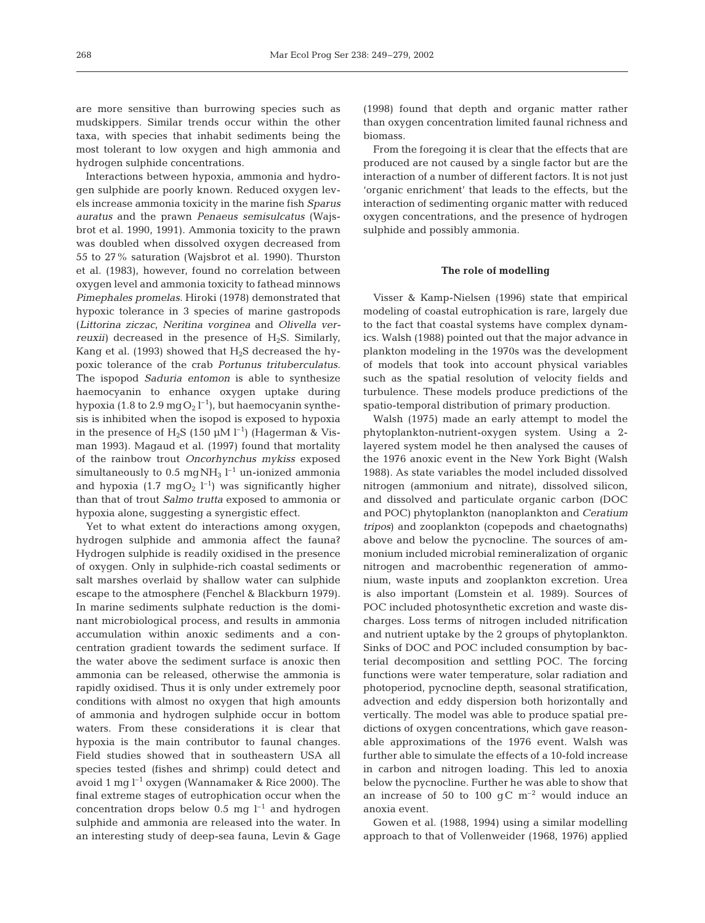are more sensitive than burrowing species such as mudskippers. Similar trends occur within the other taxa, with species that inhabit sediments being the most tolerant to low oxygen and high ammonia and hydrogen sulphide concentrations.

Interactions between hypoxia, ammonia and hydrogen sulphide are poorly known. Reduced oxygen levels increase ammonia toxicity in the marine fish *Sparus auratus* and the prawn *Penaeus semisulcatus* (Wajsbrot et al. 1990, 1991). Ammonia toxicity to the prawn was doubled when dissolved oxygen decreased from 55 to 27% saturation (Wajsbrot et al. 1990). Thurston et al. (1983), however, found no correlation between oxygen level and ammonia toxicity to fathead minnows *Pimephales promelas*. Hiroki (1978) demonstrated that hypoxic tolerance in 3 species of marine gastropods (*Littorina ziczac, Neritina vorginea* and *Olivella verreuxii*) decreased in the presence of  $H_2S$ . Similarly, Kang et al. (1993) showed that  $H_2S$  decreased the hypoxic tolerance of the crab *Portunus trituberculatus*. The ispopod *Saduria entomon* is able to synthesize haemocyanin to enhance oxygen uptake during hypoxia (1.8 to 2.9 mg $O_2$  l<sup>-1</sup>), but haemocyanin synthesis is inhibited when the isopod is exposed to hypoxia in the presence of  $H_2S$  (150 µM l<sup>-1</sup>) (Hagerman & Visman 1993). Magaud et al. (1997) found that mortality of the rainbow trout *Oncorhynchus mykiss* exposed simultaneously to  $0.5 \text{ mgNH}_3$   $l^{-1}$  un-ionized ammonia and hypoxia (1.7 mg $O_2$   $l^{-1}$ ) was significantly higher than that of trout *Salmo trutta* exposed to ammonia or hypoxia alone, suggesting a synergistic effect.

Yet to what extent do interactions among oxygen, hydrogen sulphide and ammonia affect the fauna? Hydrogen sulphide is readily oxidised in the presence of oxygen. Only in sulphide-rich coastal sediments or salt marshes overlaid by shallow water can sulphide escape to the atmosphere (Fenchel & Blackburn 1979). In marine sediments sulphate reduction is the dominant microbiological process, and results in ammonia accumulation within anoxic sediments and a concentration gradient towards the sediment surface. If the water above the sediment surface is anoxic then ammonia can be released, otherwise the ammonia is rapidly oxidised. Thus it is only under extremely poor conditions with almost no oxygen that high amounts of ammonia and hydrogen sulphide occur in bottom waters. From these considerations it is clear that hypoxia is the main contributor to faunal changes. Field studies showed that in southeastern USA all species tested (fishes and shrimp) could detect and avoid 1 mg  $l^{-1}$  oxygen (Wannamaker & Rice 2000). The final extreme stages of eutrophication occur when the concentration drops below 0.5 mg  $l^{-1}$  and hydrogen sulphide and ammonia are released into the water. In an interesting study of deep-sea fauna, Levin & Gage (1998) found that depth and organic matter rather than oxygen concentration limited faunal richness and biomass.

From the foregoing it is clear that the effects that are produced are not caused by a single factor but are the interaction of a number of different factors. It is not just 'organic enrichment' that leads to the effects, but the interaction of sedimenting organic matter with reduced oxygen concentrations, and the presence of hydrogen sulphide and possibly ammonia.

#### **The role of modelling**

Visser & Kamp-Nielsen (1996) state that empirical modeling of coastal eutrophication is rare, largely due to the fact that coastal systems have complex dynamics. Walsh (1988) pointed out that the major advance in plankton modeling in the 1970s was the development of models that took into account physical variables such as the spatial resolution of velocity fields and turbulence. These models produce predictions of the spatio-temporal distribution of primary production.

Walsh (1975) made an early attempt to model the phytoplankton-nutrient-oxygen system. Using a 2 layered system model he then analysed the causes of the 1976 anoxic event in the New York Bight (Walsh 1988). As state variables the model included dissolved nitrogen (ammonium and nitrate), dissolved silicon, and dissolved and particulate organic carbon (DOC and POC) phytoplankton (nanoplankton and *Ceratium tripos*) and zooplankton (copepods and chaetognaths) above and below the pycnocline. The sources of ammonium included microbial remineralization of organic nitrogen and macrobenthic regeneration of ammonium, waste inputs and zooplankton excretion. Urea is also important (Lomstein et al. 1989). Sources of POC included photosynthetic excretion and waste discharges. Loss terms of nitrogen included nitrification and nutrient uptake by the 2 groups of phytoplankton. Sinks of DOC and POC included consumption by bacterial decomposition and settling POC. The forcing functions were water temperature, solar radiation and photoperiod, pycnocline depth, seasonal stratification, advection and eddy dispersion both horizontally and vertically. The model was able to produce spatial predictions of oxygen concentrations, which gave reasonable approximations of the 1976 event. Walsh was further able to simulate the effects of a 10-fold increase in carbon and nitrogen loading. This led to anoxia below the pycnocline. Further he was able to show that an increase of 50 to 100  $qC \text{ m}^{-2}$  would induce an anoxia event.

Gowen et al. (1988, 1994) using a similar modelling approach to that of Vollenweider (1968, 1976) applied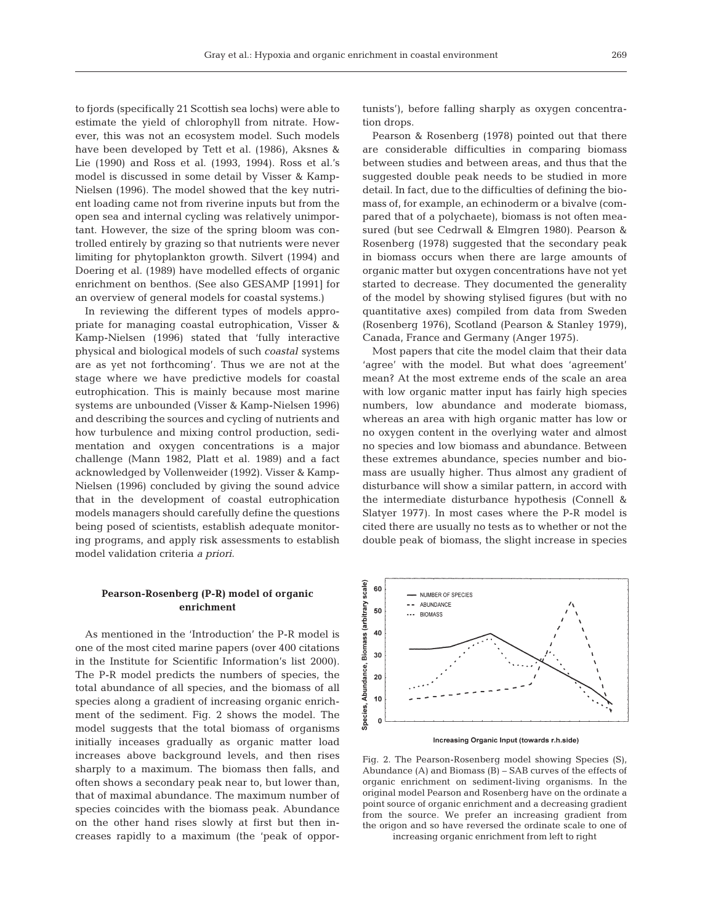to fjords (specifically 21 Scottish sea lochs) were able to estimate the yield of chlorophyll from nitrate. However, this was not an ecosystem model. Such models have been developed by Tett et al. (1986), Aksnes & Lie (1990) and Ross et al. (1993, 1994). Ross et al.'s model is discussed in some detail by Visser & Kamp-Nielsen (1996). The model showed that the key nutrient loading came not from riverine inputs but from the open sea and internal cycling was relatively unimportant. However, the size of the spring bloom was controlled entirely by grazing so that nutrients were never limiting for phytoplankton growth. Silvert (1994) and Doering et al. (1989) have modelled effects of organic enrichment on benthos. (See also GESAMP [1991] for an overview of general models for coastal systems.)

In reviewing the different types of models appropriate for managing coastal eutrophication, Visser & Kamp-Nielsen (1996) stated that 'fully interactive physical and biological models of such *coastal* systems are as yet not forthcoming'. Thus we are not at the stage where we have predictive models for coastal eutrophication. This is mainly because most marine systems are unbounded (Visser & Kamp-Nielsen 1996) and describing the sources and cycling of nutrients and how turbulence and mixing control production, sedimentation and oxygen concentrations is a major challenge (Mann 1982, Platt et al. 1989) and a fact acknowledged by Vollenweider (1992). Visser & Kamp-Nielsen (1996) concluded by giving the sound advice that in the development of coastal eutrophication models managers should carefully define the questions being posed of scientists, establish adequate monitoring programs, and apply risk assessments to establish model validation criteria *a priori*.

## **Pearson-Rosenberg (P-R) model of organic enrichment**

As mentioned in the 'Introduction' the P-R model is one of the most cited marine papers (over 400 citations in the Institute for Scientific Information's list 2000). The P-R model predicts the numbers of species, the total abundance of all species, and the biomass of all species along a gradient of increasing organic enrichment of the sediment. Fig. 2 shows the model. The model suggests that the total biomass of organisms initially inceases gradually as organic matter load increases above background levels, and then rises sharply to a maximum. The biomass then falls, and often shows a secondary peak near to, but lower than, that of maximal abundance. The maximum number of species coincides with the biomass peak. Abundance on the other hand rises slowly at first but then increases rapidly to a maximum (the 'peak of opportunists'), before falling sharply as oxygen concentration drops.

Pearson & Rosenberg (1978) pointed out that there are considerable difficulties in comparing biomass between studies and between areas, and thus that the suggested double peak needs to be studied in more detail. In fact, due to the difficulties of defining the biomass of, for example, an echinoderm or a bivalve (compared that of a polychaete), biomass is not often measured (but see Cedrwall & Elmgren 1980). Pearson & Rosenberg (1978) suggested that the secondary peak in biomass occurs when there are large amounts of organic matter but oxygen concentrations have not yet started to decrease. They documented the generality of the model by showing stylised figures (but with no quantitative axes) compiled from data from Sweden (Rosenberg 1976), Scotland (Pearson & Stanley 1979), Canada, France and Germany (Anger 1975).

Most papers that cite the model claim that their data 'agree' with the model. But what does 'agreement' mean? At the most extreme ends of the scale an area with low organic matter input has fairly high species numbers, low abundance and moderate biomass, whereas an area with high organic matter has low or no oxygen content in the overlying water and almost no species and low biomass and abundance. Between these extremes abundance, species number and biomass are usually higher. Thus almost any gradient of disturbance will show a similar pattern, in accord with the intermediate disturbance hypothesis (Connell & Slatyer 1977). In most cases where the P-R model is cited there are usually no tests as to whether or not the double peak of biomass, the slight increase in species



Increasing Organic Input (towards r.h.side)

Fig. 2. The Pearson-Rosenberg model showing Species (S), Abundance (A) and Biomass (B) – SAB curves of the effects of organic enrichment on sediment-living organisms. In the original model Pearson and Rosenberg have on the ordinate a point source of organic enrichment and a decreasing gradient from the source. We prefer an increasing gradient from the origon and so have reversed the ordinate scale to one of

increasing organic enrichment from left to right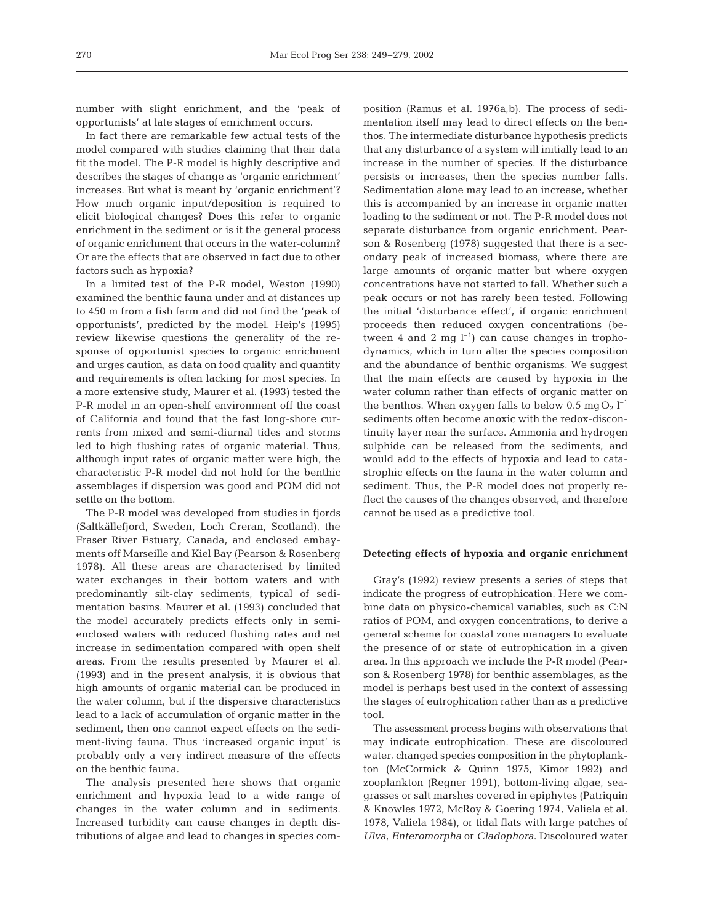number with slight enrichment, and the 'peak of opportunists' at late stages of enrichment occurs.

In fact there are remarkable few actual tests of the model compared with studies claiming that their data fit the model. The P-R model is highly descriptive and describes the stages of change as 'organic enrichment' increases. But what is meant by 'organic enrichment'? How much organic input/deposition is required to elicit biological changes? Does this refer to organic enrichment in the sediment or is it the general process of organic enrichment that occurs in the water-column? Or are the effects that are observed in fact due to other factors such as hypoxia?

In a limited test of the P-R model, Weston (1990) examined the benthic fauna under and at distances up to 450 m from a fish farm and did not find the 'peak of opportunists', predicted by the model. Heip's (1995) review likewise questions the generality of the response of opportunist species to organic enrichment and urges caution, as data on food quality and quantity and requirements is often lacking for most species. In a more extensive study, Maurer et al. (1993) tested the P-R model in an open-shelf environment off the coast of California and found that the fast long-shore currents from mixed and semi-diurnal tides and storms led to high flushing rates of organic material. Thus, although input rates of organic matter were high, the characteristic P-R model did not hold for the benthic assemblages if dispersion was good and POM did not settle on the bottom.

The P-R model was developed from studies in fjords (Saltkällefjord, Sweden, Loch Creran, Scotland), the Fraser River Estuary, Canada, and enclosed embayments off Marseille and Kiel Bay (Pearson & Rosenberg 1978). All these areas are characterised by limited water exchanges in their bottom waters and with predominantly silt-clay sediments, typical of sedimentation basins. Maurer et al. (1993) concluded that the model accurately predicts effects only in semienclosed waters with reduced flushing rates and net increase in sedimentation compared with open shelf areas. From the results presented by Maurer et al. (1993) and in the present analysis, it is obvious that high amounts of organic material can be produced in the water column, but if the dispersive characteristics lead to a lack of accumulation of organic matter in the sediment, then one cannot expect effects on the sediment-living fauna. Thus 'increased organic input' is probably only a very indirect measure of the effects on the benthic fauna.

The analysis presented here shows that organic enrichment and hypoxia lead to a wide range of changes in the water column and in sediments. Increased turbidity can cause changes in depth distributions of algae and lead to changes in species composition (Ramus et al. 1976a,b). The process of sedimentation itself may lead to direct effects on the benthos. The intermediate disturbance hypothesis predicts that any disturbance of a system will initially lead to an increase in the number of species. If the disturbance persists or increases, then the species number falls. Sedimentation alone may lead to an increase, whether this is accompanied by an increase in organic matter loading to the sediment or not. The P-R model does not separate disturbance from organic enrichment. Pearson & Rosenberg (1978) suggested that there is a secondary peak of increased biomass, where there are large amounts of organic matter but where oxygen concentrations have not started to fall. Whether such a peak occurs or not has rarely been tested. Following the initial 'disturbance effect', if organic enrichment proceeds then reduced oxygen concentrations (between 4 and 2 mg  $l^{-1}$  can cause changes in trophodynamics, which in turn alter the species composition and the abundance of benthic organisms. We suggest that the main effects are caused by hypoxia in the water column rather than effects of organic matter on the benthos. When oxygen falls to below 0.5  $\text{mgO}_2$   $\text{l}^{-1}$ sediments often become anoxic with the redox-discontinuity layer near the surface. Ammonia and hydrogen sulphide can be released from the sediments, and would add to the effects of hypoxia and lead to catastrophic effects on the fauna in the water column and sediment. Thus, the P-R model does not properly reflect the causes of the changes observed, and therefore cannot be used as a predictive tool.

#### **Detecting effects of hypoxia and organic enrichment**

Gray's (1992) review presents a series of steps that indicate the progress of eutrophication. Here we combine data on physico-chemical variables, such as C:N ratios of POM, and oxygen concentrations, to derive a general scheme for coastal zone managers to evaluate the presence of or state of eutrophication in a given area. In this approach we include the P-R model (Pearson & Rosenberg 1978) for benthic assemblages, as the model is perhaps best used in the context of assessing the stages of eutrophication rather than as a predictive tool.

The assessment process begins with observations that may indicate eutrophication. These are discoloured water, changed species composition in the phytoplankton (McCormick & Quinn 1975, Kimor 1992) and zooplankton (Regner 1991), bottom-living algae, seagrasses or salt marshes covered in epiphytes (Patriquin & Knowles 1972, McRoy & Goering 1974, Valiela et al. 1978, Valiela 1984), or tidal flats with large patches of *Ulva*, *Enteromorpha* or *Cladophora*. Discoloured water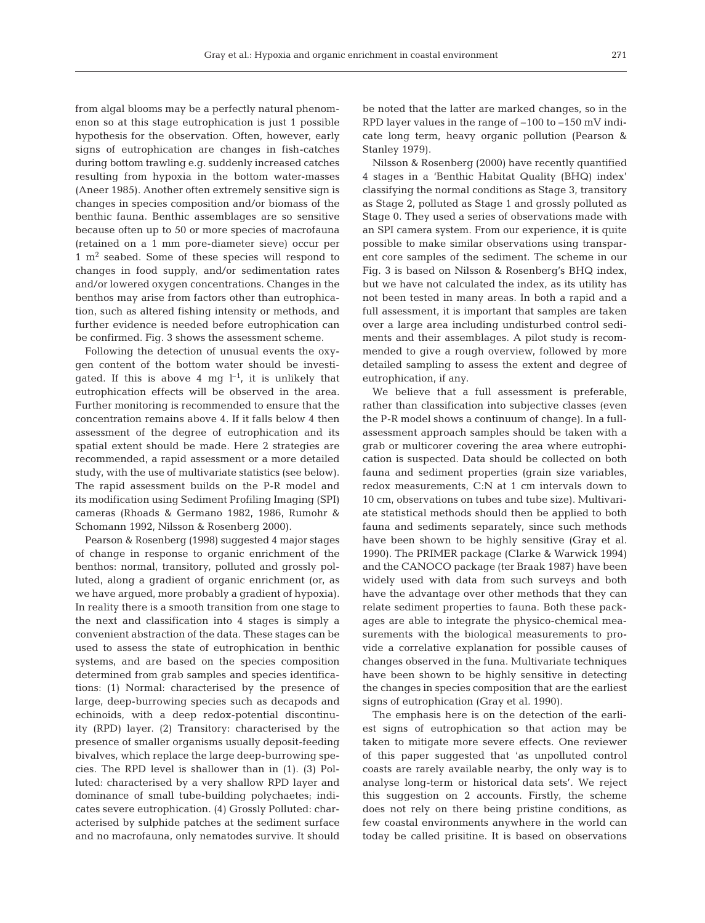from algal blooms may be a perfectly natural phenomenon so at this stage eutrophication is just 1 possible hypothesis for the observation. Often, however, early signs of eutrophication are changes in fish-catches during bottom trawling e.g. suddenly increased catches resulting from hypoxia in the bottom water-masses (Aneer 1985). Another often extremely sensitive sign is changes in species composition and/or biomass of the benthic fauna. Benthic assemblages are so sensitive because often up to 50 or more species of macrofauna (retained on a 1 mm pore-diameter sieve) occur per  $1 \text{ m}^2$  seabed. Some of these species will respond to changes in food supply, and/or sedimentation rates and/or lowered oxygen concentrations. Changes in the benthos may arise from factors other than eutrophication, such as altered fishing intensity or methods, and further evidence is needed before eutrophication can be confirmed. Fig. 3 shows the assessment scheme.

Following the detection of unusual events the oxygen content of the bottom water should be investigated. If this is above 4 mg  $l^{-1}$ , it is unlikely that eutrophication effects will be observed in the area. Further monitoring is recommended to ensure that the concentration remains above 4. If it falls below 4 then assessment of the degree of eutrophication and its spatial extent should be made. Here 2 strategies are recommended, a rapid assessment or a more detailed study, with the use of multivariate statistics (see below). The rapid assessment builds on the P-R model and its modification using Sediment Profiling Imaging (SPI) cameras (Rhoads & Germano 1982, 1986, Rumohr & Schomann 1992, Nilsson & Rosenberg 2000).

Pearson & Rosenberg (1998) suggested 4 major stages of change in response to organic enrichment of the benthos: normal, transitory, polluted and grossly polluted, along a gradient of organic enrichment (or, as we have argued, more probably a gradient of hypoxia). In reality there is a smooth transition from one stage to the next and classification into 4 stages is simply a convenient abstraction of the data. These stages can be used to assess the state of eutrophication in benthic systems, and are based on the species composition determined from grab samples and species identifications: (1) Normal: characterised by the presence of large, deep-burrowing species such as decapods and echinoids, with a deep redox-potential discontinuity (RPD) layer. (2) Transitory: characterised by the presence of smaller organisms usually deposit-feeding bivalves, which replace the large deep-burrowing species. The RPD level is shallower than in (1). (3) Polluted: characterised by a very shallow RPD layer and dominance of small tube-building polychaetes; indicates severe eutrophication. (4) Grossly Polluted: characterised by sulphide patches at the sediment surface and no macrofauna, only nematodes survive. It should

be noted that the latter are marked changes, so in the RPD layer values in the range of –100 to –150 mV indicate long term, heavy organic pollution (Pearson & Stanley 1979).

Nilsson & Rosenberg (2000) have recently quantified 4 stages in a 'Benthic Habitat Quality (BHQ) index' classifying the normal conditions as Stage 3, transitory as Stage 2, polluted as Stage 1 and grossly polluted as Stage 0. They used a series of observations made with an SPI camera system. From our experience, it is quite possible to make similar observations using transparent core samples of the sediment. The scheme in our Fig. 3 is based on Nilsson & Rosenberg's BHQ index, but we have not calculated the index, as its utility has not been tested in many areas. In both a rapid and a full assessment, it is important that samples are taken over a large area including undisturbed control sediments and their assemblages. A pilot study is recommended to give a rough overview, followed by more detailed sampling to assess the extent and degree of eutrophication, if any.

We believe that a full assessment is preferable, rather than classification into subjective classes (even the P-R model shows a continuum of change). In a fullassessment approach samples should be taken with a grab or multicorer covering the area where eutrophication is suspected. Data should be collected on both fauna and sediment properties (grain size variables, redox measurements, C:N at 1 cm intervals down to 10 cm, observations on tubes and tube size). Multivariate statistical methods should then be applied to both fauna and sediments separately, since such methods have been shown to be highly sensitive (Gray et al. 1990). The PRIMER package (Clarke & Warwick 1994) and the CANOCO package (ter Braak 1987) have been widely used with data from such surveys and both have the advantage over other methods that they can relate sediment properties to fauna. Both these packages are able to integrate the physico-chemical measurements with the biological measurements to provide a correlative explanation for possible causes of changes observed in the funa. Multivariate techniques have been shown to be highly sensitive in detecting the changes in species composition that are the earliest signs of eutrophication (Gray et al. 1990).

The emphasis here is on the detection of the earliest signs of eutrophication so that action may be taken to mitigate more severe effects. One reviewer of this paper suggested that 'as unpolluted control coasts are rarely available nearby, the only way is to analyse long-term or historical data sets'. We reject this suggestion on 2 accounts. Firstly, the scheme does not rely on there being pristine conditions, as few coastal environments anywhere in the world can today be called prisitine. It is based on observations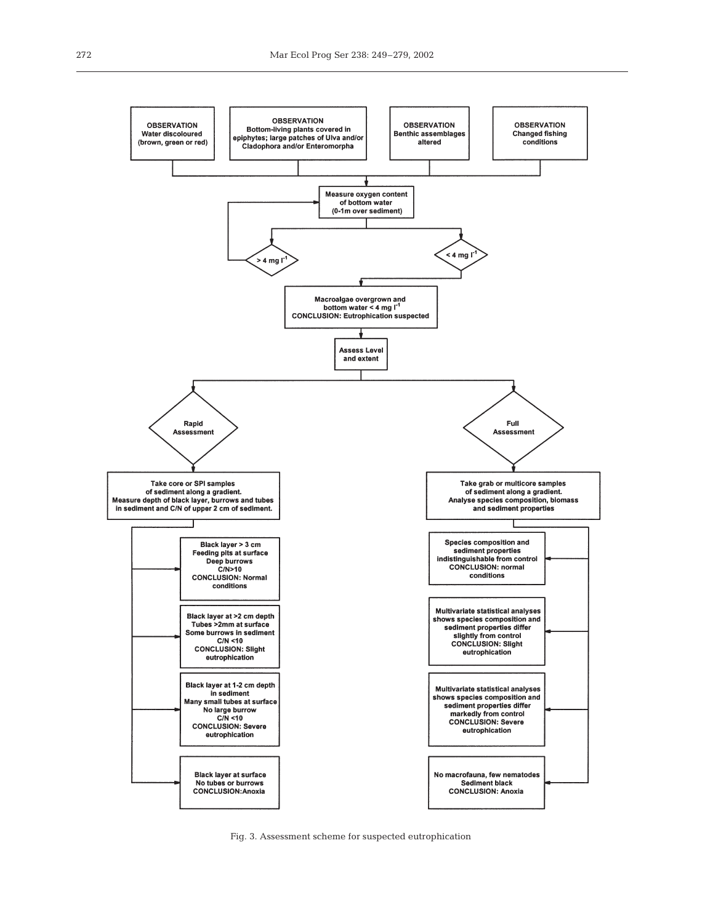

Fig. 3. Assessment scheme for suspected eutrophication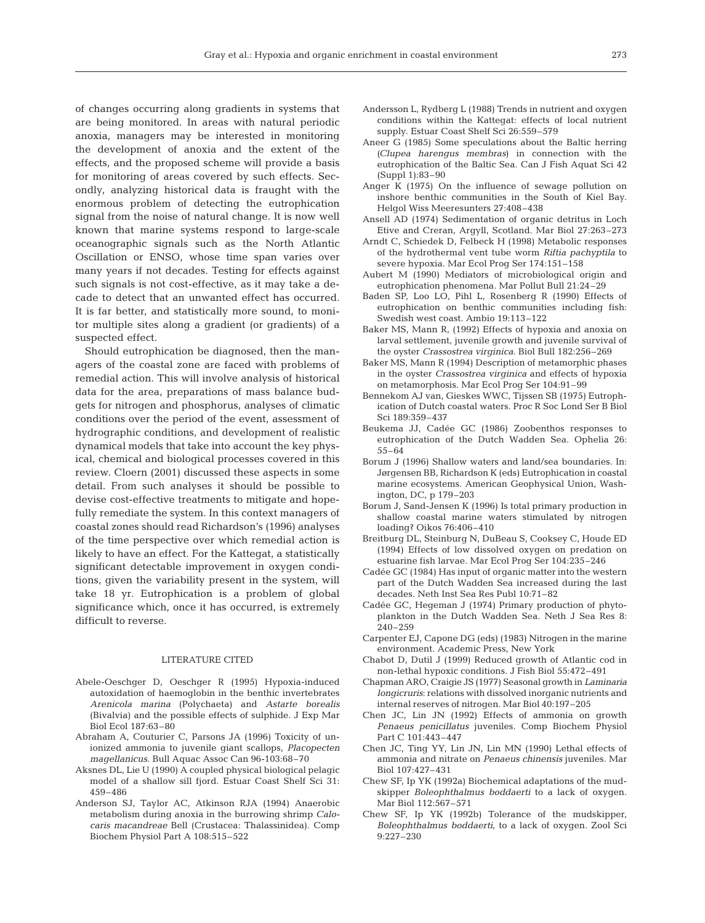of changes occurring along gradients in systems that are being monitored. In areas with natural periodic anoxia, managers may be interested in monitoring the development of anoxia and the extent of the effects, and the proposed scheme will provide a basis for monitoring of areas covered by such effects. Secondly, analyzing historical data is fraught with the enormous problem of detecting the eutrophication signal from the noise of natural change. It is now well known that marine systems respond to large-scale oceanographic signals such as the North Atlantic Oscillation or ENSO, whose time span varies over many years if not decades. Testing for effects against such signals is not cost-effective, as it may take a decade to detect that an unwanted effect has occurred. It is far better, and statistically more sound, to monitor multiple sites along a gradient (or gradients) of a suspected effect.

Should eutrophication be diagnosed, then the managers of the coastal zone are faced with problems of remedial action. This will involve analysis of historical data for the area, preparations of mass balance budgets for nitrogen and phosphorus, analyses of climatic conditions over the period of the event, assessment of hydrographic conditions, and development of realistic dynamical models that take into account the key physical, chemical and biological processes covered in this review. Cloern (2001) discussed these aspects in some detail. From such analyses it should be possible to devise cost-effective treatments to mitigate and hopefully remediate the system. In this context managers of coastal zones should read Richardson's (1996) analyses of the time perspective over which remedial action is likely to have an effect. For the Kattegat, a statistically significant detectable improvement in oxygen conditions, given the variability present in the system, will take 18 yr. Eutrophication is a problem of global significance which, once it has occurred, is extremely difficult to reverse.

#### LITERATURE CITED

- Abele-Oeschger D, Oeschger R (1995) Hypoxia-induced autoxidation of haemoglobin in the benthic invertebrates *Arenicola marina* (Polychaeta) and *Astarte borealis* (Bivalvia) and the possible effects of sulphide. J Exp Mar Biol Ecol 187:63–80
- Abraham A, Couturier C, Parsons JA (1996) Toxicity of unionized ammonia to juvenile giant scallops, *Placopecten magellanicus*. Bull Aquac Assoc Can 96-103:68–70
- Aksnes DL, Lie U (1990) A coupled physical biological pelagic model of a shallow sill fjord. Estuar Coast Shelf Sci 31: 459–486
- Anderson SJ, Taylor AC, Atkinson RJA (1994) Anaerobic metabolism during anoxia in the burrowing shrimp *Calocaris macandreae* Bell (Crustacea: Thalassinidea). Comp Biochem Physiol Part A 108:515–522
- Andersson L, Rydberg L (1988) Trends in nutrient and oxygen conditions within the Kattegat: effects of local nutrient supply. Estuar Coast Shelf Sci 26:559–579
- Aneer G (1985) Some speculations about the Baltic herring (*Clupea harengus membras*) in connection with the eutrophication of the Baltic Sea. Can J Fish Aquat Sci 42 (Suppl 1):83–90
- Anger K (1975) On the influence of sewage pollution on inshore benthic communities in the South of Kiel Bay. Helgol Wiss Meeresunters 27:408–438
- Ansell AD (1974) Sedimentation of organic detritus in Loch Etive and Creran, Argyll, Scotland. Mar Biol 27:263–273
- Arndt C, Schiedek D, Felbeck H (1998) Metabolic responses of the hydrothermal vent tube worm *Riftia pachyptila* to severe hypoxia. Mar Ecol Prog Ser 174:151–158
- Aubert M (1990) Mediators of microbiological origin and eutrophication phenomena. Mar Pollut Bull 21:24–29
- Baden SP, Loo LO, Pihl L, Rosenberg R (1990) Effects of eutrophication on benthic communities including fish: Swedish west coast. Ambio 19:113–122
- Baker MS, Mann R, (1992) Effects of hypoxia and anoxia on larval settlement, juvenile growth and juvenile survival of the oyster *Crassostrea virginica*. Biol Bull 182:256–269
- Baker MS, Mann R (1994) Description of metamorphic phases in the oyster *Crassostrea virginica* and effects of hypoxia on metamorphosis. Mar Ecol Prog Ser 104:91–99
- Bennekom AJ van, Gieskes WWC, Tijssen SB (1975) Eutrophication of Dutch coastal waters. Proc R Soc Lond Ser B Biol Sci 189:359–437
- Beukema JJ, Cadée GC (1986) Zoobenthos responses to eutrophication of the Dutch Wadden Sea. Ophelia 26: 55–64
- Borum J (1996) Shallow waters and land/sea boundaries. In: Jørgensen BB, Richardson K (eds) Eutrophication in coastal marine ecosystems. American Geophysical Union, Washington, DC, p 179–203
- Borum J, Sand-Jensen K (1996) Is total primary production in shallow coastal marine waters stimulated by nitrogen loading? Oikos 76:406–410
- Breitburg DL, Steinburg N, DuBeau S, Cooksey C, Houde ED (1994) Effects of low dissolved oxygen on predation on estuarine fish larvae. Mar Ecol Prog Ser 104:235–246
- Cadée GC (1984) Has input of organic matter into the western part of the Dutch Wadden Sea increased during the last decades. Neth Inst Sea Res Publ 10:71–82
- Cadée GC, Hegeman J (1974) Primary production of phytoplankton in the Dutch Wadden Sea. Neth J Sea Res 8: 240–259
- Carpenter EJ, Capone DG (eds) (1983) Nitrogen in the marine environment. Academic Press, New York
- Chabot D, Dutil J (1999) Reduced growth of Atlantic cod in non-lethal hypoxic conditions. J Fish Biol 55:472–491
- Chapman ARO, Craigie JS (1977) Seasonal growth in *Laminaria longicruris*: relations with dissolved inorganic nutrients and internal reserves of nitrogen. Mar Biol 40:197–205
- Chen JC, Lin JN (1992) Effects of ammonia on growth *Penaeus penicillatus* juveniles. Comp Biochem Physiol Part C 101:443–447
- Chen JC, Ting YY, Lin JN, Lin MN (1990) Lethal effects of ammonia and nitrate on *Penaeus chinensis* juveniles. Mar Biol 107:427–431
- Chew SF, Ip YK (1992a) Biochemical adaptations of the mudskipper *Boleophthalmus boddaerti* to a lack of oxygen. Mar Biol 112:567–571
- Chew SF, Ip YK (1992b) Tolerance of the mudskipper, *Boleophthalmus boddaerti*, to a lack of oxygen. Zool Sci 9:227–230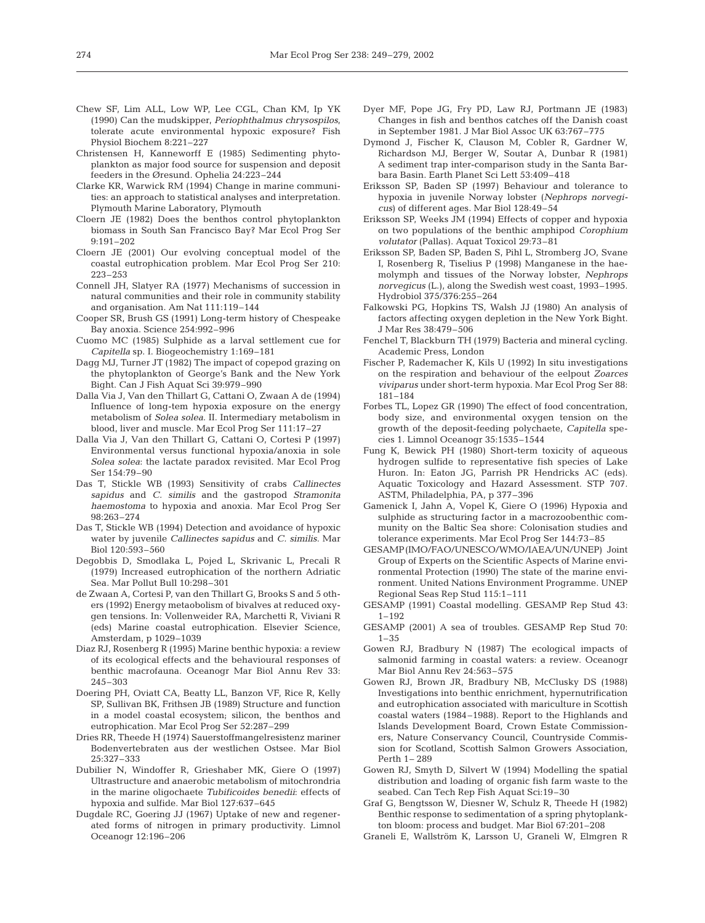- Chew SF, Lim ALL, Low WP, Lee CGL, Chan KM, Ip YK (1990) Can the mudskipper, *Periophthalmus chrysospilos*, tolerate acute environmental hypoxic exposure? Fish Physiol Biochem 8:221–227
- Christensen H, Kanneworff E (1985) Sedimenting phytoplankton as major food source for suspension and deposit feeders in the Øresund. Ophelia 24:223–244
- Clarke KR, Warwick RM (1994) Change in marine communities: an approach to statistical analyses and interpretation. Plymouth Marine Laboratory, Plymouth
- Cloern JE (1982) Does the benthos control phytoplankton biomass in South San Francisco Bay? Mar Ecol Prog Ser 9:191–202
- Cloern JE (2001) Our evolving conceptual model of the coastal eutrophication problem. Mar Ecol Prog Ser 210: 223–253
- Connell JH, Slatyer RA (1977) Mechanisms of succession in natural communities and their role in community stability and organisation. Am Nat 111:119–144
- Cooper SR, Brush GS (1991) Long-term history of Chespeake Bay anoxia. Science 254:992–996
- Cuomo MC (1985) Sulphide as a larval settlement cue for *Capitella* sp. I. Biogeochemistry 1:169–181
- Dagg MJ, Turner JT (1982) The impact of copepod grazing on the phytoplankton of George's Bank and the New York Bight. Can J Fish Aquat Sci 39:979–990
- Dalla Via J, Van den Thillart G, Cattani O, Zwaan A de (1994) Influence of long-tem hypoxia exposure on the energy metabolism of *Solea solea*. II. Intermediary metabolism in blood, liver and muscle. Mar Ecol Prog Ser 111:17–27
- Dalla Via J, Van den Thillart G, Cattani O, Cortesi P (1997) Environmental versus functional hypoxia/anoxia in sole *Solea solea*: the lactate paradox revisited. Mar Ecol Prog Ser 154:79–90
- Das T, Stickle WB (1993) Sensitivity of crabs *Callinectes sapidus* and *C. similis* and the gastropod *Stramonita haemostoma* to hypoxia and anoxia. Mar Ecol Prog Ser 98:263–274
- Das T, Stickle WB (1994) Detection and avoidance of hypoxic water by juvenile *Callinectes sapidus* and *C. similis*. Mar Biol 120:593–560
- Degobbis D, Smodlaka L, Pojed L, Skrivanic L, Precali R (1979) Increased eutrophication of the northern Adriatic Sea. Mar Pollut Bull 10:298–301
- de Zwaan A, Cortesi P, van den Thillart G, Brooks S and 5 others (1992) Energy metaobolism of bivalves at reduced oxygen tensions. In: Vollenweider RA, Marchetti R, Viviani R (eds) Marine coastal eutrophication. Elsevier Science, Amsterdam, p 1029–1039
- Diaz RJ, Rosenberg R (1995) Marine benthic hypoxia: a review of its ecological effects and the behavioural responses of benthic macrofauna. Oceanogr Mar Biol Annu Rev 33: 245–303
- Doering PH, Oviatt CA, Beatty LL, Banzon VF, Rice R, Kelly SP, Sullivan BK, Frithsen JB (1989) Structure and function in a model coastal ecosystem; silicon, the benthos and eutrophication. Mar Ecol Prog Ser 52:287–299
- Dries RR, Theede H (1974) Sauerstoffmangelresistenz mariner Bodenvertebraten aus der westlichen Ostsee. Mar Biol 25:327–333
- Dubilier N, Windoffer R, Grieshaber MK, Giere O (1997) Ultrastructure and anaerobic metabolism of mitochrondria in the marine oligochaete *Tubificoides benedii*: effects of hypoxia and sulfide. Mar Biol 127:637–645
- Dugdale RC, Goering JJ (1967) Uptake of new and regenerated forms of nitrogen in primary productivity. Limnol Oceanogr 12:196–206
- Dyer MF, Pope JG, Fry PD, Law RJ, Portmann JE (1983) Changes in fish and benthos catches off the Danish coast in September 1981. J Mar Biol Assoc UK 63:767–775
- Dymond J, Fischer K, Clauson M, Cobler R, Gardner W, Richardson MJ, Berger W, Soutar A, Dunbar R (1981) A sediment trap inter-comparison study in the Santa Barbara Basin. Earth Planet Sci Lett 53:409–418
- Eriksson SP, Baden SP (1997) Behaviour and tolerance to hypoxia in juvenile Norway lobster (*Nephrops norvegicus*) of different ages. Mar Biol 128:49–54
- Eriksson SP, Weeks JM (1994) Effects of copper and hypoxia on two populations of the benthic amphipod *Corophium volutator* (Pallas). Aquat Toxicol 29:73–81
- Eriksson SP, Baden SP, Baden S, Pihl L, Stromberg JO, Svane I, Rosenberg R, Tiselius P (1998) Manganese in the haemolymph and tissues of the Norway lobster, *Nephrops norvegicus* (L.), along the Swedish west coast, 1993–1995. Hydrobiol 375/376:255–264
- Falkowski PG, Hopkins TS, Walsh JJ (1980) An analysis of factors affecting oxygen depletion in the New York Bight. J Mar Res 38:479–506
- Fenchel T, Blackburn TH (1979) Bacteria and mineral cycling. Academic Press, London
- Fischer P, Rademacher K, Kils U (1992) In situ investigations on the respiration and behaviour of the eelpout *Zoarces viviparus* under short-term hypoxia. Mar Ecol Prog Ser 88: 181–184
- Forbes TL, Lopez GR (1990) The effect of food concentration, body size, and environmental oxygen tension on the growth of the deposit-feeding polychaete, *Capitella* species 1. Limnol Oceanogr 35:1535–1544
- Fung K, Bewick PH (1980) Short-term toxicity of aqueous hydrogen sulfide to representative fish species of Lake Huron. In: Eaton JG, Parrish PR Hendricks AC (eds). Aquatic Toxicology and Hazard Assessment. STP 707. ASTM, Philadelphia, PA, p 377–396
- Gamenick I, Jahn A, Vopel K, Giere O (1996) Hypoxia and sulphide as structuring factor in a macrozoobenthic community on the Baltic Sea shore: Colonisation studies and tolerance experiments. Mar Ecol Prog Ser 144:73–85
- GESAMP(IMO/FAO/UNESCO/WMO/IAEA/UN/UNEP) Joint Group of Experts on the Scientific Aspects of Marine environmental Protection (1990) The state of the marine environment. United Nations Environment Programme. UNEP Regional Seas Rep Stud 115:1–111
- GESAMP (1991) Coastal modelling. GESAMP Rep Stud 43: 1–192
- GESAMP (2001) A sea of troubles. GESAMP Rep Stud 70:  $1 - 35$
- Gowen RJ, Bradbury N (1987) The ecological impacts of salmonid farming in coastal waters: a review. Oceanogr Mar Biol Annu Rev 24:563–575
- Gowen RJ, Brown JR, Bradbury NB, McClusky DS (1988) Investigations into benthic enrichment, hypernutrification and eutrophication associated with mariculture in Scottish coastal waters (1984–1988). Report to the Highlands and Islands Development Board, Crown Estate Commissioners, Nature Conservancy Council, Countryside Commission for Scotland, Scottish Salmon Growers Association, Perth 1– 289
- Gowen RJ, Smyth D, Silvert W (1994) Modelling the spatial distribution and loading of organic fish farm waste to the seabed. Can Tech Rep Fish Aquat Sci:19–30
- Graf G, Bengtsson W, Diesner W, Schulz R, Theede H (1982) Benthic response to sedimentation of a spring phytoplankton bloom: process and budget. Mar Biol 67:201–208
- Graneli E, Wallström K, Larsson U, Graneli W, Elmgren R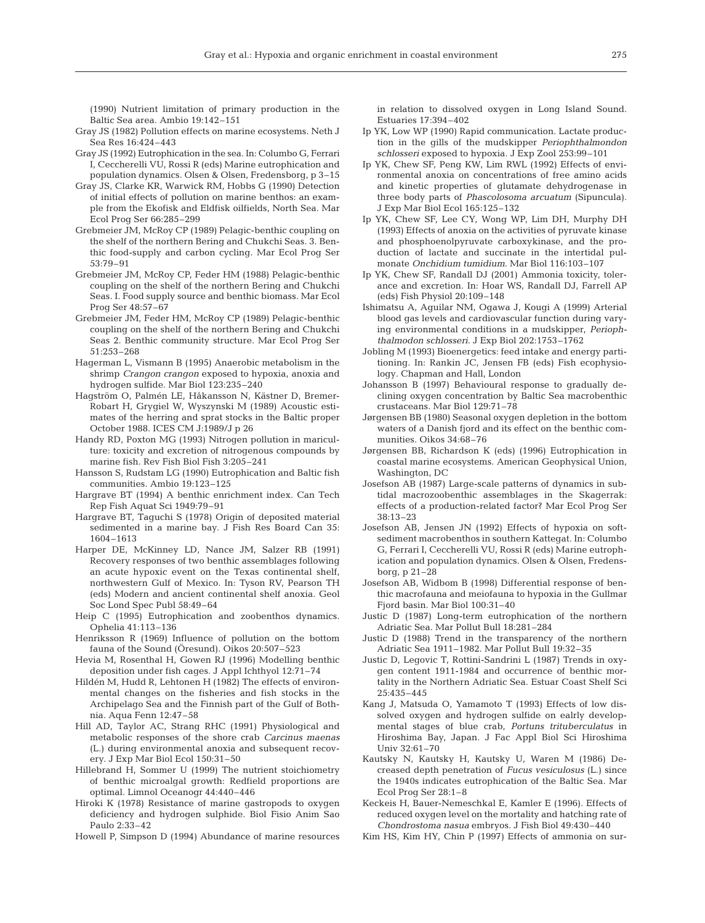(1990) Nutrient limitation of primary production in the Baltic Sea area. Ambio 19:142–151

- Gray JS (1982) Pollution effects on marine ecosystems. Neth J Sea Res 16:424–443
- Gray JS (1992) Eutrophication in the sea. In: Columbo G, Ferrari I, Ceccherelli VU, Rossi R (eds) Marine eutrophication and population dynamics. Olsen & Olsen, Fredensborg, p 3–15
- Gray JS, Clarke KR, Warwick RM, Hobbs G (1990) Detection of initial effects of pollution on marine benthos: an example from the Ekofisk and Eldfisk oilfields, North Sea. Mar Ecol Prog Ser 66:285–299
- Grebmeier JM, McRoy CP (1989) Pelagic-benthic coupling on the shelf of the northern Bering and Chukchi Seas. 3. Benthic food-supply and carbon cycling. Mar Ecol Prog Ser 53:79–91
- Grebmeier JM, McRoy CP, Feder HM (1988) Pelagic-benthic coupling on the shelf of the northern Bering and Chukchi Seas. I. Food supply source and benthic biomass. Mar Ecol Prog Ser 48:57–67
- Grebmeier JM, Feder HM, McRoy CP (1989) Pelagic-benthic coupling on the shelf of the northern Bering and Chukchi Seas 2. Benthic community structure. Mar Ecol Prog Ser 51:253–268
- Hagerman L, Vismann B (1995) Anaerobic metabolism in the shrimp *Crangon crangon* exposed to hypoxia, anoxia and hydrogen sulfide. Mar Biol 123:235–240
- Hagström O, Palmén LE, Håkansson N, Kästner D, Bremer-Robart H, Grygiel W, Wyszynski M (1989) Acoustic estimates of the herring and sprat stocks in the Baltic proper October 1988. ICES CM J:1989/J p 26
- Handy RD, Poxton MG (1993) Nitrogen pollution in mariculture: toxicity and excretion of nitrogenous compounds by marine fish. Rev Fish Biol Fish 3:205–241
- Hansson S, Rudstam LG (1990) Eutrophication and Baltic fish communities. Ambio 19:123–125
- Hargrave BT (1994) A benthic enrichment index. Can Tech Rep Fish Aquat Sci 1949:79–91
- Hargrave BT, Taguchi S (1978) Origin of deposited material sedimented in a marine bay. J Fish Res Board Can 35: 1604–1613
- Harper DE, McKinney LD, Nance JM, Salzer RB (1991) Recovery responses of two benthic assemblages following an acute hypoxic event on the Texas continental shelf, northwestern Gulf of Mexico. In: Tyson RV, Pearson TH (eds) Modern and ancient continental shelf anoxia*.* Geol Soc Lond Spec Publ 58:49–64
- Heip C (1995) Eutrophication and zoobenthos dynamics. Ophelia 41:113–136
- Henriksson R (1969) Influence of pollution on the bottom fauna of the Sound (Öresund). Oikos 20:507–523
- Hevia M, Rosenthal H, Gowen RJ (1996) Modelling benthic deposition under fish cages. J Appl Ichthyol 12:71–74
- Hildén M, Hudd R, Lehtonen H (1982) The effects of environmental changes on the fisheries and fish stocks in the Archipelago Sea and the Finnish part of the Gulf of Bothnia. Aqua Fenn 12:47–58
- Hill AD, Taylor AC, Strang RHC (1991) Physiological and metabolic responses of the shore crab *Carcinus maenas* (L.) during environmental anoxia and subsequent recovery. J Exp Mar Biol Ecol 150:31–50
- Hillebrand H, Sommer U (1999) The nutrient stoichiometry of benthic microalgal growth: Redfield proportions are optimal. Limnol Oceanogr 44:440–446
- Hiroki K (1978) Resistance of marine gastropods to oxygen deficiency and hydrogen sulphide. Biol Fisio Anim Sao Paulo 2:33–42
- Howell P, Simpson D (1994) Abundance of marine resources

in relation to dissolved oxygen in Long Island Sound. Estuaries 17:394–402

- Ip YK, Low WP (1990) Rapid communication. Lactate production in the gills of the mudskipper *Periophthalmondon schlosseri* exposed to hypoxia. J Exp Zool 253:99–101
- Ip YK, Chew SF, Peng KW, Lim RWL (1992) Effects of environmental anoxia on concentrations of free amino acids and kinetic properties of glutamate dehydrogenase in three body parts of *Phascolosoma arcuatum* (Sipuncula). J Exp Mar Biol Ecol 165:125–132
- Ip YK, Chew SF, Lee CY, Wong WP, Lim DH, Murphy DH (1993) Effects of anoxia on the activities of pyruvate kinase and phosphoenolpyruvate carboxykinase, and the production of lactate and succinate in the intertidal pulmonate *Onchidium tumidium*. Mar Biol 116:103–107
- Ip YK, Chew SF, Randall DJ (2001) Ammonia toxicity, tolerance and excretion. In: Hoar WS, Randall DJ, Farrell AP (eds) Fish Physiol 20:109–148
- Ishimatsu A, Aguilar NM, Ogawa J, Kougi A (1999) Arterial blood gas levels and cardiovascular function during varying environmental conditions in a mudskipper, *Periophthalmodon schlosseri*. J Exp Biol 202:1753–1762
- Jobling M (1993) Bioenergetics: feed intake and energy partitioning. In: Rankin JC, Jensen FB (eds) Fish ecophysiology*.* Chapman and Hall, London
- Johansson B (1997) Behavioural response to gradually declining oxygen concentration by Baltic Sea macrobenthic crustaceans. Mar Biol 129:71–78
- Jørgensen BB (1980) Seasonal oxygen depletion in the bottom waters of a Danish fjord and its effect on the benthic communities. Oikos 34:68–76
- Jørgensen BB, Richardson K (eds) (1996) Eutrophication in coastal marine ecosystems. American Geophysical Union, Washington, DC
- Josefson AB (1987) Large-scale patterns of dynamics in subtidal macrozoobenthic assemblages in the Skagerrak: effects of a production-related factor? Mar Ecol Prog Ser 38:13–23
- Josefson AB, Jensen JN (1992) Effects of hypoxia on softsediment macrobenthos in southern Kattegat. In: Columbo G, Ferrari I, Ceccherelli VU, Rossi R (eds) Marine eutrophication and population dynamics. Olsen & Olsen, Fredensborg, p 21–28
- Josefson AB, Widbom B (1998) Differential response of benthic macrofauna and meiofauna to hypoxia in the Gullmar Fjord basin. Mar Biol 100:31–40
- Justic D (1987) Long-term eutrophication of the northern Adriatic Sea. Mar Pollut Bull 18:281–284
- Justic D (1988) Trend in the transparency of the northern Adriatic Sea 1911–1982. Mar Pollut Bull 19:32–35
- Justic D, Legovic T, Rottini-Sandrini L (1987) Trends in oxygen content 1911-1984 and occurrence of benthic mortality in the Northern Adriatic Sea. Estuar Coast Shelf Sci 25:435–445
- Kang J, Matsuda O, Yamamoto T (1993) Effects of low dissolved oxygen and hydrogen sulfide on ealrly developmental stages of blue crab, *Portuns trituberculatus* in Hiroshima Bay, Japan. J Fac Appl Biol Sci Hiroshima Univ 32:61–70
- Kautsky N, Kautsky H, Kautsky U, Waren M (1986) Decreased depth penetration of *Fucus vesiculosus* (L.) since the 1940s indicates eutrophication of the Baltic Sea. Mar Ecol Prog Ser 28:1–8
- Keckeis H, Bauer-Nemeschkal E, Kamler E (1996). Effects of reduced oxygen level on the mortality and hatching rate of *Chondrostoma nasua* embryos. J Fish Biol 49:430–440
- Kim HS, Kim HY, Chin P (1997) Effects of ammonia on sur-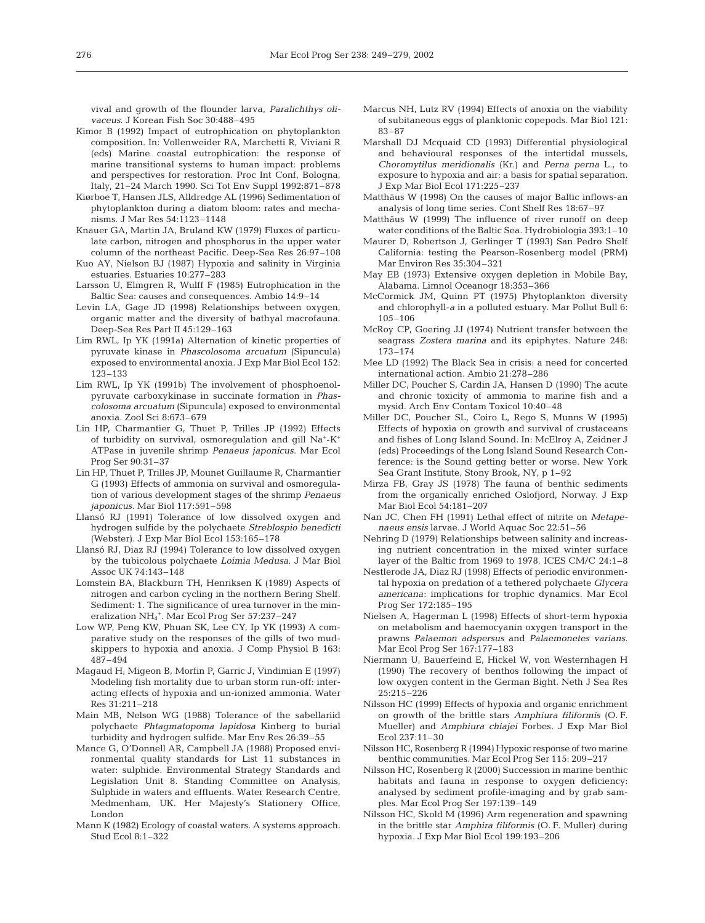vival and growth of the flounder larva, *Paralichthys olivaceus*. J Korean Fish Soc 30:488–495

- Kimor B (1992) Impact of eutrophication on phytoplankton composition. In: Vollenweider RA, Marchetti R, Viviani R (eds) Marine coastal eutrophication: the response of marine transitional systems to human impact: problems and perspectives for restoration. Proc Int Conf, Bologna, Italy, 21–24 March 1990. Sci Tot Env Suppl 1992:871–878
- Kiørboe T, Hansen JLS, Alldredge AL (1996) Sedimentation of phytoplankton during a diatom bloom: rates and mechanisms. J Mar Res 54:1123–1148
- Knauer GA, Martin JA, Bruland KW (1979) Fluxes of particulate carbon, nitrogen and phosphorus in the upper water column of the northeast Pacific. Deep-Sea Res 26:97–108
- Kuo AY, Nielson BJ (1987) Hypoxia and salinity in Virginia estuaries. Estuaries 10:277–283
- Larsson U, Elmgren R, Wulff F (1985) Eutrophication in the Baltic Sea: causes and consequences. Ambio 14:9–14
- Levin LA, Gage JD (1998) Relationships between oxygen, organic matter and the diversity of bathyal macrofauna. Deep-Sea Res Part II 45:129–163
- Lim RWL, Ip YK (1991a) Alternation of kinetic properties of pyruvate kinase in *Phascolosoma arcuatum* (Sipuncula) exposed to environmental anoxia. J Exp Mar Biol Ecol 152: 123–133
- Lim RWL, Ip YK (1991b) The involvement of phosphoenolpyruvate carboxykinase in succinate formation in *Phascolosoma arcuatum* (Sipuncula) exposed to environmental anoxia. Zool Sci 8:673–679
- Lin HP, Charmantier G, Thuet P, Trilles JP (1992) Effects of turbidity on survival, osmoregulation and gill Na+-K+ ATPase in juvenile shrimp *Penaeus japonicus*. Mar Ecol Prog Ser 90:31–37
- Lin HP, Thuet P, Trilles JP, Mounet Guillaume R, Charmantier G (1993) Effects of ammonia on survival and osmoregulation of various development stages of the shrimp *Penaeus japonicus*. Mar Biol 117:591–598
- Llansó RJ (1991) Tolerance of low dissolved oxygen and hydrogen sulfide by the polychaete *Streblospio benedicti* (Webster). J Exp Mar Biol Ecol 153:165–178
- Llansó RJ, Diaz RJ (1994) Tolerance to low dissolved oxygen by the tubicolous polychaete *Loimia Medusa*. J Mar Biol Assoc UK 74:143–148
- Lomstein BA, Blackburn TH, Henriksen K (1989) Aspects of nitrogen and carbon cycling in the northern Bering Shelf. Sediment: 1. The significance of urea turnover in the mineralization NH<sub>4</sub><sup>+</sup>. Mar Ecol Prog Ser 57:237-247
- Low WP, Peng KW, Phuan SK, Lee CY, Ip YK (1993) A comparative study on the responses of the gills of two mudskippers to hypoxia and anoxia. J Comp Physiol B 163: 487–494
- Magaud H, Migeon B, Morfin P, Garric J, Vindimian E (1997) Modeling fish mortality due to urban storm run-off: interacting effects of hypoxia and un-ionized ammonia. Water Res 31:211–218
- Main MB, Nelson WG (1988) Tolerance of the sabellariid polychaete *Phtagmatopoma lapidosa* Kinberg to burial turbidity and hydrogen sulfide. Mar Env Res 26:39–55
- Mance G, O'Donnell AR, Campbell JA (1988) Proposed environmental quality standards for List 11 substances in water: sulphide. Environmental Strategy Standards and Legislation Unit 8. Standing Committee on Analysis, Sulphide in waters and effluents. Water Research Centre, Medmenham, UK. Her Majesty's Stationery Office, London
- Mann K (1982) Ecology of coastal waters. A systems approach*.* Stud Ecol 8:1–322
- Marcus NH, Lutz RV (1994) Effects of anoxia on the viability of subitaneous eggs of planktonic copepods. Mar Biol 121: 83–87
- Marshall DJ Mcquaid CD (1993) Differential physiological and behavioural responses of the intertidal mussels, *Choromytilus meridionalis* (Kr.) and *Perna perna* L., to exposure to hypoxia and air: a basis for spatial separation. J Exp Mar Biol Ecol 171:225–237
- Matthäus W (1998) On the causes of major Baltic inflows-an analysis of long time series. Cont Shelf Res 18:67–97
- Matthäus W (1999) The influence of river runoff on deep water conditions of the Baltic Sea. Hydrobiologia 393:1–10
- Maurer D, Robertson J, Gerlinger T (1993) San Pedro Shelf California: testing the Pearson-Rosenberg model (PRM) Mar Environ Res 35:304–321
- May EB (1973) Extensive oxygen depletion in Mobile Bay, Alabama. Limnol Oceanogr 18:353–366
- McCormick JM, Quinn PT (1975) Phytoplankton diversity and chlorophyll-*a* in a polluted estuary. Mar Pollut Bull 6: 105–106
- McRoy CP, Goering JJ (1974) Nutrient transfer between the seagrass *Zostera marina* and its epiphytes. Nature 248: 173–174
- Mee LD (1992) The Black Sea in crisis: a need for concerted international action. Ambio 21:278–286
- Miller DC, Poucher S, Cardin JA, Hansen D (1990) The acute and chronic toxicity of ammonia to marine fish and a mysid. Arch Env Contam Toxicol 10:40–48
- Miller DC, Poucher SL, Coiro L, Rego S, Munns W (1995) Effects of hypoxia on growth and survival of crustaceans and fishes of Long Island Sound. In: McElroy A, Zeidner J (eds) Proceedings of the Long Island Sound Research Conference: is the Sound getting better or worse. New York Sea Grant Institute, Stony Brook, NY, p 1–92
- Mirza FB, Gray JS (1978) The fauna of benthic sediments from the organically enriched Oslofjord, Norway. J Exp Mar Biol Ecol 54:181–207
- Nan JC, Chen FH (1991) Lethal effect of nitrite on *Metapenaeus ensis* larvae. J World Aquac Soc 22:51–56
- Nehring D (1979) Relationships between salinity and increasing nutrient concentration in the mixed winter surface layer of the Baltic from 1969 to 1978. ICES CM/C 24:1–8
- Nestlerode JA, Diaz RJ (1998) Effects of periodic environmental hypoxia on predation of a tethered polychaete *Glycera americana*: implications for trophic dynamics. Mar Ecol Prog Ser 172:185–195
- Nielsen A, Hagerman L (1998) Effects of short-term hypoxia on metabolism and haemocyanin oxygen transport in the prawns *Palaemon adspersus* and *Palaemonetes varians*. Mar Ecol Prog Ser 167:177–183
- Niermann U, Bauerfeind E, Hickel W, von Westernhagen H (1990) The recovery of benthos following the impact of low oxygen content in the German Bight. Neth J Sea Res 25:215–226
- Nilsson HC (1999) Effects of hypoxia and organic enrichment on growth of the brittle stars *Amphiura filiformis* (O. F. Mueller) and *Amphiura chiajei* Forbes. J Exp Mar Biol Ecol 237:11–30
- Nilsson HC, Rosenberg R (1994) Hypoxic response of two marine benthic communities. Mar Ecol Prog Ser 115: 209–217
- Nilsson HC, Rosenberg R (2000) Succession in marine benthic habitats and fauna in response to oxygen deficiency: analysed by sediment profile-imaging and by grab samples. Mar Ecol Prog Ser 197:139–149
- Nilsson HC, Skold M (1996) Arm regeneration and spawning in the brittle star *Amphira filiformis* (O. F. Muller) during hypoxia. J Exp Mar Biol Ecol 199:193–206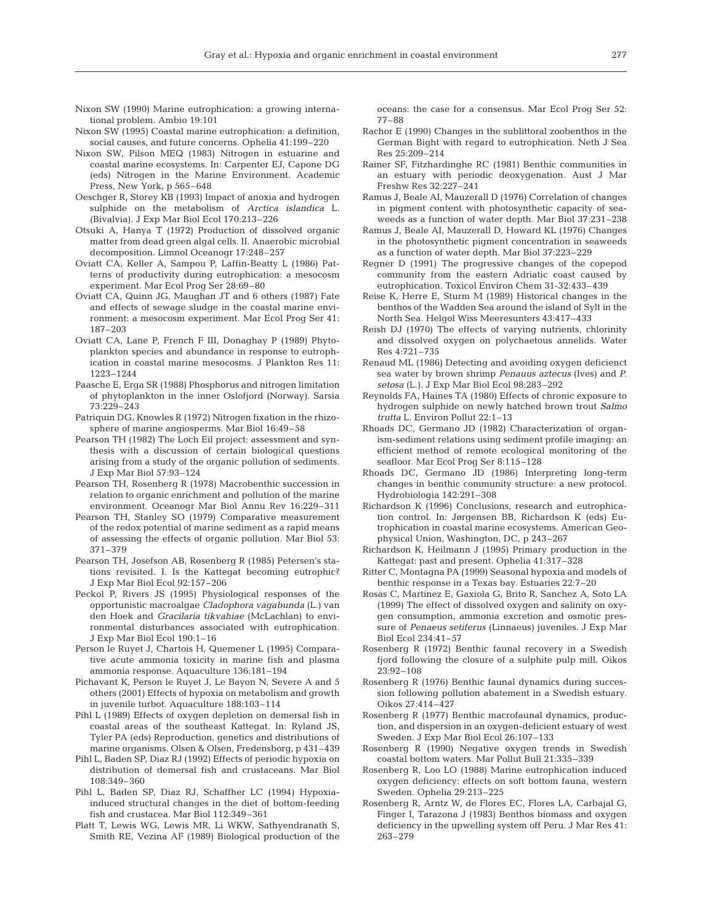- Nixon SW (1990) Marine eutrophication: a growing international problem. Ambio 19:101
- Nixon SW (1995) Coastal marine eutrophication: a definition, social causes, and future concerns. Ophelia 41:199–220
- Nixon SW, Pilson MEQ (1983) Nitrogen in estuarine and coastal marine ecosystems. In: Carpenter EJ, Capone DG (eds) Nitrogen in the Marine Environment. Academic Press, New York, p 565–648
- Oeschger R, Storey KB (1993) Impact of anoxia and hydrogen sulphide on the metabolism of *Arctica islandica* L. (Bivalvia). J Exp Mar Biol Ecol 170:213–226
- Otsuki A, Hanya T (1972) Production of dissolved organic matter from dead green algal cells. II. Anaerobic microbial decomposition. Limnol Oceanogr 17:248–257
- Oviatt CA, Keller A, Sampou P, Laffin-Beatty L (1986) Patterns of productivity during eutrophication: a mesocosm experiment. Mar Ecol Prog Ser 28:69–80
- Oviatt CA, Quinn JG, Maughan JT and 6 others (1987) Fate and effects of sewage sludge in the coastal marine environment: a mesocosm experiment. Mar Ecol Prog Ser 41: 187–203
- Oviatt CA, Lane P, French F III, Donaghay P (1989) Phytoplankton species and abundance in response to eutrophication in coastal marine mesocosms. J Plankton Res 11: 1223–1244
- Paasche E, Erga SR (1988) Phosphorus and nitrogen limitation of phytoplankton in the inner Oslofjord (Norway). Sarsia 73:229–243
- Patriquin DG, Knowles R (1972) Nitrogen fixation in the rhizosphere of marine angiosperms. Mar Biol 16:49–58
- Pearson TH (1982) The Loch Eil project: assessment and synthesis with a discussion of certain biological questions arising from a study of the organic pollution of sediments. J Exp Mar Biol 57:93–124
- Pearson TH, Rosenberg R (1978) Macrobenthic succession in relation to organic enrichment and pollution of the marine environment. Oceanogr Mar Biol Annu Rev 16:229–311
- Pearson TH, Stanley SO (1979) Comparative measurement of the redox potential of marine sediment as a rapid means of assessing the effects of organic pollution. Mar Biol 53: 371–379
- Pearson TH, Josefson AB, Rosenberg R (1985) Petersen's stations revisited. I. Is the Kattegat becoming eutrophic? J Exp Mar Biol Ecol 92:157–206
- Peckol P, Rivers JS (1995) Physiological responses of the opportunistic macroalgae *Cladophora vagabunda* (L.) van den Hoek and *Gracilaria tikvahiae* (McLachlan) to environmental disturbances associated with eutrophication. J Exp Mar Biol Ecol 190:1–16
- Person le Ruyet J, Chartois H, Quemener L (1995) Comparative acute ammonia toxicity in marine fish and plasma ammonia response. Aquaculture 136:181–194
- Pichavant K, Person le Ruyet J, Le Bayon N, Severe A and 5 others (2001) Effects of hypoxia on metabolism and growth in juvenile turbot. Aquaculture 188:103–114
- Pihl L (1989) Effects of oxygen depletion on demersal fish in coastal areas of the southeast Kattegat. In: Ryland JS, Tyler PA (eds) Reproduction, genetics and distributions of marine organisms. Olsen & Olsen, Fredensborg, p 431–439
- Pihl L, Baden SP, Diaz RJ (1992) Effects of periodic hypoxia on distribution of demersal fish and crustaceans. Mar Biol 108:349–360
- Pihl L, Baden SP, Diaz RJ, Schaffher LC (1994) Hypoxiainduced structural changes in the diet of bottom-feeding fish and crustacea. Mar Biol 112:349–361
- Platt T, Lewis WG, Lewis MR, Li WKW, Sathyendranath S, Smith RE, Vezina AF (1989) Biological production of the

oceans: the case for a consensus. Mar Ecol Prog Ser 52: 77–88

- Rachor E (1990) Changes in the sublittoral zoobenthos in the German Bight with regard to eutrophication. Neth J Sea Res 25:209–214
- Rainer SF, Fitzhardinghe RC (1981) Benthic communities in an estuary with periodic deoxygenation. Aust J Mar Freshw Res 32:227–241
- Ramus J, Beale AI, Mauzerall D (1976) Correlation of changes in pigment content with photosynthetic capacity of seaweeds as a function of water depth. Mar Biol 37:231–238
- Ramus J, Beale AI, Mauzerall D, Howard KL (1976) Changes in the photosynthetic pigment concentration in seaweeds as a function of water depth. Mar Biol 37:223–229
- Regner D (1991) The progressive changes of the copepod community from the eastern Adriatic coast caused by eutrophication. Toxicol Environ Chem 31-32:433–439
- Reise K, Herre E, Sturm M (1989) Historical changes in the benthos of the Wadden Sea around the island of Sylt in the North Sea. Helgol Wiss Meeresunters 43:417–433
- Reish DJ (1970) The effects of varying nutrients, chlorinity and dissolved oxygen on polychaetous annelids. Water Res 4:721–735
- Renaud ML (1986) Detecting and avoiding oxygen deficienct sea water by brown shrimp *Penauus aztecus* (Ives) and *P. setosa* (L.). J Exp Mar Biol Ecol 98:283–292
- Reynolds FA, Haines TA (1980) Effects of chronic exposure to hydrogen sulphide on newly hatched brown trout *Salmo trutta* L. Environ Pollut 22:1–13
- Rhoads DC, Germano JD (1982) Characterization of organism-sediment relations using sediment profile imaging: an efficient method of remote ecological monitoring of the seafloor. Mar Ecol Prog Ser 8:115–128
- Rhoads DC, Germano JD (1986) Interpreting long-term changes in benthic community structure: a new protocol. Hydrobiologia 142:291–308
- Richardson K (1996) Conclusions, research and eutrophication control. In: Jørgensen BB, Richardson K (eds) Eutrophication in coastal marine ecosystems. American Geophysical Union, Washington, DC, p 243–267
- Richardson K, Heilmann J (1995) Primary production in the Kattegat: past and present. Ophelia 41:317–328
- Ritter C, Montagna PA (1999) Seasonal hypoxia and models of benthic response in a Texas bay. Estuaries 22:7–20
- Rosas C, Martinez E, Gaxiola G, Brito R, Sanchez A, Soto LA (1999) The effect of dissolved oxygen and salinity on oxygen consumption, ammonia excretion and osmotic pressure of *Penaeus setiferus* (Linnaeus) juveniles. J Exp Mar Biol Ecol 234:41–57
- Rosenberg R (1972) Benthic faunal recovery in a Swedish fjord following the closure of a sulphite pulp mill. Oikos 23:92–108
- Rosenberg R (1976) Benthic faunal dynamics during succession following pollution abatement in a Swedish estuary. Oikos 27:414–427
- Rosenberg R (1977) Benthic macrofaunal dynamics, production, and dispersion in an oxygen-deficient estuary of west Sweden. J Exp Mar Biol Ecol 26:107–133
- Rosenberg R (1990) Negative oxygen trends in Swedish coastal bottom waters. Mar Pollut Bull 21:335–339
- Rosenberg R, Loo LO (1988) Marine eutrophication induced oxygen deficiency: effects on soft bottom fauna, western Sweden. Ophelia 29:213–225
- Rosenberg R, Arntz W, de Flores EC, Flores LA, Carbajal G, Finger I, Tarazona J (1983) Benthos biomass and oxygen deficiency in the upwelling system off Peru. J Mar Res 41: 263–279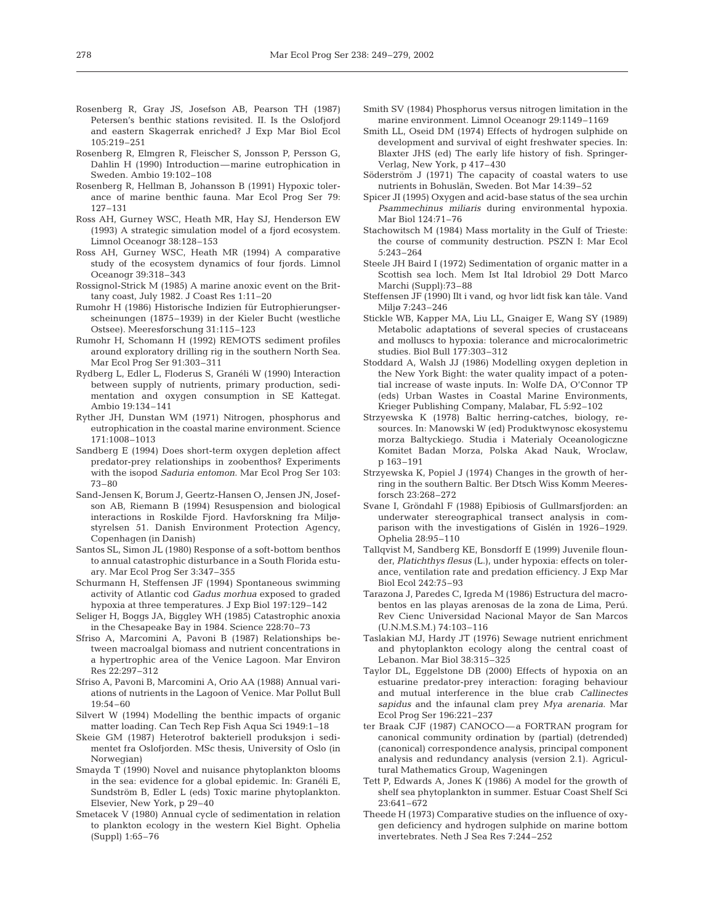- Rosenberg R, Gray JS, Josefson AB, Pearson TH (1987) Petersen's benthic stations revisited. II. Is the Oslofjord and eastern Skagerrak enriched? J Exp Mar Biol Ecol 105:219–251
- Rosenberg R, Elmgren R, Fleischer S, Jonsson P, Persson G, Dahlin H (1990) Introduction—marine eutrophication in Sweden. Ambio 19:102–108
- Rosenberg R, Hellman B, Johansson B (1991) Hypoxic tolerance of marine benthic fauna. Mar Ecol Prog Ser 79: 127–131
- Ross AH, Gurney WSC, Heath MR, Hay SJ, Henderson EW (1993) A strategic simulation model of a fjord ecosystem. Limnol Oceanogr 38:128–153
- Ross AH, Gurney WSC, Heath MR (1994) A comparative study of the ecosystem dynamics of four fjords. Limnol Oceanogr 39:318–343
- Rossignol-Strick M (1985) A marine anoxic event on the Brittany coast, July 1982. J Coast Res 1:11–20
- Rumohr H (1986) Historische Indizien für Eutrophierungserscheinungen (1875–1939) in der Kieler Bucht (westliche Ostsee). Meeresforschung 31:115–123
- Rumohr H, Schomann H (1992) REMOTS sediment profiles around exploratory drilling rig in the southern North Sea. Mar Ecol Prog Ser 91:303–311
- Rydberg L, Edler L, Floderus S, Granéli W (1990) Interaction between supply of nutrients, primary production, sedimentation and oxygen consumption in SE Kattegat. Ambio 19:134–141
- Ryther JH, Dunstan WM (1971) Nitrogen, phosphorus and eutrophication in the coastal marine environment. Science 171:1008–1013
- Sandberg E (1994) Does short-term oxygen depletion affect predator-prey relationships in zoobenthos? Experiments with the isopod *Saduria entomon*. Mar Ecol Prog Ser 103: 73–80
- Sand-Jensen K, Borum J, Geertz-Hansen O, Jensen JN, Josefson AB, Riemann B (1994) Resuspension and biological interactions in Roskilde Fjord. Havforskning fra Miljøstyrelsen 51. Danish Environment Protection Agency, Copenhagen (in Danish)
- Santos SL, Simon JL (1980) Response of a soft-bottom benthos to annual catastrophic disturbance in a South Florida estuary. Mar Ecol Prog Ser 3:347–355
- Schurmann H, Steffensen JF (1994) Spontaneous swimming activity of Atlantic cod *Gadus morhua* exposed to graded hypoxia at three temperatures. J Exp Biol 197:129–142
- Seliger H, Boggs JA, Biggley WH (1985) Catastrophic anoxia in the Chesapeake Bay in 1984. Science 228:70–73
- Sfriso A, Marcomini A, Pavoni B (1987) Relationships between macroalgal biomass and nutrient concentrations in a hypertrophic area of the Venice Lagoon. Mar Environ Res 22:297–312
- Sfriso A, Pavoni B, Marcomini A, Orio AA (1988) Annual variations of nutrients in the Lagoon of Venice. Mar Pollut Bull 19:54–60
- Silvert W (1994) Modelling the benthic impacts of organic matter loading. Can Tech Rep Fish Aqua Sci 1949:1–18
- Skeie GM (1987) Heterotrof bakteriell produksjon i sedimentet fra Oslofjorden. MSc thesis, University of Oslo (in Norwegian)
- Smayda T (1990) Novel and nuisance phytoplankton blooms in the sea: evidence for a global epidemic. In: Granéli E, Sundström B, Edler L (eds) Toxic marine phytoplankton. Elsevier, New York, p 29–40
- Smetacek V (1980) Annual cycle of sedimentation in relation to plankton ecology in the western Kiel Bight. Ophelia (Suppl) 1:65–76
- Smith SV (1984) Phosphorus versus nitrogen limitation in the marine environment. Limnol Oceanogr 29:1149–1169
- Smith LL, Oseid DM (1974) Effects of hydrogen sulphide on development and survival of eight freshwater species. In: Blaxter JHS (ed) The early life history of fish. Springer-Verlag, New York, p 417–430
- Söderström J (1971) The capacity of coastal waters to use nutrients in Bohuslän, Sweden. Bot Mar 14:39–52
- Spicer JI (1995) Oxygen and acid-base status of the sea urchin *Psammechinus miliaris* during environmental hypoxia. Mar Biol 124:71–76
- Stachowitsch M (1984) Mass mortality in the Gulf of Trieste: the course of community destruction. PSZN I: Mar Ecol 5:243–264
- Steele JH Baird I (1972) Sedimentation of organic matter in a Scottish sea loch. Mem Ist Ital Idrobiol 29 Dott Marco Marchi (Suppl):73–88
- Steffensen JF (1990) Ilt i vand, og hvor lidt fisk kan tåle. Vand Miljø 7:243–246
- Stickle WB, Kapper MA, Liu LL, Gnaiger E, Wang SY (1989) Metabolic adaptations of several species of crustaceans and molluscs to hypoxia: tolerance and microcalorimetric studies. Biol Bull 177:303–312
- Stoddard A, Walsh JJ (1986) Modelling oxygen depletion in the New York Bight: the water quality impact of a potential increase of waste inputs. In: Wolfe DA, O'Connor TP (eds) Urban Wastes in Coastal Marine Environments, Krieger Publishing Company, Malabar, FL 5:92–102
- Strzyewska K (1978) Baltic herring-catches, biology, resources. In: Manowski W (ed) Produktwynosc ekosystemu morza Baltyckiego. Studia i Materialy Oceanologiczne Komitet Badan Morza, Polska Akad Nauk, Wroclaw, p 163–191
- Strzyewska K, Popiel J (1974) Changes in the growth of herring in the southern Baltic. Ber Dtsch Wiss Komm Meeresforsch 23:268–272
- Svane I, Gröndahl F (1988) Epibiosis of Gullmarsfjorden: an underwater stereographical transect analysis in comparison with the investigations of Gislén in 1926–1929. Ophelia 28:95–110
- Tallqvist M, Sandberg KE, Bonsdorff E (1999) Juvenile flounder, *Platichthys flesus* (L.), under hypoxia: effects on tolerance, ventilation rate and predation efficiency. J Exp Mar Biol Ecol 242:75–93
- Tarazona J, Paredes C, Igreda M (1986) Estructura del macrobentos en las playas arenosas de la zona de Lima, Perú. Rev Cienc Universidad Nacional Mayor de San Marcos (U.N.M.S.M.) 74:103–116
- Taslakian MJ, Hardy JT (1976) Sewage nutrient enrichment and phytoplankton ecology along the central coast of Lebanon. Mar Biol 38:315–325
- Taylor DL, Eggelstone DB (2000) Effects of hypoxia on an estuarine predator-prey interaction: foraging behaviour and mutual interference in the blue crab *Callinectes sapidus* and the infaunal clam prey *Mya arenaria*. Mar Ecol Prog Ser 196:221–237
- ter Braak CJF (1987) CANOCO—a FORTRAN program for canonical community ordination by (partial) (detrended) (canonical) correspondence analysis, principal component analysis and redundancy analysis (version 2.1). Agricultural Mathematics Group, Wageningen
- Tett P, Edwards A, Jones K (1986) A model for the growth of shelf sea phytoplankton in summer. Estuar Coast Shelf Sci 23:641–672
- Theede H (1973) Comparative studies on the influence of oxygen deficiency and hydrogen sulphide on marine bottom invertebrates. Neth J Sea Res 7:244–252